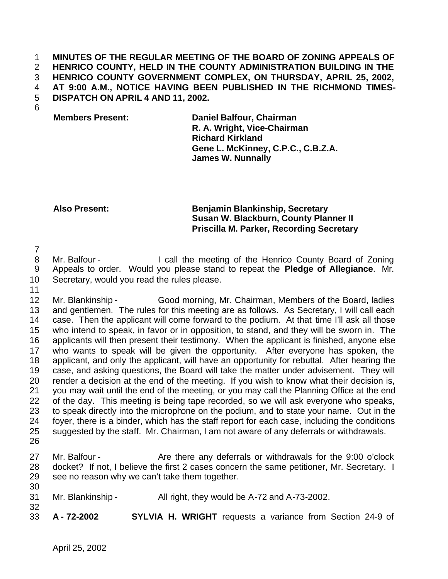## **MINUTES OF THE REGULAR MEETING OF THE BOARD OF ZONING APPEALS OF HENRICO COUNTY, HELD IN THE COUNTY ADMINISTRATION BUILDING IN THE HENRICO COUNTY GOVERNMENT COMPLEX, ON THURSDAY, APRIL 25, 2002, AT 9:00 A.M., NOTICE HAVING BEEN PUBLISHED IN THE RICHMOND TIMES-DISPATCH ON APRIL 4 AND 11, 2002.**

**Members Present: Daniel Balfour, Chairman R. A. Wright, Vice-Chairman Richard Kirkland Gene L. McKinney, C.P.C., C.B.Z.A. James W. Nunnally**

## **Also Present: Benjamin Blankinship, Secretary Susan W. Blackburn, County Planner II Priscilla M. Parker, Recording Secretary**

8 Mr. Balfour - I call the meeting of the Henrico County Board of Zoning Appeals to order. Would you please stand to repeat the **Pledge of Allegiance**. Mr. Secretary, would you read the rules please.

 Mr. Blankinship - Good morning, Mr. Chairman, Members of the Board, ladies and gentlemen. The rules for this meeting are as follows. As Secretary, I will call each case. Then the applicant will come forward to the podium. At that time I'll ask all those who intend to speak, in favor or in opposition, to stand, and they will be sworn in. The applicants will then present their testimony. When the applicant is finished, anyone else who wants to speak will be given the opportunity. After everyone has spoken, the 18 applicant, and only the applicant, will have an opportunity for rebuttal. After hearing the case, and asking questions, the Board will take the matter under advisement. They will render a decision at the end of the meeting. If you wish to know what their decision is, you may wait until the end of the meeting, or you may call the Planning Office at the end of the day. This meeting is being tape recorded, so we will ask everyone who speaks, to speak directly into the microphone on the podium, and to state your name. Out in the foyer, there is a binder, which has the staff report for each case, including the conditions suggested by the staff. Mr. Chairman, I am not aware of any deferrals or withdrawals. 

- 27 Mr. Balfour Are there any deferrals or withdrawals for the 9:00 o'clock docket? If not, I believe the first 2 cases concern the same petitioner, Mr. Secretary. I see no reason why we can't take them together.
- Mr. Blankinship All right, they would be A-72 and A-73-2002.
- **A 72-2002 SYLVIA H. WRIGHT** requests a variance from Section 24-9 of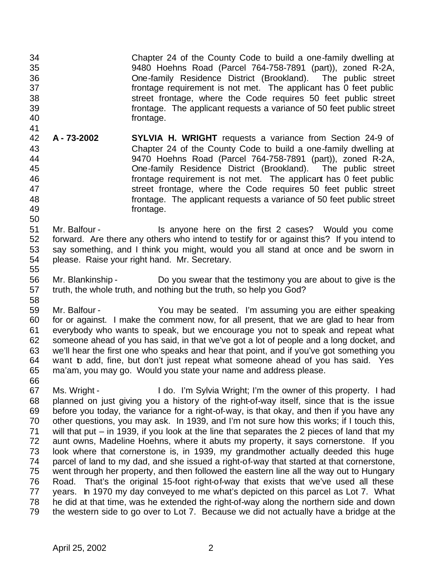Chapter 24 of the County Code to build a one-family dwelling at 9480 Hoehns Road (Parcel 764-758-7891 (part)), zoned R-2A, One-family Residence District (Brookland). The public street frontage requirement is not met. The applicant has 0 feet public street frontage, where the Code requires 50 feet public street frontage. The applicant requests a variance of 50 feet public street frontage.

- 41<br>42 **A - 73-2002 SYLVIA H. WRIGHT** requests a variance from Section 24-9 of Chapter 24 of the County Code to build a one-family dwelling at 9470 Hoehns Road (Parcel 764-758-7891 (part)), zoned R-2A, One-family Residence District (Brookland). The public street frontage requirement is not met. The applicant has 0 feet public street frontage, where the Code requires 50 feet public street frontage. The applicant requests a variance of 50 feet public street frontage.
- Mr. Balfour Is anyone here on the first 2 cases? Would you come forward. Are there any others who intend to testify for or against this? If you intend to say something, and I think you might, would you all stand at once and be sworn in please. Raise your right hand. Mr. Secretary.
- Mr. Blankinship Do you swear that the testimony you are about to give is the truth, the whole truth, and nothing but the truth, so help you God?
- Mr. Balfour You may be seated. I'm assuming you are either speaking for or against. I make the comment now, for all present, that we are glad to hear from everybody who wants to speak, but we encourage you not to speak and repeat what someone ahead of you has said, in that we've got a lot of people and a long docket, and we'll hear the first one who speaks and hear that point, and if you've got something you want to add, fine, but don't just repeat what someone ahead of you has said. Yes ma'am, you may go. Would you state your name and address please.
- 

 Ms. Wright - I do. I'm Sylvia Wright; I'm the owner of this property. I had planned on just giving you a history of the right-of-way itself, since that is the issue before you today, the variance for a right-of-way, is that okay, and then if you have any other questions, you may ask. In 1939, and I'm not sure how this works; if I touch this, will that put – in 1939, if you look at the line that separates the 2 pieces of land that my aunt owns, Madeline Hoehns, where it abuts my property, it says cornerstone. If you look where that cornerstone is, in 1939, my grandmother actually deeded this huge parcel of land to my dad, and she issued a right-of-way that started at that cornerstone, went through her property, and then followed the eastern line all the way out to Hungary Road. That's the original 15-foot right-of-way that exists that we've used all these years. In 1970 my day conveyed to me what's depicted on this parcel as Lot 7. What he did at that time, was he extended the right-of-way along the northern side and down the western side to go over to Lot 7. Because we did not actually have a bridge at the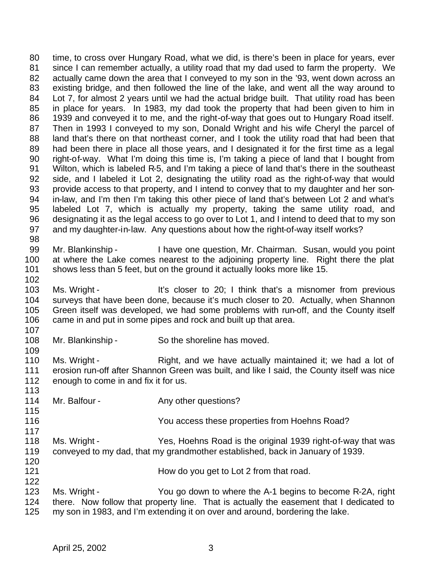time, to cross over Hungary Road, what we did, is there's been in place for years, ever since I can remember actually, a utility road that my dad used to farm the property. We actually came down the area that I conveyed to my son in the '93, went down across an existing bridge, and then followed the line of the lake, and went all the way around to Lot 7, for almost 2 years until we had the actual bridge built. That utility road has been in place for years. In 1983, my dad took the property that had been given to him in 1939 and conveyed it to me, and the right-of-way that goes out to Hungary Road itself. Then in 1993 I conveyed to my son, Donald Wright and his wife Cheryl the parcel of 88 land that's there on that northeast corner, and I took the utility road that had been that had been there in place all those years, and I designated it for the first time as a legal right-of-way. What I'm doing this time is, I'm taking a piece of land that I bought from Wilton, which is labeled R-5, and I'm taking a piece of land that's there in the southeast side, and I labeled it Lot 2, designating the utility road as the right-of-way that would provide access to that property, and I intend to convey that to my daughter and her son- in-law, and I'm then I'm taking this other piece of land that's between Lot 2 and what's labeled Lot 7, which is actually my property, taking the same utility road, and designating it as the legal access to go over to Lot 1, and I intend to deed that to my son and my daughter-in-law. Any questions about how the right-of-way itself works? 

 Mr. Blankinship - I have one question, Mr. Chairman. Susan, would you point at where the Lake comes nearest to the adjoining property line. Right there the plat shows less than 5 feet, but on the ground it actually looks more like 15.

102<br>103 Ms. Wright - It's closer to 20; I think that's a misnomer from previous surveys that have been done, because it's much closer to 20. Actually, when Shannon Green itself was developed, we had some problems with run-off, and the County itself 106 came in and put in some pipes and rock and built up that area.

108 Mr. Blankinship - So the shoreline has moved.

110 Ms. Wright - Right, and we have actually maintained it; we had a lot of 111 erosion run-off after Shannon Green was built, and like I said, the County itself was nice erosion run-off after Shannon Green was built, and like I said, the County itself was nice enough to come in and fix it for us.

- 114 Mr. Balfour Any other questions?
- You access these properties from Hoehns Road?
- Ms. Wright Yes, Hoehns Road is the original 1939 right-of-way that was conveyed to my dad, that my grandmother established, back in January of 1939.
- 120<br>121 How do you get to Lot 2 from that road.
- 122<br>123 Ms. Wright - You go down to where the A-1 begins to become R-2A, right there. Now follow that property line. That is actually the easement that I dedicated to my son in 1983, and I'm extending it on over and around, bordering the lake.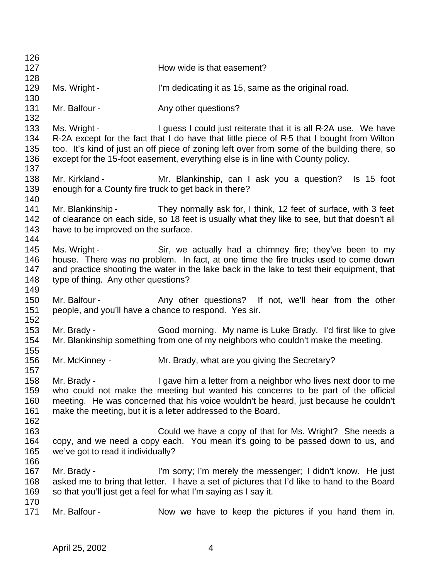| 126                             |                                                                        |                                                                                                                                                                                                                                                                                                                                                 |
|---------------------------------|------------------------------------------------------------------------|-------------------------------------------------------------------------------------------------------------------------------------------------------------------------------------------------------------------------------------------------------------------------------------------------------------------------------------------------|
| 127<br>128                      |                                                                        | How wide is that easement?                                                                                                                                                                                                                                                                                                                      |
| 129<br>130                      | Ms. Wright -                                                           | I'm dedicating it as 15, same as the original road.                                                                                                                                                                                                                                                                                             |
| 131<br>132                      | Mr. Balfour -                                                          | Any other questions?                                                                                                                                                                                                                                                                                                                            |
| 133<br>134<br>135<br>136<br>137 | Ms. Wright -                                                           | I guess I could just reiterate that it is all R-2A use. We have<br>R-2A except for the fact that I do have that little piece of R-5 that I bought from Wilton<br>too. It's kind of just an off piece of zoning left over from some of the building there, so<br>except for the 15-foot easement, everything else is in line with County policy. |
| 138<br>139<br>140               | Mr. Kirkland -<br>enough for a County fire truck to get back in there? | Mr. Blankinship, can I ask you a question?<br>Is 15 foot                                                                                                                                                                                                                                                                                        |
| 141<br>142<br>143<br>144        | have to be improved on the surface.                                    | Mr. Blankinship - They normally ask for, I think, 12 feet of surface, with 3 feet<br>of clearance on each side, so 18 feet is usually what they like to see, but that doesn't all                                                                                                                                                               |
| 145<br>146<br>147<br>148<br>149 | Ms. Wright -<br>type of thing. Any other questions?                    | Sir, we actually had a chimney fire; they've been to my<br>house. There was no problem. In fact, at one time the fire trucks used to come down<br>and practice shooting the water in the lake back in the lake to test their equipment, that                                                                                                    |
| 150<br>151<br>152               |                                                                        | Mr. Balfour - The Any other questions? If not, we'll hear from the other<br>people, and you'll have a chance to respond. Yes sir.                                                                                                                                                                                                               |
| 153<br>154                      | Mr. Brady -                                                            | Good morning. My name is Luke Brady. I'd first like to give<br>Mr. Blankinship something from one of my neighbors who couldn't make the meeting.                                                                                                                                                                                                |
| 155<br>156<br>157               | Mr. McKinney -                                                         | Mr. Brady, what are you giving the Secretary?                                                                                                                                                                                                                                                                                                   |
| 158<br>159<br>160<br>161<br>162 | Mr. Brady -                                                            | I gave him a letter from a neighbor who lives next door to me<br>who could not make the meeting but wanted his concerns to be part of the official<br>meeting. He was concerned that his voice wouldn't be heard, just because he couldn't<br>make the meeting, but it is a letter addressed to the Board.                                      |
| 163<br>164<br>165               | we've got to read it individually?                                     | Could we have a copy of that for Ms. Wright? She needs a<br>copy, and we need a copy each. You mean it's going to be passed down to us, and                                                                                                                                                                                                     |
| 166<br>167<br>168<br>169        | Mr. Brady -                                                            | I'm sorry; I'm merely the messenger; I didn't know. He just<br>asked me to bring that letter. I have a set of pictures that I'd like to hand to the Board<br>so that you'll just get a feel for what I'm saying as I say it.                                                                                                                    |
| 170<br>171                      | Mr. Balfour -                                                          | Now we have to keep the pictures if you hand them in.                                                                                                                                                                                                                                                                                           |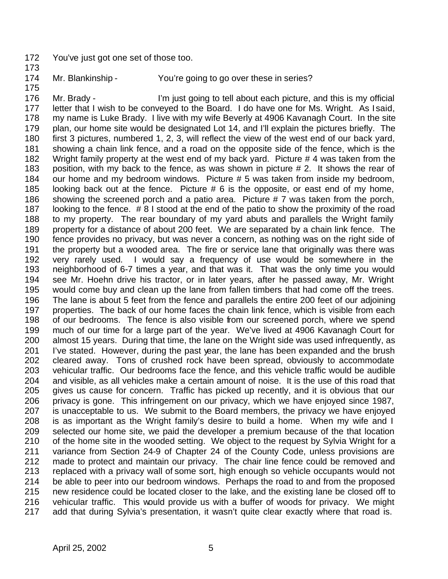- You've just got one set of those too.
- Mr. Blankinship You're going to go over these in series?
- 

 Mr. Brady - I'm just going to tell about each picture, and this is my official letter that I wish to be conveyed to the Board. I do have one for Ms. Wright. As I said, my name is Luke Brady. I live with my wife Beverly at 4906 Kavanagh Court. In the site plan, our home site would be designated Lot 14, and I'll explain the pictures briefly. The first 3 pictures, numbered 1, 2, 3, will reflect the view of the west end of our back yard, showing a chain link fence, and a road on the opposite side of the fence, which is the Wright family property at the west end of my back yard. Picture # 4 was taken from the position, with my back to the fence, as was shown in picture # 2. It shows the rear of our home and my bedroom windows. Picture # 5 was taken from inside my bedroom, looking back out at the fence. Picture # 6 is the opposite, or east end of my home, showing the screened porch and a patio area. Picture # 7 was taken from the porch, looking to the fence. # 8 I stood at the end of the patio to show the proximity of the road to my property. The rear boundary of my yard abuts and parallels the Wright family property for a distance of about 200 feet. We are separated by a chain link fence. The fence provides no privacy, but was never a concern, as nothing was on the right side of the property but a wooded area. The fire or service lane that originally was there was very rarely used. I would say a frequency of use would be somewhere in the neighborhood of 6-7 times a year, and that was it. That was the only time you would see Mr. Hoehn drive his tractor, or in later years, after he passed away, Mr. Wright would come buy and clean up the lane from fallen timbers that had come off the trees. The lane is about 5 feet from the fence and parallels the entire 200 feet of our adjoining properties. The back of our home faces the chain link fence, which is visible from each of our bedrooms. The fence is also visible from our screened porch, where we spend much of our time for a large part of the year. We've lived at 4906 Kavanagh Court for almost 15 years. During that time, the lane on the Wright side was used infrequently, as I've stated. However, during the past year, the lane has been expanded and the brush cleared away. Tons of crushed rock have been spread, obviously to accommodate vehicular traffic. Our bedrooms face the fence, and this vehicle traffic would be audible and visible, as all vehicles make a certain amount of noise. It is the use of this road that gives us cause for concern. Traffic has picked up recently, and it is obvious that our privacy is gone. This infringement on our privacy, which we have enjoyed since 1987, is unacceptable to us. We submit to the Board members, the privacy we have enjoyed is as important as the Wright family's desire to build a home. When my wife and I selected our home site, we paid the developer a premium because of the that location of the home site in the wooded setting. We object to the request by Sylvia Wright for a variance from Section 24-9 of Chapter 24 of the County Code, unless provisions are made to protect and maintain our privacy. The chair line fence could be removed and replaced with a privacy wall of some sort, high enough so vehicle occupants would not be able to peer into our bedroom windows. Perhaps the road to and from the proposed new residence could be located closer to the lake, and the existing lane be closed off to vehicular traffic. This would provide us with a buffer of woods for privacy. We might add that during Sylvia's presentation, it wasn't quite clear exactly where that road is.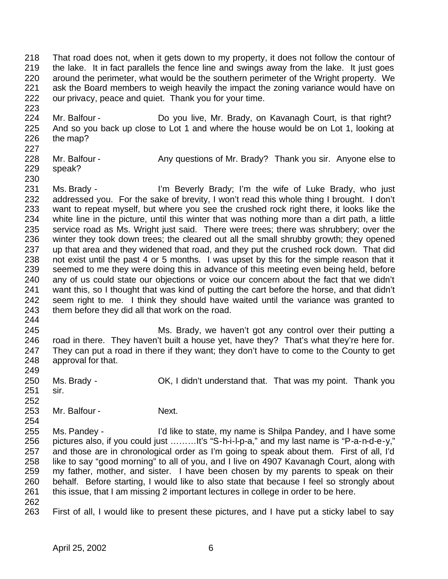That road does not, when it gets down to my property, it does not follow the contour of the lake. It in fact parallels the fence line and swings away from the lake. It just goes around the perimeter, what would be the southern perimeter of the Wright property. We ask the Board members to weigh heavily the impact the zoning variance would have on our privacy, peace and quiet. Thank you for your time.

 Mr. Balfour - Do you live, Mr. Brady, on Kavanagh Court, is that right? And so you back up close to Lot 1 and where the house would be on Lot 1, looking at the map? 

- 228 Mr. Balfour Any questions of Mr. Brady? Thank you sir. Anyone else to speak?
- 

 Ms. Brady - I'm Beverly Brady; I'm the wife of Luke Brady, who just addressed you. For the sake of brevity, I won't read this whole thing I brought. I don't want to repeat myself, but where you see the crushed rock right there, it looks like the white line in the picture, until this winter that was nothing more than a dirt path, a little service road as Ms. Wright just said. There were trees; there was shrubbery; over the winter they took down trees; the cleared out all the small shrubby growth; they opened up that area and they widened that road, and they put the crushed rock down. That did not exist until the past 4 or 5 months. I was upset by this for the simple reason that it seemed to me they were doing this in advance of this meeting even being held, before any of us could state our objections or voice our concern about the fact that we didn't want this, so I thought that was kind of putting the cart before the horse, and that didn't seem right to me. I think they should have waited until the variance was granted to them before they did all that work on the road. 

- Ms. Brady, we haven't got any control over their putting a road in there. They haven't built a house yet, have they? That's what they're here for. They can put a road in there if they want; they don't have to come to the County to get approval for that.
- Ms. Brady OK, I didn't understand that. That was my point. Thank you sir.
- 

- 253 Mr. Balfour Next.
- Ms. Pandey I'd like to state, my name is Shilpa Pandey, and I have some pictures also, if you could just ………It's "S-h-i-l-p-a," and my last name is "P-a-n-d-e-y," and those are in chronological order as I'm going to speak about them. First of all, I'd like to say "good morning" to all of you, and I live on 4907 Kavanagh Court, along with my father, mother, and sister. I have been chosen by my parents to speak on their behalf. Before starting, I would like to also state that because I feel so strongly about this issue, that I am missing 2 important lectures in college in order to be here.
- 
- First of all, I would like to present these pictures, and I have put a sticky label to say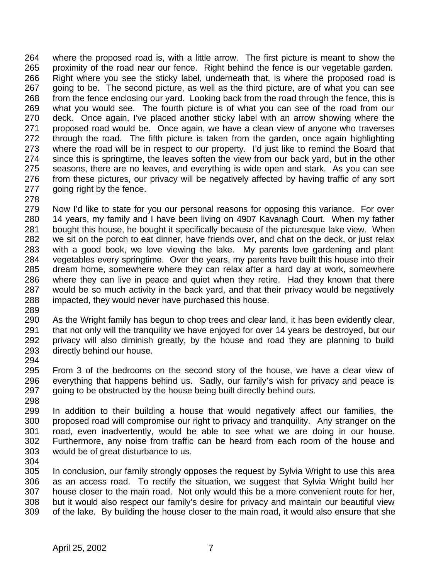where the proposed road is, with a little arrow. The first picture is meant to show the proximity of the road near our fence. Right behind the fence is our vegetable garden. Right where you see the sticky label, underneath that, is where the proposed road is going to be. The second picture, as well as the third picture, are of what you can see from the fence enclosing our yard. Looking back from the road through the fence, this is 269 what you would see. The fourth picture is of what you can see of the road from our 270 deck. Once again. I've placed another sticky label with an arrow showing where the deck. Once again, I've placed another sticky label with an arrow showing where the proposed road would be. Once again, we have a clean view of anyone who traverses through the road. The fifth picture is taken from the garden, once again highlighting where the road will be in respect to our property. I'd just like to remind the Board that since this is springtime, the leaves soften the view from our back yard, but in the other seasons, there are no leaves, and everything is wide open and stark. As you can see from these pictures, our privacy will be negatively affected by having traffic of any sort going right by the fence.

 Now I'd like to state for you our personal reasons for opposing this variance. For over 14 years, my family and I have been living on 4907 Kavanagh Court. When my father 281 bought this house, he bought it specifically because of the picturesque lake view. When<br>282 we sit on the porch to eat dinner, have friends over, and chat on the deck, or just relax we sit on the porch to eat dinner, have friends over, and chat on the deck, or just relax with a good book, we love viewing the lake. My parents love gardening and plant vegetables every springtime. Over the years, my parents have built this house into their dream home, somewhere where they can relax after a hard day at work, somewhere where they can live in peace and quiet when they retire. Had they known that there would be so much activity in the back yard, and that their privacy would be negatively impacted, they would never have purchased this house. 

 As the Wright family has begun to chop trees and clear land, it has been evidently clear, 291 that not only will the tranquility we have enjoyed for over 14 years be destroyed, but our privacy will also diminish greatly, by the house and road they are planning to build directly behind our house.

294<br>295 From 3 of the bedrooms on the second story of the house, we have a clear view of everything that happens behind us. Sadly, our family's wish for privacy and peace is 297 going to be obstructed by the house being built directly behind ours. 

 In addition to their building a house that would negatively affect our families, the proposed road will compromise our right to privacy and tranquility. Any stranger on the road, even inadvertently, would be able to see what we are doing in our house. Furthermore, any noise from traffic can be heard from each room of the house and would be of great disturbance to us.

 In conclusion, our family strongly opposes the request by Sylvia Wright to use this area as an access road. To rectify the situation, we suggest that Sylvia Wright build her house closer to the main road. Not only would this be a more convenient route for her, but it would also respect our family's desire for privacy and maintain our beautiful view of the lake. By building the house closer to the main road, it would also ensure that she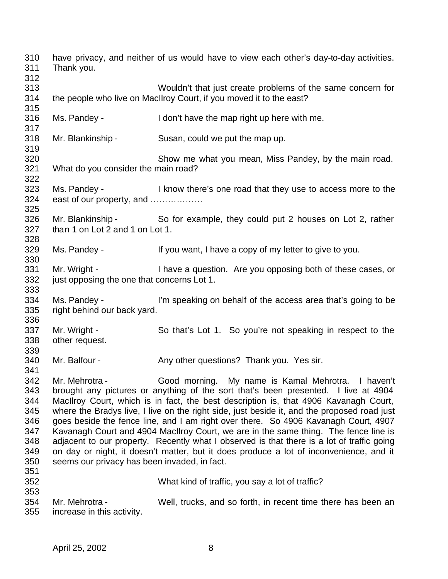have privacy, and neither of us would have to view each other's day-to-day activities. Thank you. Wouldn't that just create problems of the same concern for the people who live on MacIlroy Court, if you moved it to the east? Ms. Pandey - I don't have the map right up here with me. Mr. Blankinship - Susan, could we put the map up. Show me what you mean, Miss Pandey, by the main road. What do you consider the main road? Ms. Pandey - I know there's one road that they use to access more to the east of our property, and ……………… Mr. Blankinship - So for example, they could put 2 houses on Lot 2, rather than 1 on Lot 2 and 1 on Lot 1. Ms. Pandey - If you want, I have a copy of my letter to give to you. Mr. Wright - I have a question. Are you opposing both of these cases, or 332 just opposing the one that concerns Lot 1. Ms. Pandey - I'm speaking on behalf of the access area that's going to be right behind our back yard. Mr. Wright - So that's Lot 1. So you're not speaking in respect to the other request. 340 Mr. Balfour - Any other questions? Thank you. Yes sir. Mr. Mehrotra - Good morning. My name is Kamal Mehrotra. I haven't brought any pictures or anything of the sort that's been presented. I live at 4904 MacIlroy Court, which is in fact, the best description is, that 4906 Kavanagh Court, where the Bradys live, I live on the right side, just beside it, and the proposed road just goes beside the fence line, and I am right over there. So 4906 Kavanagh Court, 4907 Kavanagh Court and 4904 MacIlroy Court, we are in the same thing. The fence line is adjacent to our property. Recently what I observed is that there is a lot of traffic going on day or night, it doesn't matter, but it does produce a lot of inconvenience, and it seems our privacy has been invaded, in fact. What kind of traffic, you say a lot of traffic? Mr. Mehrotra - Well, trucks, and so forth, in recent time there has been an increase in this activity.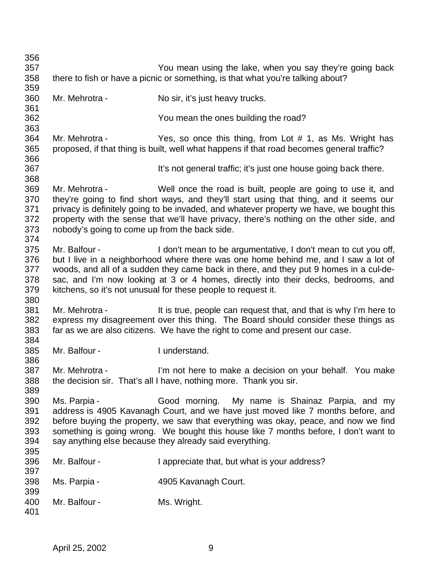| 356        |                                                                                 |                                                                                           |  |
|------------|---------------------------------------------------------------------------------|-------------------------------------------------------------------------------------------|--|
| 357        |                                                                                 | You mean using the lake, when you say they're going back                                  |  |
| 358        | there to fish or have a picnic or something, is that what you're talking about? |                                                                                           |  |
| 359        |                                                                                 |                                                                                           |  |
| 360        | Mr. Mehrotra -                                                                  | No sir, it's just heavy trucks.                                                           |  |
| 361        |                                                                                 |                                                                                           |  |
| 362        |                                                                                 | You mean the ones building the road?                                                      |  |
| 363        |                                                                                 |                                                                                           |  |
| 364        | Mr. Mehrotra -                                                                  | Yes, so once this thing, from Lot # 1, as Ms. Wright has                                  |  |
| 365        |                                                                                 | proposed, if that thing is built, well what happens if that road becomes general traffic? |  |
| 366        |                                                                                 |                                                                                           |  |
| 367        |                                                                                 | It's not general traffic; it's just one house going back there.                           |  |
| 368        |                                                                                 |                                                                                           |  |
| 369        | Mr. Mehrotra -                                                                  | Well once the road is built, people are going to use it, and                              |  |
| 370        |                                                                                 | they're going to find short ways, and they'll start using that thing, and it seems our    |  |
| 371        |                                                                                 | privacy is definitely going to be invaded, and whatever property we have, we bought this  |  |
| 372        |                                                                                 | property with the sense that we'll have privacy, there's nothing on the other side, and   |  |
| 373        | nobody's going to come up from the back side.                                   |                                                                                           |  |
| 374        |                                                                                 |                                                                                           |  |
| 375        | Mr. Balfour -                                                                   | I don't mean to be argumentative, I don't mean to cut you off,                            |  |
| 376        |                                                                                 | but I live in a neighborhood where there was one home behind me, and I saw a lot of       |  |
| 377        |                                                                                 | woods, and all of a sudden they came back in there, and they put 9 homes in a cul-de-     |  |
| 378        |                                                                                 | sac, and I'm now looking at 3 or 4 homes, directly into their decks, bedrooms, and        |  |
| 379        |                                                                                 | kitchens, so it's not unusual for these people to request it.                             |  |
| 380        |                                                                                 |                                                                                           |  |
| 381        | Mr. Mehrotra -                                                                  | It is true, people can request that, and that is why I'm here to                          |  |
| 382        |                                                                                 | express my disagreement over this thing. The Board should consider these things as        |  |
| 383        |                                                                                 | far as we are also citizens. We have the right to come and present our case.              |  |
| 384        | Mr. Balfour -                                                                   | I understand.                                                                             |  |
| 385<br>386 |                                                                                 |                                                                                           |  |
| 387        | Mr. Mehrotra -                                                                  | I'm not here to make a decision on your behalf. You make                                  |  |
| 388        |                                                                                 | the decision sir. That's all I have, nothing more. Thank you sir.                         |  |
| 389        |                                                                                 |                                                                                           |  |
| 390        | Ms. Parpia -                                                                    | Good morning. My name is Shainaz Parpia, and my                                           |  |
| 391        |                                                                                 | address is 4905 Kavanagh Court, and we have just moved like 7 months before, and          |  |
| 392        |                                                                                 | before buying the property, we saw that everything was okay, peace, and now we find       |  |
| 393        |                                                                                 | something is going wrong. We bought this house like 7 months before, I don't want to      |  |
| 394        |                                                                                 | say anything else because they already said everything.                                   |  |
| 395        |                                                                                 |                                                                                           |  |
| 396        | Mr. Balfour -                                                                   | I appreciate that, but what is your address?                                              |  |
| 397        |                                                                                 |                                                                                           |  |
| 398        | Ms. Parpia -                                                                    | 4905 Kavanagh Court.                                                                      |  |
| 399        |                                                                                 |                                                                                           |  |
| 400        | Mr. Balfour -                                                                   | Ms. Wright.                                                                               |  |
| 401        |                                                                                 |                                                                                           |  |
|            |                                                                                 |                                                                                           |  |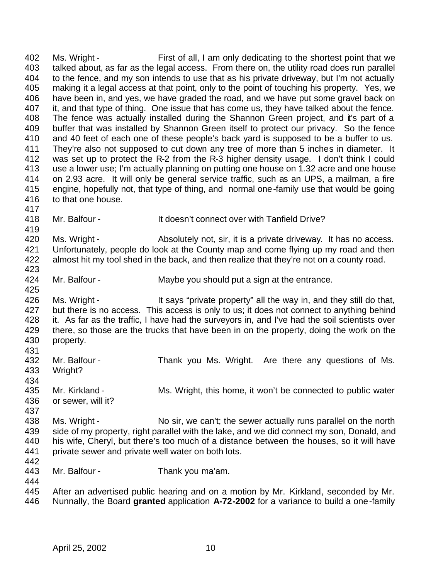402 Ms. Wright - First of all, I am only dedicating to the shortest point that we talked about, as far as the legal access. From there on, the utility road does run parallel to the fence, and my son intends to use that as his private driveway, but I'm not actually making it a legal access at that point, only to the point of touching his property. Yes, we have been in, and yes, we have graded the road, and we have put some gravel back on 407 it, and that type of thing. One issue that has come us, they have talked about the fence. The fence was actually installed during the Shannon Green project, and it's part of a buffer that was installed by Shannon Green itself to protect our privacy. So the fence and 40 feet of each one of these people's back yard is supposed to be a buffer to us. They're also not supposed to cut down any tree of more than 5 inches in diameter. It was set up to protect the R-2 from the R-3 higher density usage. I don't think I could use a lower use; I'm actually planning on putting one house on 1.32 acre and one house on 2.93 acre. It will only be general service traffic, such as an UPS, a mailman, a fire engine, hopefully not, that type of thing, and normal one-family use that would be going to that one house. Mr. Balfour - It doesn't connect over with Tanfield Drive? 420 Ms. Wright - Absolutely not, sir, it is a private driveway. It has no access. Unfortunately, people do look at the County map and come flying up my road and then almost hit my tool shed in the back, and then realize that they're not on a county road. 424 Mr. Balfour - Maybe you should put a sign at the entrance. 426 Ms. Wright - It says "private property" all the way in, and they still do that, 427 but there is no access. This access is only to us; it does not connect to anything behind it. As far as the traffic, I have had the surveyors in, and I've had the soil scientists over 429 there, so those are the trucks that have been in on the property, doing the work on the property. 432 Mr. Balfour - Thank you Ms. Wright. Are there any questions of Ms.<br>433 Wright? Wright? Mr. Kirkland - Ms. Wright, this home, it won't be connected to public water or sewer, will it? 438 Ms. Wright - No sir, we can't; the sewer actually runs parallel on the north 439 side of my property, right parallel with the lake, and we did connect my son, Donald, and his wife, Cheryl, but there's too much of a distance between the houses, so it will have private sewer and private well water on both lots. 442<br>443 Mr. Balfour - Thank you ma'am. After an advertised public hearing and on a motion by Mr. Kirkland, seconded by Mr. Nunnally, the Board **granted** application **A-72-2002** for a variance to build a one-family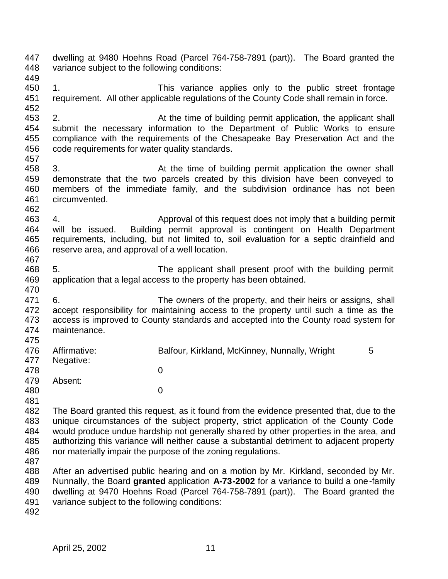dwelling at 9480 Hoehns Road (Parcel 764-758-7891 (part)). The Board granted the variance subject to the following conditions: 1. This variance applies only to the public street frontage requirement. All other applicable regulations of the County Code shall remain in force. 2. At the time of building permit application, the applicant shall submit the necessary information to the Department of Public Works to ensure compliance with the requirements of the Chesapeake Bay Preservation Act and the code requirements for water quality standards. 3. At the time of building permit application the owner shall demonstrate that the two parcels created by this division have been conveyed to members of the immediate family, and the subdivision ordinance has not been circumvented. 4. Approval of this request does not imply that a building permit will be issued. Building permit approval is contingent on Health Department requirements, including, but not limited to, soil evaluation for a septic drainfield and reserve area, and approval of a well location. 5. The applicant shall present proof with the building permit application that a legal access to the property has been obtained. 6. The owners of the property, and their heirs or assigns, shall accept responsibility for maintaining access to the property until such a time as the access is improved to County standards and accepted into the County road system for maintenance. 476 Affirmative: Balfour, Kirkland, McKinney, Nunnally, Wright 5 Negative: 0 Absent: 0 The Board granted this request, as it found from the evidence presented that, due to the unique circumstances of the subject property, strict application of the County Code would produce undue hardship not generally shared by other properties in the area, and authorizing this variance will neither cause a substantial detriment to adjacent property nor materially impair the purpose of the zoning regulations. After an advertised public hearing and on a motion by Mr. Kirkland, seconded by Mr. Nunnally, the Board **granted** application **A-73-2002** for a variance to build a one-family dwelling at 9470 Hoehns Road (Parcel 764-758-7891 (part)). The Board granted the variance subject to the following conditions: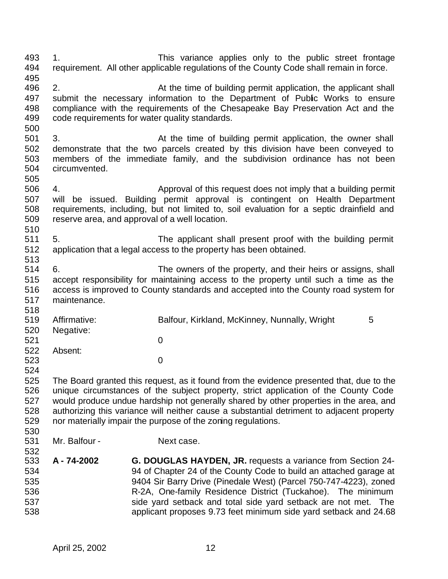1. This variance applies only to the public street frontage requirement. All other applicable regulations of the County Code shall remain in force. 496 2. At the time of building permit application, the applicant shall submit the necessary information to the Department of Public Works to ensure compliance with the requirements of the Chesapeake Bay Preservation Act and the code requirements for water quality standards. 3. At the time of building permit application, the owner shall demonstrate that the two parcels created by this division have been conveyed to members of the immediate family, and the subdivision ordinance has not been circumvented. 4. Approval of this request does not imply that a building permit will be issued. Building permit approval is contingent on Health Department requirements, including, but not limited to, soil evaluation for a septic drainfield and reserve area, and approval of a well location. 510<br>511 5. The applicant shall present proof with the building permit application that a legal access to the property has been obtained. 6. The owners of the property, and their heirs or assigns, shall accept responsibility for maintaining access to the property until such a time as the access is improved to County standards and accepted into the County road system for maintenance. Affirmative: Balfour, Kirkland, McKinney, Nunnally, Wright 5 Negative: 0 Absent: 0 The Board granted this request, as it found from the evidence presented that, due to the unique circumstances of the subject property, strict application of the County Code would produce undue hardship not generally shared by other properties in the area, and authorizing this variance will neither cause a substantial detriment to adjacent property nor materially impair the purpose of the zoning regulations. 531 Mr. Balfour - Next case. **A - 74-2002 G. DOUGLAS HAYDEN, JR.** requests a variance from Section 24- 94 of Chapter 24 of the County Code to build an attached garage at 9404 Sir Barry Drive (Pinedale West) (Parcel 750-747-4223), zoned R-2A, One-family Residence District (Tuckahoe). The minimum side yard setback and total side yard setback are not met. The applicant proposes 9.73 feet minimum side yard setback and 24.68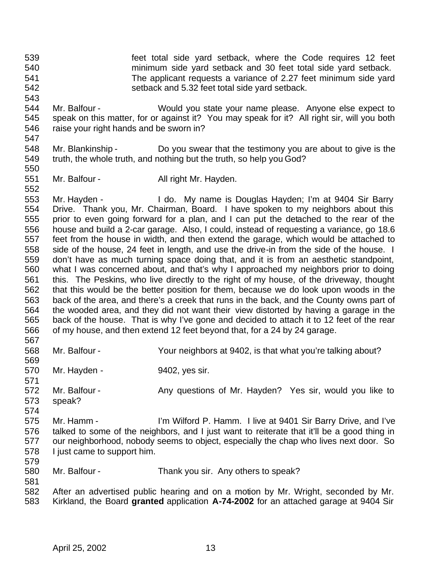- feet total side yard setback, where the Code requires 12 feet minimum side yard setback and 30 feet total side yard setback. The applicant requests a variance of 2.27 feet minimum side yard setback and 5.32 feet total side yard setback.
- Mr. Balfour Would you state your name please. Anyone else expect to speak on this matter, for or against it? You may speak for it? All right sir, will you both raise your right hands and be sworn in?
- Mr. Blankinship Do you swear that the testimony you are about to give is the 549 truth, the whole truth, and nothing but the truth, so help you God?
- 551 Mr. Balfour All right Mr. Hayden.

 Mr. Hayden - I do. My name is Douglas Hayden; I'm at 9404 Sir Barry Drive. Thank you, Mr. Chairman, Board. I have spoken to my neighbors about this prior to even going forward for a plan, and I can put the detached to the rear of the house and build a 2-car garage. Also, I could, instead of requesting a variance, go 18.6 feet from the house in width, and then extend the garage, which would be attached to side of the house, 24 feet in length, and use the drive-in from the side of the house. I don't have as much turning space doing that, and it is from an aesthetic standpoint, what I was concerned about, and that's why I approached my neighbors prior to doing this. The Peskins, who live directly to the right of my house, of the driveway, thought that this would be the better position for them, because we do look upon woods in the back of the area, and there's a creek that runs in the back, and the County owns part of the wooded area, and they did not want their view distorted by having a garage in the back of the house. That is why I've gone and decided to attach it to 12 feet of the rear of my house, and then extend 12 feet beyond that, for a 24 by 24 garage. 

- Mr. Balfour Your neighbors at 9402, is that what you're talking about?
- 569<br>570 Mr. Hayden - 9402, yes sir.
- 572 Mr. Balfour Any questions of Mr. Hayden? Yes sir, would you like to speak?
- Mr. Hamm - I'm Wilford P. Hamm. I live at 9401 Sir Barry Drive, and I've talked to some of the neighbors, and I just want to reiterate that it'll be a good thing in our neighborhood, nobody seems to object, especially the chap who lives next door. So I just came to support him.
- 

Mr. Balfour - Thank you sir. Any others to speak?

 After an advertised public hearing and on a motion by Mr. Wright, seconded by Mr. Kirkland, the Board **granted** application **A-74-2002** for an attached garage at 9404 Sir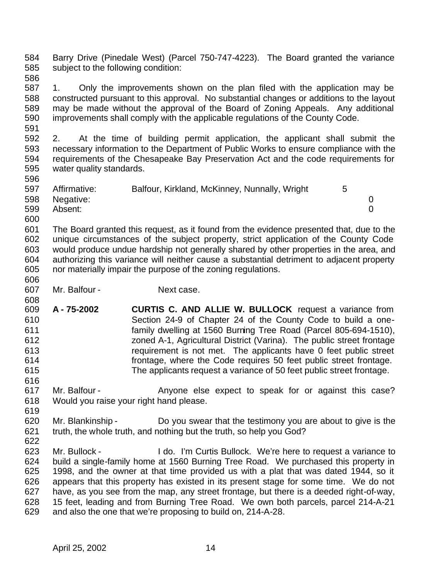Barry Drive (Pinedale West) (Parcel 750-747-4223). The Board granted the variance subject to the following condition: 

- 1. Only the improvements shown on the plan filed with the application may be constructed pursuant to this approval. No substantial changes or additions to the layout may be made without the approval of the Board of Zoning Appeals. Any additional improvements shall comply with the applicable regulations of the County Code.
- 2. At the time of building permit application, the applicant shall submit the necessary information to the Department of Public Works to ensure compliance with the requirements of the Chesapeake Bay Preservation Act and the code requirements for water quality standards.

| 597 | Affirmative:  | Balfour, Kirkland, McKinney, Nunnally, Wright | 5 |  |
|-----|---------------|-----------------------------------------------|---|--|
|     | 598 Negative: |                                               |   |  |
| 599 | Absent:       |                                               |   |  |
| 600 |               |                                               |   |  |

 The Board granted this request, as it found from the evidence presented that, due to the unique circumstances of the subject property, strict application of the County Code would produce undue hardship not generally shared by other properties in the area, and authorizing this variance will neither cause a substantial detriment to adjacent property nor materially impair the purpose of the zoning regulations.

Mr. Balfour - Next case.

- **A - 75-2002 CURTIS C. AND ALLIE W. BULLOCK** request a variance from Section 24-9 of Chapter 24 of the County Code to build a one- family dwelling at 1560 Burning Tree Road (Parcel 805-694-1510), zoned A-1, Agricultural District (Varina). The public street frontage requirement is not met. The applicants have 0 feet public street frontage, where the Code requires 50 feet public street frontage. The applicants request a variance of 50 feet public street frontage.
- 617 Mr. Balfour - Anyone else expect to speak for or against this case? Would you raise your right hand please.
- Mr. Blankinship Do you swear that the testimony you are about to give is the truth, the whole truth, and nothing but the truth, so help you God?
- Mr. Bullock I do. I'm Curtis Bullock. We're here to request a variance to build a single-family home at 1560 Burning Tree Road. We purchased this property in 1998, and the owner at that time provided us with a plat that was dated 1944, so it appears that this property has existed in its present stage for some time. We do not have, as you see from the map, any street frontage, but there is a deeded right-of-way, 15 feet, leading and from Burning Tree Road. We own both parcels, parcel 214-A-21 and also the one that we're proposing to build on, 214-A-28.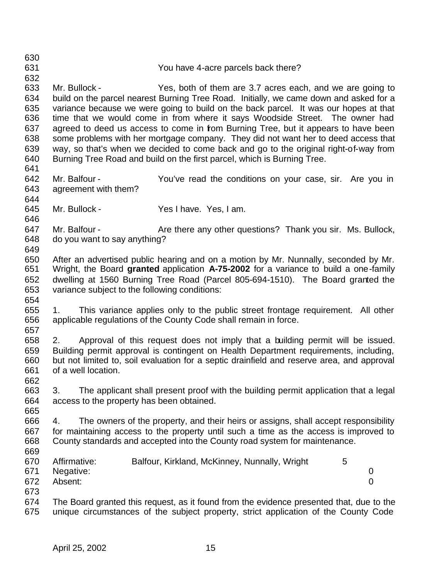You have 4-acre parcels back there? Mr. Bullock - Yes, both of them are 3.7 acres each, and we are going to build on the parcel nearest Burning Tree Road. Initially, we came down and asked for a variance because we were going to build on the back parcel. It was our hopes at that time that we would come in from where it says Woodside Street. The owner had agreed to deed us access to come in from Burning Tree, but it appears to have been some problems with her mortgage company. They did not want her to deed access that way, so that's when we decided to come back and go to the original right-of-way from Burning Tree Road and build on the first parcel, which is Burning Tree. Mr. Balfour - You've read the conditions on your case, sir. Are you in agreement with them? Mr. Bullock - Yes I have. Yes, I am. 647 Mr. Balfour - Are there any other questions? Thank you sir. Ms. Bullock, do you want to say anything? After an advertised public hearing and on a motion by Mr. Nunnally, seconded by Mr. Wright, the Board **granted** application **A-75-2002** for a variance to build a one-family dwelling at 1560 Burning Tree Road (Parcel 805-694-1510). The Board granted the variance subject to the following conditions: 1. This variance applies only to the public street frontage requirement. All other applicable regulations of the County Code shall remain in force. 2. Approval of this request does not imply that a building permit will be issued. Building permit approval is contingent on Health Department requirements, including, but not limited to, soil evaluation for a septic drainfield and reserve area, and approval of a well location. 3. The applicant shall present proof with the building permit application that a legal access to the property has been obtained. 4. The owners of the property, and their heirs or assigns, shall accept responsibility for maintaining access to the property until such a time as the access is improved to County standards and accepted into the County road system for maintenance. 670 Affirmative: Balfour, Kirkland, McKinney, Nunnally, Wright 5 Negative: 0 Absent: 0 The Board granted this request, as it found from the evidence presented that, due to the unique circumstances of the subject property, strict application of the County Code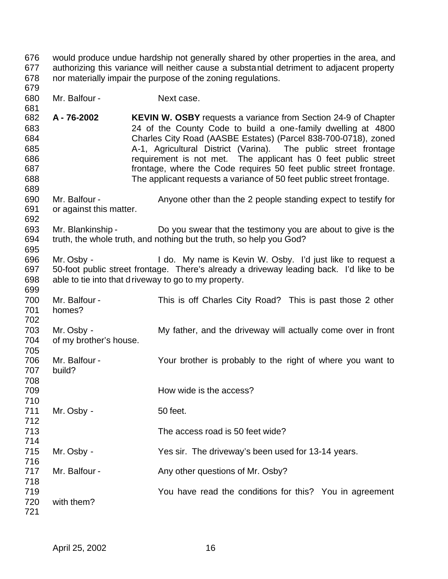- would produce undue hardship not generally shared by other properties in the area, and authorizing this variance will neither cause a substantial detriment to adjacent property nor materially impair the purpose of the zoning regulations.
- Mr. Balfour Next case.

- 681<br>682 **A - 76-2002 KEVIN W. OSBY** requests a variance from Section 24-9 of Chapter 24 of the County Code to build a one-family dwelling at 4800 Charles City Road (AASBE Estates) (Parcel 838-700-0718), zoned A-1, Agricultural District (Varina). The public street frontage **requirement is not met.** The applicant has 0 feet public street frontage, where the Code requires 50 feet public street frontage. The applicant requests a variance of 50 feet public street frontage.
- Mr. Balfour Anyone other than the 2 people standing expect to testify for or against this matter.
- Mr. Blankinship Do you swear that the testimony you are about to give is the truth, the whole truth, and nothing but the truth, so help you God?
- Mr. Osby - I do. My name is Kevin W. Osby. I'd just like to request a 50-foot public street frontage. There's already a driveway leading back. I'd like to be able to tie into that driveway to go to my property.
- Mr. Balfour This is off Charles City Road? This is past those 2 other homes?
- Mr. Osby My father, and the driveway will actually come over in front of my brother's house.
- 706 Mr. Balfour - Your brother is probably to the right of where you want to<br>707 build? build?
- How wide is the access?
- 711 Mr. Osby - 50 feet.
- The access road is 50 feet wide?
- Mr. Osby Yes sir. The driveway's been used for 13-14 years.
- Mr. Balfour - Any other questions of Mr. Osby?
- You have read the conditions for this? You in agreement with them?
-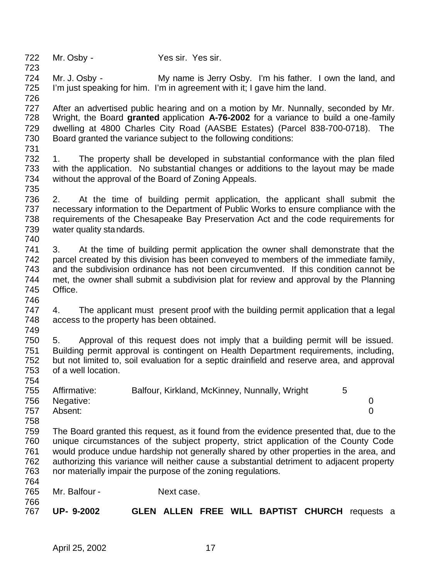Mr. Osby - Yes sir. Yes sir.

 Mr. J. Osby - My name is Jerry Osby. I'm his father. I own the land, and I'm just speaking for him. I'm in agreement with it; I gave him the land.

 727 After an advertised public hearing and on a motion by Mr. Nunnally, seconded by Mr.<br>728 Wright, the Board **granted** application A-76-2002 for a variance to build a one-family Wright, the Board **granted** application **A-76-2002** for a variance to build a one-family dwelling at 4800 Charles City Road (AASBE Estates) (Parcel 838-700-0718). The Board granted the variance subject to the following conditions:

 1. The property shall be developed in substantial conformance with the plan filed with the application. No substantial changes or additions to the layout may be made without the approval of the Board of Zoning Appeals. 

- 2. At the time of building permit application, the applicant shall submit the necessary information to the Department of Public Works to ensure compliance with the requirements of the Chesapeake Bay Preservation Act and the code requirements for water quality standards.
- 3. At the time of building permit application the owner shall demonstrate that the parcel created by this division has been conveyed to members of the immediate family, and the subdivision ordinance has not been circumvented. If this condition cannot be met, the owner shall submit a subdivision plat for review and approval by the Planning Office.

 4. The applicant must present proof with the building permit application that a legal access to the property has been obtained.

 5. Approval of this request does not imply that a building permit will be issued. Building permit approval is contingent on Health Department requirements, including, but not limited to, soil evaluation for a septic drainfield and reserve area, and approval of a well location.

| 755 | Affirmative:  | Balfour, Kirkland, McKinney, Nunnally, Wright |  |
|-----|---------------|-----------------------------------------------|--|
|     | 756 Negative: |                                               |  |
| 757 | Absent:       |                                               |  |

 The Board granted this request, as it found from the evidence presented that, due to the unique circumstances of the subject property, strict application of the County Code would produce undue hardship not generally shared by other properties in the area, and 762 authorizing this variance will neither cause a substantial detriment to adjacent property<br>763 nor materially impair the purpose of the zoning regulations. nor materially impair the purpose of the zoning regulations. 

765 Mr. Balfour - Next case.

 **UP- 9-2002 GLEN ALLEN FREE WILL BAPTIST CHURCH** requests a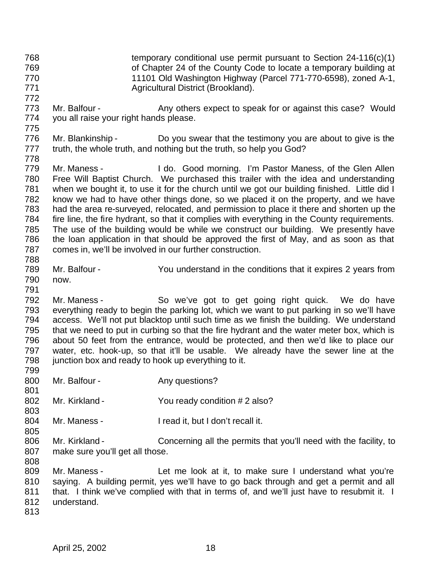11101 Old Washington Highway (Parcel 771-770-6598), zoned A-1, Agricultural District (Brookland). 773 Mr. Balfour - Any others expect to speak for or against this case? Would you all raise your right hands please. 776 Mr. Blankinship - Do you swear that the testimony you are about to give is the 777 truth, the whole truth, and nothing but the truth, so help you God? Mr. Maness - I do. Good morning. I'm Pastor Maness, of the Glen Allen Free Will Baptist Church. We purchased this trailer with the idea and understanding when we bought it, to use it for the church until we got our building finished. Little did I know we had to have other things done, so we placed it on the property, and we have had the area re-surveyed, relocated, and permission to place it there and shorten up the fire line, the fire hydrant, so that it complies with everything in the County requirements. The use of the building would be while we construct our building. We presently have the loan application in that should be approved the first of May, and as soon as that comes in, we'll be involved in our further construction. Mr. Balfour - You understand in the conditions that it expires 2 years from now. Mr. Maness - So we've got to get going right quick. We do have everything ready to begin the parking lot, which we want to put parking in so we'll have access. We'll not put blacktop until such time as we finish the building. We understand that we need to put in curbing so that the fire hydrant and the water meter box, which is about 50 feet from the entrance, would be protected, and then we'd like to place our water, etc. hook-up, so that it'll be usable. We already have the sewer line at the 798 junction box and ready to hook up everything to it. 800 Mr. Balfour - Any questions? 802 Mr. Kirkland - You ready condition # 2 also? Mr. Maness - I read it, but I don't recall it. Mr. Kirkland - Concerning all the permits that you'll need with the facility, to make sure you'll get all those. Mr. Maness - Let me look at it, to make sure I understand what you're saying. A building permit, yes we'll have to go back through and get a permit and all 811 that. I think we've complied with that in terms of, and we'll just have to resubmit it. I understand.

 temporary conditional use permit pursuant to Section 24-116(c)(1) of Chapter 24 of the County Code to locate a temporary building at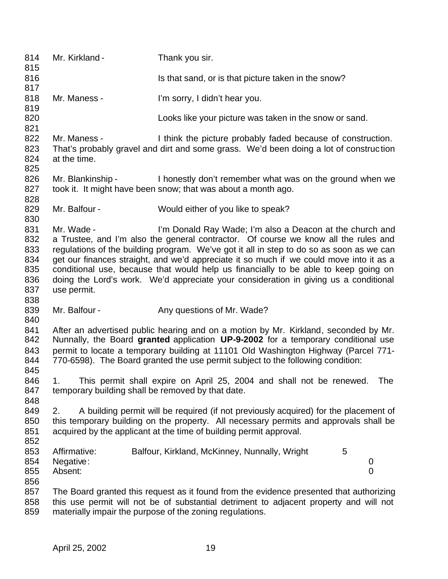| 814<br>815                                           | Mr. Kirkland -                                    | Thank you sir.                                                                                                                                                                                                                                                                                                                                                                                                                                                                                                        |
|------------------------------------------------------|---------------------------------------------------|-----------------------------------------------------------------------------------------------------------------------------------------------------------------------------------------------------------------------------------------------------------------------------------------------------------------------------------------------------------------------------------------------------------------------------------------------------------------------------------------------------------------------|
| 816                                                  |                                                   | Is that sand, or is that picture taken in the snow?                                                                                                                                                                                                                                                                                                                                                                                                                                                                   |
| 817<br>818<br>819                                    | Mr. Maness -                                      | I'm sorry, I didn't hear you.                                                                                                                                                                                                                                                                                                                                                                                                                                                                                         |
| 820<br>821                                           |                                                   | Looks like your picture was taken in the snow or sand.                                                                                                                                                                                                                                                                                                                                                                                                                                                                |
| 822<br>823<br>824<br>825                             | Mr. Maness -<br>at the time.                      | I think the picture probably faded because of construction.<br>That's probably gravel and dirt and some grass. We'd been doing a lot of construction                                                                                                                                                                                                                                                                                                                                                                  |
| 826<br>827                                           | Mr. Blankinship -                                 | I honestly don't remember what was on the ground when we<br>took it. It might have been snow; that was about a month ago.                                                                                                                                                                                                                                                                                                                                                                                             |
| 828<br>829<br>830                                    | Mr. Balfour -                                     | Would either of you like to speak?                                                                                                                                                                                                                                                                                                                                                                                                                                                                                    |
| 831<br>832<br>833<br>834<br>835<br>836<br>837<br>838 | Mr. Wade -<br>use permit.                         | I'm Donald Ray Wade; I'm also a Deacon at the church and<br>a Trustee, and I'm also the general contractor. Of course we know all the rules and<br>regulations of the building program. We've got it all in step to do so as soon as we can<br>get our finances straight, and we'd appreciate it so much if we could move into it as a<br>conditional use, because that would help us financially to be able to keep going on<br>doing the Lord's work. We'd appreciate your consideration in giving us a conditional |
| 839<br>840                                           | Mr. Balfour -                                     | Any questions of Mr. Wade?                                                                                                                                                                                                                                                                                                                                                                                                                                                                                            |
| 841<br>842<br>843<br>844<br>845                      |                                                   | After an advertised public hearing and on a motion by Mr. Kirkland, seconded by Mr.<br>Nunnally, the Board granted application UP-9-2002 for a temporary conditional use<br>permit to locate a temporary building at 11101 Old Washington Highway (Parcel 771-<br>770-6598). The Board granted the use permit subject to the following condition:                                                                                                                                                                     |
| 846<br>847<br>848                                    | temporary building shall be removed by that date. | This permit shall expire on April 25, 2004 and shall not be renewed. The                                                                                                                                                                                                                                                                                                                                                                                                                                              |
| 849<br>850<br>851<br>852                             | 2.                                                | A building permit will be required (if not previously acquired) for the placement of<br>this temporary building on the property. All necessary permits and approvals shall be<br>acquired by the applicant at the time of building permit approval.                                                                                                                                                                                                                                                                   |
| 853<br>854<br>855<br>856                             | Affirmative:<br>Negative:<br>Absent:              | Balfour, Kirkland, McKinney, Nunnally, Wright<br>5<br>0<br>$\overline{0}$                                                                                                                                                                                                                                                                                                                                                                                                                                             |
| 857<br>858<br>859                                    |                                                   | The Board granted this request as it found from the evidence presented that authorizing<br>this use permit will not be of substantial detriment to adjacent property and will not<br>materially impair the purpose of the zoning regulations.                                                                                                                                                                                                                                                                         |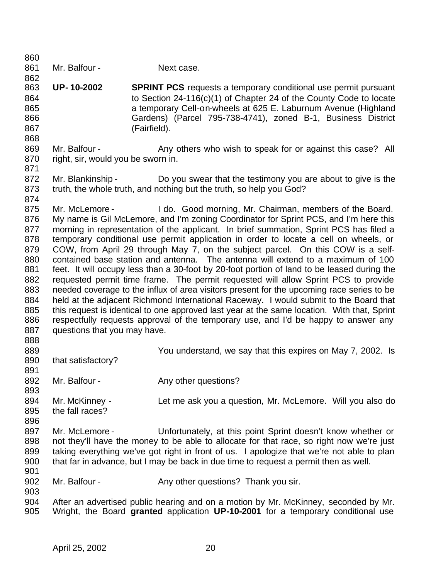861 Mr. Balfour - Next case. **UP- 10-2002 SPRINT PCS** requests a temporary conditional use permit pursuant to Section 24-116(c)(1) of Chapter 24 of the County Code to locate a temporary Cell-on-wheels at 625 E. Laburnum Avenue (Highland Gardens) (Parcel 795-738-4741), zoned B-1, Business District (Fairfield). 869 Mr. Balfour - Any others who wish to speak for or against this case? All right, sir, would you be sworn in. 872 Mr. Blankinship - Do you swear that the testimony you are about to give is the truth, the whole truth, and nothing but the truth, so help you God? 875 Mr. McLemore - I do. Good morning, Mr. Chairman, members of the Board. My name is Gil McLemore, and I'm zoning Coordinator for Sprint PCS, and I'm here this morning in representation of the applicant. In brief summation, Sprint PCS has filed a temporary conditional use permit application in order to locate a cell on wheels, or COW, from April 29 through May 7, on the subject parcel. On this COW is a self- contained base station and antenna. The antenna will extend to a maximum of 100 feet. It will occupy less than a 30-foot by 20-foot portion of land to be leased during the requested permit time frame. The permit requested will allow Sprint PCS to provide needed coverage to the influx of area visitors present for the upcoming race series to be held at the adjacent Richmond International Raceway. I would submit to the Board that this request is identical to one approved last year at the same location. With that, Sprint respectfully requests approval of the temporary use, and I'd be happy to answer any 887 questions that you may have. You understand, we say that this expires on May 7, 2002. Is 890 that satisfactory? 892 Mr. Balfour - Any other questions? Mr. McKinney - Let me ask you a question, Mr. McLemore. Will you also do the fall races? 897 Mr. McLemore - Unfortunately, at this point Sprint doesn't know whether or not they'll have the money to be able to allocate for that race, so right now we're just taking everything we've got right in front of us. I apologize that we're not able to plan that far in advance, but I may be back in due time to request a permit then as well. 902 Mr. Balfour - Any other questions? Thank you sir. 904 After an advertised public hearing and on a motion by Mr. McKinney, seconded by Mr.<br>905 Wright, the Board **granted** application UP-10-2001 for a temporary conditional use Wright, the Board **granted** application **UP-10-2001** for a temporary conditional use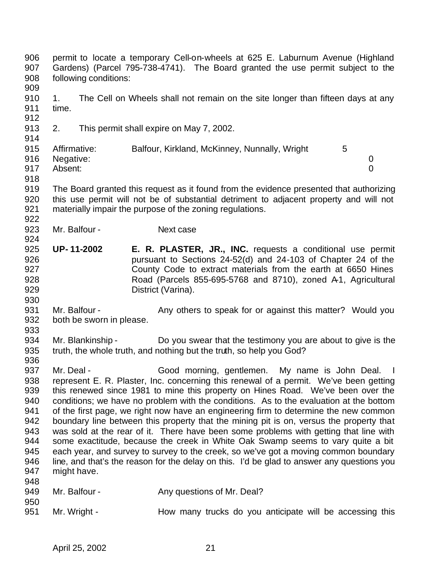permit to locate a temporary Cell-on-wheels at 625 E. Laburnum Avenue (Highland Gardens) (Parcel 795-738-4741). The Board granted the use permit subject to the following conditions: 1. The Cell on Wheels shall not remain on the site longer than fifteen days at any time. 2. This permit shall expire on May 7, 2002. 915 Affirmative: Balfour, Kirkland, McKinney, Nunnally, Wright 5 Negative: 0 Absent: 0 The Board granted this request as it found from the evidence presented that authorizing this use permit will not be of substantial detriment to adjacent property and will not materially impair the purpose of the zoning regulations. 923 Mr. Balfour - Next case **UP- 11-2002 E. R. PLASTER, JR., INC.** requests a conditional use permit pursuant to Sections 24-52(d) and 24-103 of Chapter 24 of the County Code to extract materials from the earth at 6650 Hines Road (Parcels 855-695-5768 and 8710), zoned A-1, Agricultural District (Varina). 931 Mr. Balfour - Any others to speak for or against this matter? Would you both be sworn in please. 934 Mr. Blankinship - Do you swear that the testimony you are about to give is the truth, the whole truth, and nothing but the truth, so help you God? 936<br>937 Mr. Deal - Good morning, gentlemen. My name is John Deal. I represent E. R. Plaster, Inc. concerning this renewal of a permit. We've been getting this renewed since 1981 to mine this property on Hines Road. We've been over the conditions; we have no problem with the conditions. As to the evaluation at the bottom of the first page, we right now have an engineering firm to determine the new common boundary line between this property that the mining pit is on, versus the property that was sold at the rear of it. There have been some problems with getting that line with some exactitude, because the creek in White Oak Swamp seems to vary quite a bit each year, and survey to survey to the creek, so we've got a moving common boundary line, and that's the reason for the delay on this. I'd be glad to answer any questions you might have. 949 Mr. Balfour - Any questions of Mr. Deal? 951 Mr. Wright - How many trucks do you anticipate will be accessing this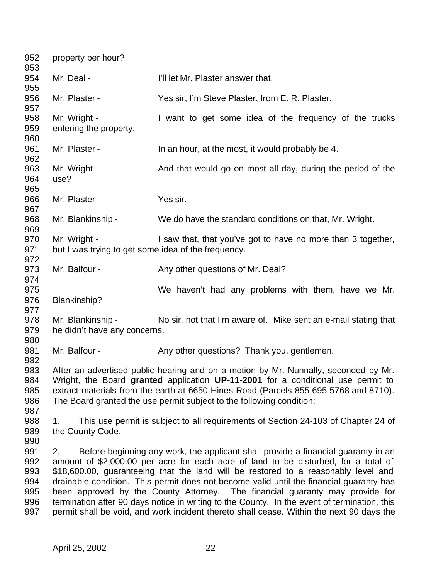| 952<br>953                                    | property per hour?                                                  |                                                                                                                                                                                                                                                                                                                                                                                                                                                                                                                                                                                                                                       |
|-----------------------------------------------|---------------------------------------------------------------------|---------------------------------------------------------------------------------------------------------------------------------------------------------------------------------------------------------------------------------------------------------------------------------------------------------------------------------------------------------------------------------------------------------------------------------------------------------------------------------------------------------------------------------------------------------------------------------------------------------------------------------------|
| 954<br>955                                    | Mr. Deal -                                                          | I'll let Mr. Plaster answer that.                                                                                                                                                                                                                                                                                                                                                                                                                                                                                                                                                                                                     |
| 956<br>957                                    | Mr. Plaster -                                                       | Yes sir, I'm Steve Plaster, from E. R. Plaster.                                                                                                                                                                                                                                                                                                                                                                                                                                                                                                                                                                                       |
| 958<br>959<br>960                             | Mr. Wright -<br>entering the property.                              | I want to get some idea of the frequency of the trucks                                                                                                                                                                                                                                                                                                                                                                                                                                                                                                                                                                                |
| 961<br>962                                    | Mr. Plaster -                                                       | In an hour, at the most, it would probably be 4.                                                                                                                                                                                                                                                                                                                                                                                                                                                                                                                                                                                      |
| 963<br>964<br>965                             | Mr. Wright -<br>use?                                                | And that would go on most all day, during the period of the                                                                                                                                                                                                                                                                                                                                                                                                                                                                                                                                                                           |
| 966<br>967                                    | Mr. Plaster -                                                       | Yes sir.                                                                                                                                                                                                                                                                                                                                                                                                                                                                                                                                                                                                                              |
| 968<br>969                                    | Mr. Blankinship -                                                   | We do have the standard conditions on that, Mr. Wright.                                                                                                                                                                                                                                                                                                                                                                                                                                                                                                                                                                               |
| 970<br>971<br>972                             | Mr. Wright -<br>but I was trying to get some idea of the frequency. | I saw that, that you've got to have no more than 3 together,                                                                                                                                                                                                                                                                                                                                                                                                                                                                                                                                                                          |
| 973<br>974                                    | Mr. Balfour -                                                       | Any other questions of Mr. Deal?                                                                                                                                                                                                                                                                                                                                                                                                                                                                                                                                                                                                      |
| 975<br>976<br>977                             | Blankinship?                                                        | We haven't had any problems with them, have we Mr.                                                                                                                                                                                                                                                                                                                                                                                                                                                                                                                                                                                    |
| 978<br>979<br>980                             | Mr. Blankinship -<br>he didn't have any concerns.                   | No sir, not that I'm aware of. Mike sent an e-mail stating that                                                                                                                                                                                                                                                                                                                                                                                                                                                                                                                                                                       |
| 981<br>982                                    | Mr. Balfour -                                                       | Any other questions? Thank you, gentlemen.                                                                                                                                                                                                                                                                                                                                                                                                                                                                                                                                                                                            |
| 983<br>984<br>985<br>986<br>987               |                                                                     | After an advertised public hearing and on a motion by Mr. Nunnally, seconded by Mr.<br>Wright, the Board granted application UP-11-2001 for a conditional use permit to<br>extract materials from the earth at 6650 Hines Road (Parcels 855-695-5768 and 8710).<br>The Board granted the use permit subject to the following condition:                                                                                                                                                                                                                                                                                               |
| 988<br>989<br>990                             | 1.<br>the County Code.                                              | This use permit is subject to all requirements of Section 24-103 of Chapter 24 of                                                                                                                                                                                                                                                                                                                                                                                                                                                                                                                                                     |
| 991<br>992<br>993<br>994<br>995<br>996<br>997 | 2.                                                                  | Before beginning any work, the applicant shall provide a financial guaranty in an<br>amount of \$2,000.00 per acre for each acre of land to be disturbed, for a total of<br>\$18,600.00, guaranteeing that the land will be restored to a reasonably level and<br>drainable condition. This permit does not become valid until the financial guaranty has<br>been approved by the County Attorney. The financial guaranty may provide for<br>termination after 90 days notice in writing to the County. In the event of termination, this<br>permit shall be void, and work incident thereto shall cease. Within the next 90 days the |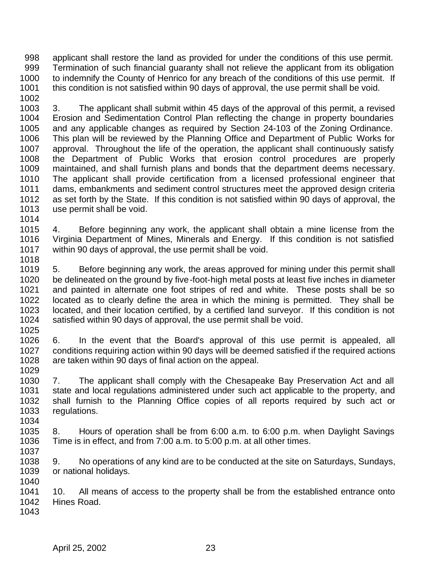applicant shall restore the land as provided for under the conditions of this use permit. Termination of such financial guaranty shall not relieve the applicant from its obligation to indemnify the County of Henrico for any breach of the conditions of this use permit. If 1001 this condition is not satisfied within 90 days of approval, the use permit shall be void.

 3. The applicant shall submit within 45 days of the approval of this permit, a revised Erosion and Sedimentation Control Plan reflecting the change in property boundaries and any applicable changes as required by Section 24-103 of the Zoning Ordinance. This plan will be reviewed by the Planning Office and Department of Public Works for approval. Throughout the life of the operation, the applicant shall continuously satisfy the Department of Public Works that erosion control procedures are properly maintained, and shall furnish plans and bonds that the department deems necessary. The applicant shall provide certification from a licensed professional engineer that dams, embankments and sediment control structures meet the approved design criteria as set forth by the State. If this condition is not satisfied within 90 days of approval, the use permit shall be void.

 4. Before beginning any work, the applicant shall obtain a mine license from the Virginia Department of Mines, Minerals and Energy. If this condition is not satisfied within 90 days of approval, the use permit shall be void. 

 5. Before beginning any work, the areas approved for mining under this permit shall 1020 be delineated on the ground by five-foot-high metal posts at least five inches in diameter<br>1021 and painted in alternate one foot stripes of red and white. These posts shall be so and painted in alternate one foot stripes of red and white. These posts shall be so 1022 located as to clearly define the area in which the mining is permitted. They shall be<br>1023 located, and their location certified, by a certified land surveyor. If this condition is not located, and their location certified, by a certified land surveyor. If this condition is not satisfied within 90 days of approval, the use permit shall be void. 

 6. In the event that the Board's approval of this use permit is appealed, all conditions requiring action within 90 days will be deemed satisfied if the required actions are taken within 90 days of final action on the appeal. 

 7. The applicant shall comply with the Chesapeake Bay Preservation Act and all state and local regulations administered under such act applicable to the property, and shall furnish to the Planning Office copies of all reports required by such act or regulations. 

- 8. Hours of operation shall be from 6:00 a.m. to 6:00 p.m. when Daylight Savings Time is in effect, and from 7:00 a.m. to 5:00 p.m. at all other times.
- 9. No operations of any kind are to be conducted at the site on Saturdays, Sundays, or national holidays.

 10. All means of access to the property shall be from the established entrance onto Hines Road.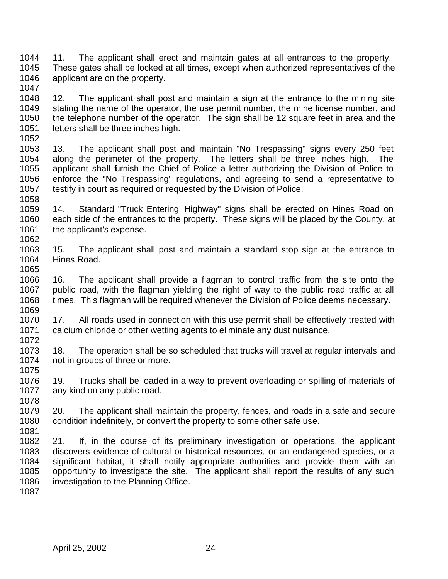- 11. The applicant shall erect and maintain gates at all entrances to the property. These gates shall be locked at all times, except when authorized representatives of the applicant are on the property.
- 1048 12. The applicant shall post and maintain a sign at the entrance to the mining site<br>1049 stating the name of the operator, the use permit number, the mine license number, and stating the name of the operator, the use permit number, the mine license number, and the telephone number of the operator. The sign shall be 12 square feet in area and the letters shall be three inches high.
- 13. The applicant shall post and maintain "No Trespassing" signs every 250 feet along the perimeter of the property. The letters shall be three inches high. The applicant shall furnish the Chief of Police a letter authorizing the Division of Police to enforce the "No Trespassing" regulations, and agreeing to send a representative to testify in court as required or requested by the Division of Police.
- 14. Standard "Truck Entering Highway" signs shall be erected on Hines Road on each side of the entrances to the property. These signs will be placed by the County, at 1061 the applicant's expense.
- 15. The applicant shall post and maintain a standard stop sign at the entrance to Hines Road.
- 1066 16. The applicant shall provide a flagman to control traffic from the site onto the 1067 public road, with the flagman vielding the right of way to the public road traffic at all public road, with the flagman yielding the right of way to the public road traffic at all times. This flagman will be required whenever the Division of Police deems necessary.
- 17. All roads used in connection with this use permit shall be effectively treated with calcium chloride or other wetting agents to eliminate any dust nuisance.
- 18. The operation shall be so scheduled that trucks will travel at regular intervals and not in groups of three or more.
- 19. Trucks shall be loaded in a way to prevent overloading or spilling of materials of any kind on any public road.
- 1078<br>1079 20. The applicant shall maintain the property, fences, and roads in a safe and secure condition indefinitely, or convert the property to some other safe use.
- 21. If, in the course of its preliminary investigation or operations, the applicant discovers evidence of cultural or historical resources, or an endangered species, or a significant habitat, it shall notify appropriate authorities and provide them with an opportunity to investigate the site. The applicant shall report the results of any such investigation to the Planning Office.
-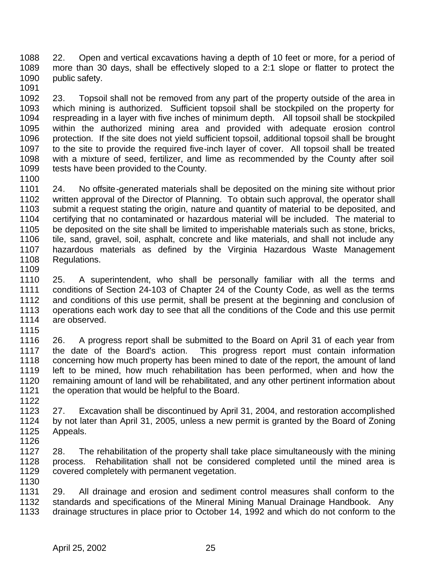22. Open and vertical excavations having a depth of 10 feet or more, for a period of more than 30 days, shall be effectively sloped to a 2:1 slope or flatter to protect the 1090 public safety. 

 23. Topsoil shall not be removed from any part of the property outside of the area in which mining is authorized. Sufficient topsoil shall be stockpiled on the property for respreading in a layer with five inches of minimum depth. All topsoil shall be stockpiled within the authorized mining area and provided with adequate erosion control protection. If the site does not yield sufficient topsoil, additional topsoil shall be brought to the site to provide the required five-inch layer of cover. All topsoil shall be treated with a mixture of seed, fertilizer, and lime as recommended by the County after soil tests have been provided to the County.

 24. No offsite-generated materials shall be deposited on the mining site without prior written approval of the Director of Planning. To obtain such approval, the operator shall submit a request stating the origin, nature and quantity of material to be deposited, and certifying that no contaminated or hazardous material will be included. The material to be deposited on the site shall be limited to imperishable materials such as stone, bricks, tile, sand, gravel, soil, asphalt, concrete and like materials, and shall not include any hazardous materials as defined by the Virginia Hazardous Waste Management Regulations.

1110 25. A superintendent, who shall be personally familiar with all the terms and<br>1111 conditions of Section 24-103 of Chapter 24 of the County Code, as well as the terms conditions of Section 24-103 of Chapter 24 of the County Code, as well as the terms 1112 and conditions of this use permit, shall be present at the beginning and conclusion of 1113 operations each work day to see that all the conditions of the Code and this use permit operations each work day to see that all the conditions of the Code and this use permit are observed.

 26. A progress report shall be submitted to the Board on April 31 of each year from the date of the Board's action. This progress report must contain information 1118 concerning how much property has been mined to date of the report, the amount of land<br>1119 left to be mined, how much rehabilitation has been performed, when and how the left to be mined, how much rehabilitation has been performed, when and how the remaining amount of land will be rehabilitated, and any other pertinent information about the operation that would be helpful to the Board.

1122<br>1123 27. Excavation shall be discontinued by April 31, 2004, and restoration accomplished by not later than April 31, 2005, unless a new permit is granted by the Board of Zoning Appeals.

 28. The rehabilitation of the property shall take place simultaneously with the mining process. Rehabilitation shall not be considered completed until the mined area is covered completely with permanent vegetation. 

 29. All drainage and erosion and sediment control measures shall conform to the standards and specifications of the Mineral Mining Manual Drainage Handbook. Any drainage structures in place prior to October 14, 1992 and which do not conform to the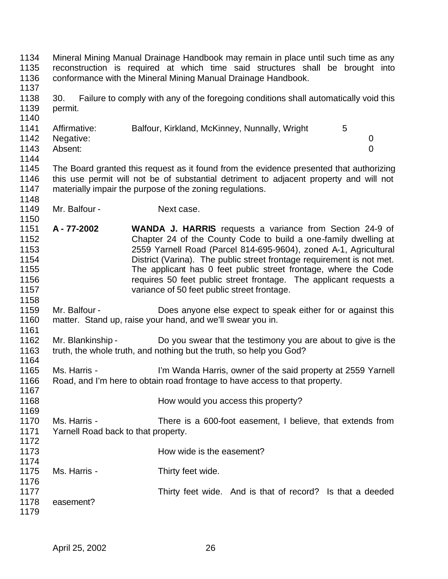| 1134<br>1135<br>1136<br>1137                                 |                                                     | Mineral Mining Manual Drainage Handbook may remain in place until such time as any<br>reconstruction is required at which time said structures shall be brought into<br>conformance with the Mineral Mining Manual Drainage Handbook.                                                                                                                                                                                                                                  |
|--------------------------------------------------------------|-----------------------------------------------------|------------------------------------------------------------------------------------------------------------------------------------------------------------------------------------------------------------------------------------------------------------------------------------------------------------------------------------------------------------------------------------------------------------------------------------------------------------------------|
| 1138<br>1139<br>1140                                         | 30.<br>permit.                                      | Failure to comply with any of the foregoing conditions shall automatically void this                                                                                                                                                                                                                                                                                                                                                                                   |
| 1141<br>1142<br>1143<br>1144                                 | Affirmative:<br>Negative:<br>Absent:                | Balfour, Kirkland, McKinney, Nunnally, Wright<br>5<br>0<br>$\overline{0}$                                                                                                                                                                                                                                                                                                                                                                                              |
| 1145<br>1146<br>1147<br>1148                                 |                                                     | The Board granted this request as it found from the evidence presented that authorizing<br>this use permit will not be of substantial detriment to adjacent property and will not<br>materially impair the purpose of the zoning regulations.                                                                                                                                                                                                                          |
| 1149<br>1150                                                 | Mr. Balfour -                                       | Next case.                                                                                                                                                                                                                                                                                                                                                                                                                                                             |
| 1151<br>1152<br>1153<br>1154<br>1155<br>1156<br>1157<br>1158 | A-77-2002                                           | <b>WANDA J. HARRIS</b> requests a variance from Section 24-9 of<br>Chapter 24 of the County Code to build a one-family dwelling at<br>2559 Yarnell Road (Parcel 814-695-9604), zoned A-1, Agricultural<br>District (Varina). The public street frontage requirement is not met.<br>The applicant has 0 feet public street frontage, where the Code<br>requires 50 feet public street frontage. The applicant requests a<br>variance of 50 feet public street frontage. |
| 1159<br>1160<br>1161                                         | Mr. Balfour -                                       | Does anyone else expect to speak either for or against this<br>matter. Stand up, raise your hand, and we'll swear you in.                                                                                                                                                                                                                                                                                                                                              |
| 1162<br>1163<br>1164                                         | Mr. Blankinship -                                   | Do you swear that the testimony you are about to give is the<br>truth, the whole truth, and nothing but the truth, so help you God?                                                                                                                                                                                                                                                                                                                                    |
| 1165<br>1166<br>1167                                         | Ms. Harris -                                        | I'm Wanda Harris, owner of the said property at 2559 Yarnell<br>Road, and I'm here to obtain road frontage to have access to that property.                                                                                                                                                                                                                                                                                                                            |
| 1168<br>1169                                                 |                                                     | How would you access this property?                                                                                                                                                                                                                                                                                                                                                                                                                                    |
| 1170<br>1171<br>1172                                         | Ms. Harris -<br>Yarnell Road back to that property. | There is a 600-foot easement, I believe, that extends from                                                                                                                                                                                                                                                                                                                                                                                                             |
| 1173                                                         |                                                     | How wide is the easement?                                                                                                                                                                                                                                                                                                                                                                                                                                              |
| 1174<br>1175<br>1176                                         | Ms. Harris -                                        | Thirty feet wide.                                                                                                                                                                                                                                                                                                                                                                                                                                                      |
| 1177<br>1178<br>1179                                         | easement?                                           | Thirty feet wide. And is that of record? Is that a deeded                                                                                                                                                                                                                                                                                                                                                                                                              |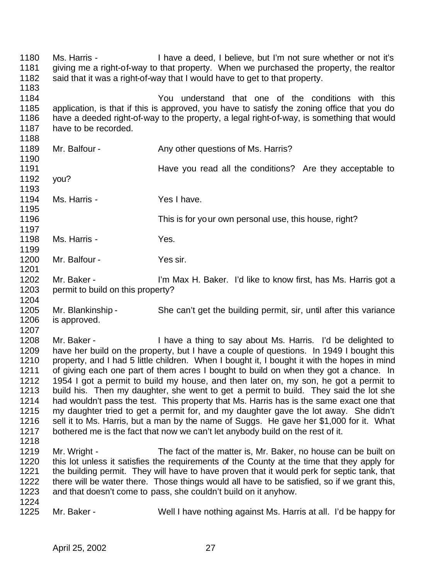Ms. Harris - I have a deed, I believe, but I'm not sure whether or not it's giving me a right-of-way to that property. When we purchased the property, the realtor said that it was a right-of-way that I would have to get to that property. You understand that one of the conditions with this application, is that if this is approved, you have to satisfy the zoning office that you do have a deeded right-of-way to the property, a legal right-of-way, is something that would 1187 have to be recorded. 1189 Mr. Balfour - Any other questions of Ms. Harris? Have you read all the conditions? Are they acceptable to you? Ms. Harris - Yes I have. This is for your own personal use, this house, right? Ms. Harris - Yes. 1200 Mr. Balfour - Yes sir. 1202 Mr. Baker - I'm Max H. Baker. I'd like to know first, has Ms. Harris got a permit to build on this property? Mr. Blankinship - She can't get the building permit, sir, until after this variance is approved. Mr. Baker - I have a thing to say about Ms. Harris. I'd be delighted to have her build on the property, but I have a couple of questions. In 1949 I bought this 1210 property, and I had 5 little children. When I bought it, I bought it with the hopes in mind<br>1211 of giving each one part of them acres I bought to build on when they got a chance. In of giving each one part of them acres I bought to build on when they got a chance. In 1954 I got a permit to build my house, and then later on, my son, he got a permit to build his. Then my daughter, she went to get a permit to build. They said the lot she 1214 had wouldn't pass the test. This property that Ms. Harris has is the same exact one that 1215 my daughter tried to get a permit for, and my daughter gave the lot away. She didn't my daughter tried to get a permit for, and my daughter gave the lot away. She didn't sell it to Ms. Harris, but a man by the name of Suggs. He gave her \$1,000 for it. What bothered me is the fact that now we can't let anybody build on the rest of it. 1219 Mr. Wright - The fact of the matter is, Mr. Baker, no house can be built on 1220 this lot unless it satisfies the requirements of the County at the time that they apply for 1221 the building permit. They will have to have proven that it would perk for septic tank, that the building permit. They will have to have proven that it would perk for septic tank, that there will be water there. Those things would all have to be satisfied, so if we grant this, and that doesn't come to pass, she couldn't build on it anyhow. 1224<br>1225 Mr. Baker - Well I have nothing against Ms. Harris at all. I'd be happy for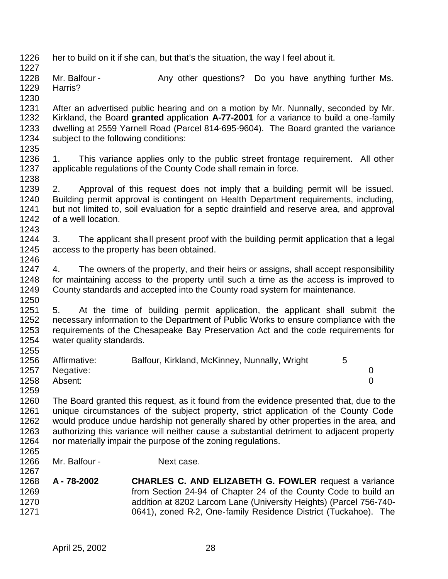- her to build on it if she can, but that's the situation, the way I feel about it.
- 1228 Mr. Balfour Any other questions? Do you have anything further Ms. Harris?
- 1230<br>1231 1231 After an advertised public hearing and on a motion by Mr. Nunnally, seconded by Mr.<br>1232 Kirkland, the Board **granted** application **A-77-2001** for a variance to build a one-family Kirkland, the Board **granted** application A-77-2001 for a variance to build a one-family dwelling at 2559 Yarnell Road (Parcel 814-695-9604). The Board granted the variance subject to the following conditions:
- 1235<br>1236
- 1. This variance applies only to the public street frontage requirement. All other applicable regulations of the County Code shall remain in force.
- 2. Approval of this request does not imply that a building permit will be issued. Building permit approval is contingent on Health Department requirements, including, but not limited to, soil evaluation for a septic drainfield and reserve area, and approval of a well location.
- 3. The applicant shall present proof with the building permit application that a legal access to the property has been obtained.
- 4. The owners of the property, and their heirs or assigns, shall accept responsibility 1248 for maintaining access to the property until such a time as the access is improved to 1249 County standards and accepted into the County road system for maintenance. County standards and accepted into the County road system for maintenance.
- 5. At the time of building permit application, the applicant shall submit the necessary information to the Department of Public Works to ensure compliance with the requirements of the Chesapeake Bay Preservation Act and the code requirements for water quality standards.
- 1256 Affirmative: Balfour, Kirkland, McKinney, Nunnally, Wright 5<br>1257 Negative: Negative: 0 Absent: 0
- The Board granted this request, as it found from the evidence presented that, due to the unique circumstances of the subject property, strict application of the County Code would produce undue hardship not generally shared by other properties in the area, and authorizing this variance will neither cause a substantial detriment to adjacent property nor materially impair the purpose of the zoning regulations.
- Mr. Balfour - Next case.

- 
- **A 78-2002 CHARLES C. AND ELIZABETH G. FOWLER** request a variance from Section 24-94 of Chapter 24 of the County Code to build an addition at 8202 Larcom Lane (University Heights) (Parcel 756-740- 0641), zoned R-2, One-family Residence District (Tuckahoe). The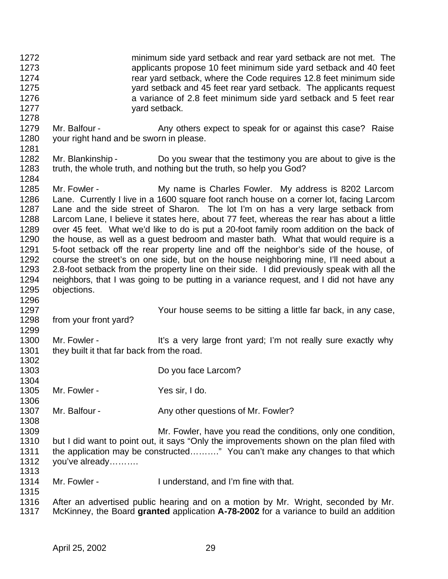- minimum side yard setback and rear yard setback are not met. The applicants propose 10 feet minimum side yard setback and 40 feet rear yard setback, where the Code requires 12.8 feet minimum side yard setback and 45 feet rear yard setback. The applicants request a variance of 2.8 feet minimum side yard setback and 5 feet rear 1277 yard setback.
- 1279 Mr. Balfour Any others expect to speak for or against this case? Raise your right hand and be sworn in please.
- 1282 Mr. Blankinship Do you swear that the testimony you are about to give is the truth, the whole truth, and nothing but the truth, so help you God?
- Mr. Fowler My name is Charles Fowler. My address is 8202 Larcom Lane. Currently I live in a 1600 square foot ranch house on a corner lot, facing Larcom Lane and the side street of Sharon. The lot I'm on has a very large setback from Larcom Lane, I believe it states here, about 77 feet, whereas the rear has about a little 1289 over 45 feet. What we'd like to do is put a 20-foot family room addition on the back of 1290 the house, as well as a quest bedroom and master bath. What that would require is a the house, as well as a guest bedroom and master bath. What that would require is a 5-foot setback off the rear property line and off the neighbor's side of the house, of course the street's on one side, but on the house neighboring mine, I'll need about a 2.8-foot setback from the property line on their side. I did previously speak with all the 1294 neighbors, that I was going to be putting in a variance request, and I did not have any 1295 objections. objections.
- Your house seems to be sitting a little far back, in any case, from your front yard?
- 1300 Mr. Fowler - It's a very large front yard; I'm not really sure exactly why 1301 they built it that far back from the road.
- Do you face Larcom? Mr. Fowler - Yes sir, I do. 1306<br>1307 Mr. Balfour - Any other questions of Mr. Fowler? Mr. Fowler, have you read the conditions, only one condition, but I did want to point out, it says "Only the improvements shown on the plan filed with the application may be constructed………." You can't make any changes to that which you've already……….
	- Mr. Fowler I understand, and I'm fine with that.
	- 1316 After an advertised public hearing and on a motion by Mr. Wright, seconded by Mr.<br>1317 McKinney, the Board **granted** application A-78-2002 for a variance to build an addition McKinney, the Board **granted** application **A-78-2002** for a variance to build an addition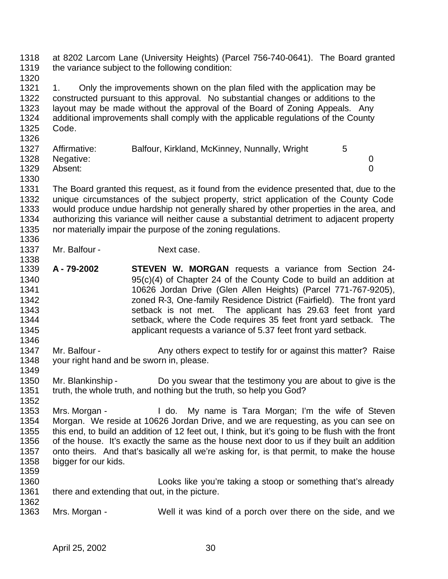at 8202 Larcom Lane (University Heights) (Parcel 756-740-0641). The Board granted the variance subject to the following condition: 

1321 1. Only the improvements shown on the plan filed with the application may be constructed pursuant to this approval. No substantial changes or additions to the layout may be made without the approval of the Board of Zoning Appeals. Any additional improvements shall comply with the applicable regulations of the County Code. 

| 1327 | Affirmative:   | Balfour, Kirkland, McKinney, Nunnally, Wright |  |
|------|----------------|-----------------------------------------------|--|
|      | 1328 Negative: |                                               |  |
| 1329 | Absent:        |                                               |  |

 The Board granted this request, as it found from the evidence presented that, due to the unique circumstances of the subject property, strict application of the County Code would produce undue hardship not generally shared by other properties in the area, and authorizing this variance will neither cause a substantial detriment to adjacent property nor materially impair the purpose of the zoning regulations. 

- 1337 Mr. Balfour Next case.
- **A 79-2002 STEVEN W. MORGAN** requests a variance from Section 24- 95(c)(4) of Chapter 24 of the County Code to build an addition at 10626 Jordan Drive (Glen Allen Heights) (Parcel 771-767-9205), zoned R-3, One-family Residence District (Fairfield). The front yard setback is not met. The applicant has 29.63 feet front yard setback, where the Code requires 35 feet front yard setback. The applicant requests a variance of 5.37 feet front yard setback.
- 1347 Mr. Balfour Any others expect to testify for or against this matter? Raise your right hand and be sworn in, please.
- Mr. Blankinship Do you swear that the testimony you are about to give is the truth, the whole truth, and nothing but the truth, so help you God?
- 1352<br>1353 Mrs. Morgan - I do. My name is Tara Morgan; I'm the wife of Steven Morgan. We reside at 10626 Jordan Drive, and we are requesting, as you can see on this end, to build an addition of 12 feet out, I think, but it's going to be flush with the front of the house. It's exactly the same as the house next door to us if they built an addition onto theirs. And that's basically all we're asking for, is that permit, to make the house bigger for our kids.
- Looks like you're taking a stoop or something that's already 1361 there and extending that out, in the picture.
- Mrs. Morgan Well it was kind of a porch over there on the side, and we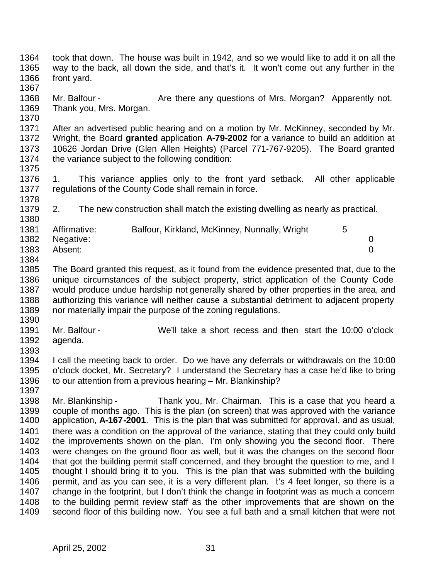way to the back, all down the side, and that's it. It won't come out any further in the front yard. 1368 Mr. Balfour - Are there any questions of Mrs. Morgan? Apparently not. Thank you, Mrs. Morgan. 1371 After an advertised public hearing and on a motion by Mr. McKinney, seconded by Mr.<br>1372 Wright, the Board **granted** application A-79-2002 for a variance to build an addition at Wright, the Board **granted** application **A-79-2002** for a variance to build an addition at 10626 Jordan Drive (Glen Allen Heights) (Parcel 771-767-9205). The Board granted the variance subject to the following condition: 1. This variance applies only to the front yard setback. All other applicable regulations of the County Code shall remain in force. 2. The new construction shall match the existing dwelling as nearly as practical. 1381 Affirmative: Balfour, Kirkland, McKinney, Nunnally, Wright 5 Negative: 0 Absent: 0 The Board granted this request, as it found from the evidence presented that, due to the 1386 unique circumstances of the subject property, strict application of the County Code<br>1387 would produce undue hardship not generally shared by other properties in the area, and would produce undue hardship not generally shared by other properties in the area, and authorizing this variance will neither cause a substantial detriment to adjacent property nor materially impair the purpose of the zoning regulations. Mr. Balfour - We'll take a short recess and then start the 10:00 o'clock agenda. 1394 I call the meeting back to order. Do we have any deferrals or withdrawals on the 10:00<br>1395 o'clock docket. Mr. Secretary? I understand the Secretary has a case he'd like to bring o'clock docket, Mr. Secretary? I understand the Secretary has a case he'd like to bring 1396 to our attention from a previous hearing – Mr. Blankinship? 1398 Mr. Blankinship - Thank you, Mr. Chairman. This is a case that you heard a<br>1399 couple of months ago. This is the plan (on screen) that was approved with the variance 1399 couple of months ago. This is the plan (on screen) that was approved with the variance<br>1400 application. A-167-2001. This is the plan that was submitted for approval, and as usual. application, A-167-2001. This is the plan that was submitted for approval, and as usual, 1401 there was a condition on the approval of the variance, stating that they could only build the improvements shown on the plan. I'm only showing you the second floor. There were changes on the ground floor as well, but it was the changes on the second floor

took that down. The house was built in 1942, and so we would like to add it on all the

April 25, 2002 31

1404 that got the building permit staff concerned, and they brought the question to me, and I thought I should bring it to you. This is the plan that was submitted with the building 1406 permit, and as you can see, it is a very different plan. It's 4 feet longer, so there is a change in the footprint, but I don't think the change in footprint was as much a concern to the building permit review staff as the other improvements that are shown on the second floor of this building now. You see a full bath and a small kitchen that were not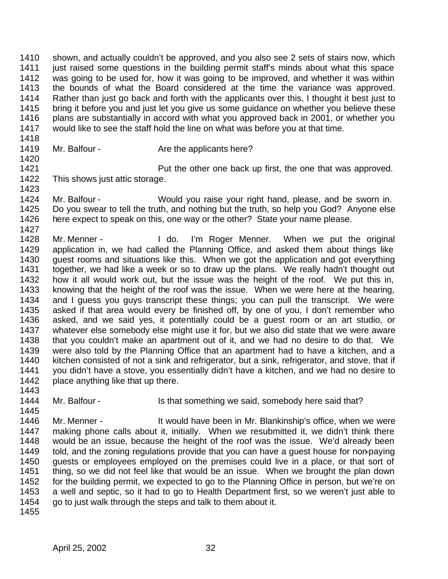shown, and actually couldn't be approved, and you also see 2 sets of stairs now, which just raised some questions in the building permit staff's minds about what this space was going to be used for, how it was going to be improved, and whether it was within the bounds of what the Board considered at the time the variance was approved. 1414 Rather than just go back and forth with the applicants over this, I thought it best just to<br>1415 bring it before vou and just let vou give us some guidance on whether vou believe these bring it before you and just let you give us some guidance on whether you believe these 1416 plans are substantially in accord with what you approved back in 2001, or whether you would like to see the staff hold the line on what was before you at that time.

- 1419 Mr. Balfour Are the applicants here?
- **Put the other one back up first, the one that was approved.**  This shows just attic storage.
- Mr. Balfour Would you raise your right hand, please, and be sworn in. Do you swear to tell the truth, and nothing but the truth, so help you God? Anyone else here expect to speak on this, one way or the other? State your name please.
- 1427<br>1428 Mr. Menner - The Letter Hotel i'm Roger Menner. When we put the original application in, we had called the Planning Office, and asked them about things like guest rooms and situations like this. When we got the application and got everything together, we had like a week or so to draw up the plans. We really hadn't thought out 1432 how it all would work out, but the issue was the height of the roof. We put this in,<br>1433 knowing that the height of the roof was the issue. When we were here at the hearing. knowing that the height of the roof was the issue. When we were here at the hearing, and I guess you guys transcript these things; you can pull the transcript. We were asked if that area would every be finished off, by one of you, I don't remember who asked, and we said yes, it potentially could be a guest room or an art studio, or whatever else somebody else might use it for, but we also did state that we were aware that you couldn't make an apartment out of it, and we had no desire to do that. We were also told by the Planning Office that an apartment had to have a kitchen, and a 1440 kitchen consisted of not a sink and refrigerator, but a sink, refrigerator, and stove, that if 1441 vou didn't have a stove, vou essentially didn't have version and we had no desire to you didn't have a stove, you essentially didn't have a kitchen, and we had no desire to 1442 place anything like that up there.
- 1444 Mr. Balfour Is that something we said, somebody here said that?
- Mr. Menner It would have been in Mr. Blankinship's office, when we were making phone calls about it, initially. When we resubmitted it, we didn't think there would be an issue, because the height of the roof was the issue. We'd already been told, and the zoning regulations provide that you can have a guest house for non-paying guests or employees employed on the premises could live in a place, or that sort of thing, so we did not feel like that would be an issue. When we brought the plan down for the building permit, we expected to go to the Planning Office in person, but we're on a well and septic, so it had to go to Health Department first, so we weren't just able to go to just walk through the steps and talk to them about it.
-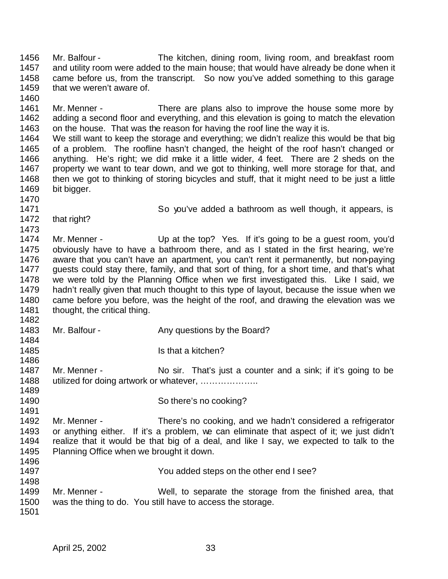Mr. Balfour - The kitchen, dining room, living room, and breakfast room and utility room were added to the main house; that would have already be done when it came before us, from the transcript. So now you've added something to this garage that we weren't aware of. 1461 Mr. Menner - There are plans also to improve the house some more by adding a second floor and everything, and this elevation is going to match the elevation on the house. That was the reason for having the roof line the way it is. We still want to keep the storage and everything; we didn't realize this would be that big of a problem. The roofline hasn't changed, the height of the roof hasn't changed or anything. He's right; we did make it a little wider, 4 feet. There are 2 sheds on the property we want to tear down, and we got to thinking, well more storage for that, and then we got to thinking of storing bicycles and stuff, that it might need to be just a little bit bigger. So you've added a bathroom as well though, it appears, is that right? 1473<br>1474 Mr. Menner - Up at the top? Yes. If it's going to be a guest room, you'd obviously have to have a bathroom there, and as I stated in the first hearing, we're aware that you can't have an apartment, you can't rent it permanently, but non-paying guests could stay there, family, and that sort of thing, for a short time, and that's what we were told by the Planning Office when we first investigated this. Like I said, we hadn't really given that much thought to this type of layout, because the issue when we came before you before, was the height of the roof, and drawing the elevation was we 1481 thought, the critical thing. 1483 Mr. Balfour - Any questions by the Board? **Is that a kitchen?** 1486<br>1487 Mr. Menner - No sir. That's just a counter and a sink; if it's going to be 1488 utilized for doing artwork or whatever, .................... 1490 So there's no cooking? Mr. Menner - There's no cooking, and we hadn't considered a refrigerator or anything either. If it's a problem, we can eliminate that aspect of it; we just didn't realize that it would be that big of a deal, and like I say, we expected to talk to the Planning Office when we brought it down. You added steps on the other end I see? Mr. Menner - Well, to separate the storage from the finished area, that was the thing to do. You still have to access the storage.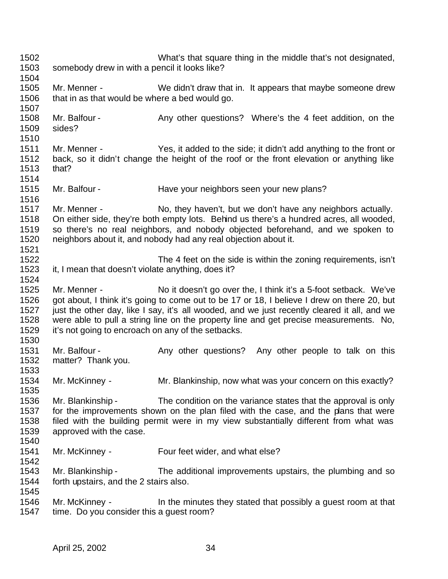What's that square thing in the middle that's not designated, somebody drew in with a pencil it looks like? Mr. Menner - We didn't draw that in. It appears that maybe someone drew that in as that would be where a bed would go. 1508 Mr. Balfour - Any other questions? Where's the 4 feet addition, on the sides? 1511 Mr. Menner - Yes, it added to the side; it didn't add anything to the front or<br>1512 back, so it didn't change the height of the roof or the front elevation or anything like back, so it didn't change the height of the roof or the front elevation or anything like that? Mr. Balfour - Have your neighbors seen your new plans? Mr. Menner - No, they haven't, but we don't have any neighbors actually. On either side, they're both empty lots. Behind us there's a hundred acres, all wooded, so there's no real neighbors, and nobody objected beforehand, and we spoken to neighbors about it, and nobody had any real objection about it. The 4 feet on the side is within the zoning requirements, isn't it, I mean that doesn't violate anything, does it? 1524<br>1525 Mr. Menner - No it doesn't go over the, I think it's a 5-foot setback. We've got about, I think it's going to come out to be 17 or 18, I believe I drew on there 20, but just the other day, like I say, it's all wooded, and we just recently cleared it all, and we were able to pull a string line on the property line and get precise measurements. No, it's not going to encroach on any of the setbacks. 1531 Mr. Balfour - Any other questions? Any other people to talk on this matter? Thank you. Mr. McKinney - Mr. Blankinship, now what was your concern on this exactly? Mr. Blankinship - The condition on the variance states that the approval is only for the improvements shown on the plan filed with the case, and the plans that were filed with the building permit were in my view substantially different from what was approved with the case. Mr. McKinney - Four feet wider, and what else? 1542<br>1543 Mr. Blankinship - The additional improvements upstairs, the plumbing and so forth upstairs, and the 2 stairs also. 1546 Mr. McKinney - In the minutes they stated that possibly a guest room at that 1547 time. Do you consider this a quest room? time. Do you consider this a quest room?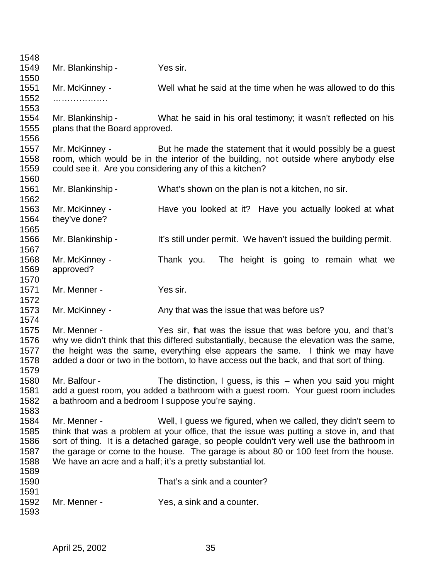1549 Mr. Blankinship - Yes sir. Mr. McKinney - Well what he said at the time when he was allowed to do this ………………. Mr. Blankinship - What he said in his oral testimony; it wasn't reflected on his plans that the Board approved. Mr. McKinney - But he made the statement that it would possibly be a guest room, which would be in the interior of the building, not outside where anybody else could see it. Are you considering any of this a kitchen? Mr. Blankinship - What's shown on the plan is not a kitchen, no sir. Mr. McKinney - Have you looked at it? Have you actually looked at what they've done? Mr. Blankinship - It's still under permit. We haven't issued the building permit. Mr. McKinney - Thank you. The height is going to remain what we approved? 1570<br>1571 Mr. Menner - Yes sir. 1573 Mr. McKinney - Any that was the issue that was before us? 1575 Mr. Menner - Yes sir, that was the issue that was before you, and that's 1576 why we didn't think that this differed substantially, because the elevation was the same, why we didn't think that this differed substantially, because the elevation was the same, the height was the same, everything else appears the same. I think we may have added a door or two in the bottom, to have access out the back, and that sort of thing. Mr. Balfour - The distinction, I guess, is this – when you said you might add a guest room, you added a bathroom with a guest room. Your guest room includes a bathroom and a bedroom I suppose you're saying. Mr. Menner - Well, I guess we figured, when we called, they didn't seem to think that was a problem at your office, that the issue was putting a stove in, and that sort of thing. It is a detached garage, so people couldn't very well use the bathroom in the garage or come to the house. The garage is about 80 or 100 feet from the house. We have an acre and a half; it's a pretty substantial lot. That's a sink and a counter? Mr. Menner - Yes, a sink and a counter.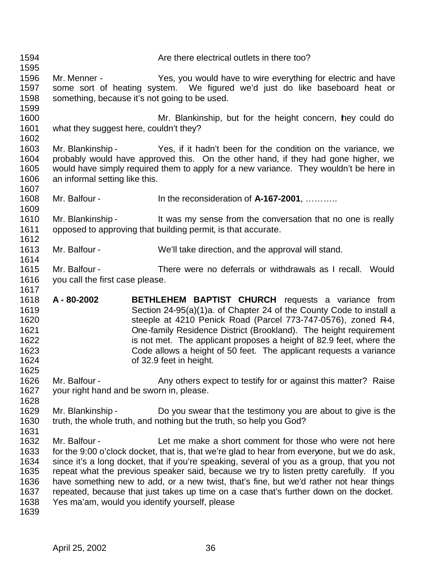| 1594<br>1595                                                 |                                                  | Are there electrical outlets in there too?                                                                                                                                                                                                                                                                                                                                                                                                                                                                                                                                              |
|--------------------------------------------------------------|--------------------------------------------------|-----------------------------------------------------------------------------------------------------------------------------------------------------------------------------------------------------------------------------------------------------------------------------------------------------------------------------------------------------------------------------------------------------------------------------------------------------------------------------------------------------------------------------------------------------------------------------------------|
| 1596<br>1597<br>1598<br>1599                                 | Mr. Menner -                                     | Yes, you would have to wire everything for electric and have<br>some sort of heating system. We figured we'd just do like baseboard heat or<br>something, because it's not going to be used.                                                                                                                                                                                                                                                                                                                                                                                            |
| 1600<br>1601<br>1602                                         | what they suggest here, couldn't they?           | Mr. Blankinship, but for the height concern, hey could do                                                                                                                                                                                                                                                                                                                                                                                                                                                                                                                               |
| 1603<br>1604<br>1605<br>1606<br>1607                         | an informal setting like this.                   | Mr. Blankinship - Yes, if it hadn't been for the condition on the variance, we<br>probably would have approved this. On the other hand, if they had gone higher, we<br>would have simply required them to apply for a new variance. They wouldn't be here in                                                                                                                                                                                                                                                                                                                            |
| 1608<br>1609                                                 | Mr. Balfour -                                    | In the reconsideration of $A-167-2001$ ,                                                                                                                                                                                                                                                                                                                                                                                                                                                                                                                                                |
| 1610<br>1611<br>1612                                         | Mr. Blankinship -                                | It was my sense from the conversation that no one is really<br>opposed to approving that building permit, is that accurate.                                                                                                                                                                                                                                                                                                                                                                                                                                                             |
| 1613<br>1614                                                 | Mr. Balfour -                                    | We'll take direction, and the approval will stand.                                                                                                                                                                                                                                                                                                                                                                                                                                                                                                                                      |
| 1615<br>1616<br>1617                                         | Mr. Balfour -<br>you call the first case please. | There were no deferrals or withdrawals as I recall. Would                                                                                                                                                                                                                                                                                                                                                                                                                                                                                                                               |
| 1618<br>1619<br>1620<br>1621<br>1622<br>1623<br>1624<br>1625 | A - 80-2002                                      | <b>BETHLEHEM BAPTIST CHURCH</b> requests a variance from<br>Section 24-95(a)(1)a. of Chapter 24 of the County Code to install a<br>steeple at 4210 Penick Road (Parcel 773-747-0576), zoned R-4,<br>One-family Residence District (Brookland). The height requirement<br>is not met. The applicant proposes a height of 82.9 feet, where the<br>Code allows a height of 50 feet. The applicant requests a variance<br>of 32.9 feet in height.                                                                                                                                           |
| 1626<br>1627<br>1628                                         | Mr. Balfour -                                    | Any others expect to testify for or against this matter? Raise<br>your right hand and be sworn in, please.                                                                                                                                                                                                                                                                                                                                                                                                                                                                              |
| 1629<br>1630<br>1631                                         | Mr. Blankinship -                                | Do you swear that the testimony you are about to give is the<br>truth, the whole truth, and nothing but the truth, so help you God?                                                                                                                                                                                                                                                                                                                                                                                                                                                     |
| 1632<br>1633<br>1634<br>1635<br>1636<br>1637<br>1638<br>1639 | Mr. Balfour -                                    | Let me make a short comment for those who were not here<br>for the 9:00 o'clock docket, that is, that we're glad to hear from everyone, but we do ask,<br>since it's a long docket, that if you're speaking, several of you as a group, that you not<br>repeat what the previous speaker said, because we try to listen pretty carefully. If you<br>have something new to add, or a new twist, that's fine, but we'd rather not hear things<br>repeated, because that just takes up time on a case that's further down on the docket.<br>Yes ma'am, would you identify yourself, please |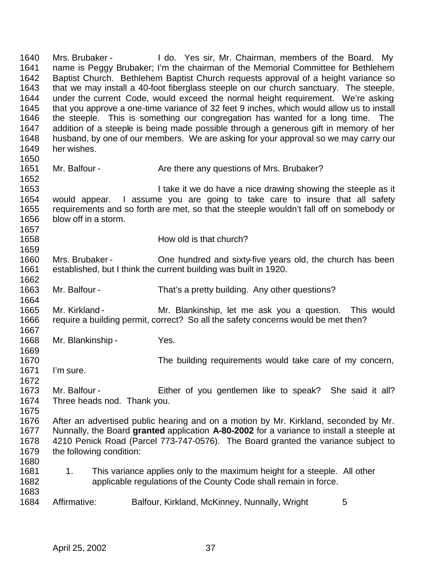Mrs. Brubaker - I do. Yes sir, Mr. Chairman, members of the Board. My name is Peggy Brubaker; I'm the chairman of the Memorial Committee for Bethlehem Baptist Church. Bethlehem Baptist Church requests approval of a height variance so that we may install a 40-foot fiberglass steeple on our church sanctuary. The steeple, under the current Code, would exceed the normal height requirement. We're asking that you approve a one-time variance of 32 feet 9 inches, which would allow us to install the steeple. This is something our congregation has wanted for a long time. The addition of a steeple is being made possible through a generous gift in memory of her husband, by one of our members. We are asking for your approval so we may carry our her wishes. 1651 Mr. Balfour - Are there any questions of Mrs. Brubaker? **I take it we do have a nice drawing showing the steeple as it**  would appear. I assume you are going to take care to insure that all safety requirements and so forth are met, so that the steeple wouldn't fall off on somebody or blow off in a storm. How old is that church? Mrs. Brubaker - One hundred and sixty-five years old, the church has been established, but I think the current building was built in 1920. 1662<br>1663 Mr. Balfour - That's a pretty building. Any other questions? Mr. Kirkland - Mr. Blankinship, let me ask you a question. This would require a building permit, correct? So all the safety concerns would be met then? Mr. Blankinship - Yes. 1670 1670 The building requirements would take care of my concern,<br>1671 I'm sure. I'm sure. Mr. Balfour - Either of you gentlemen like to speak? She said it all? Three heads nod. Thank you. After an advertised public hearing and on a motion by Mr. Kirkland, seconded by Mr. Nunnally, the Board **granted** application **A-80-2002** for a variance to install a steeple at 4210 Penick Road (Parcel 773-747-0576). The Board granted the variance subject to the following condition: 1681 1. This variance applies only to the maximum height for a steeple. All other applicable regulations of the County Code shall remain in force. 1684 Affirmative: Balfour, Kirkland, McKinney, Nunnally, Wright 5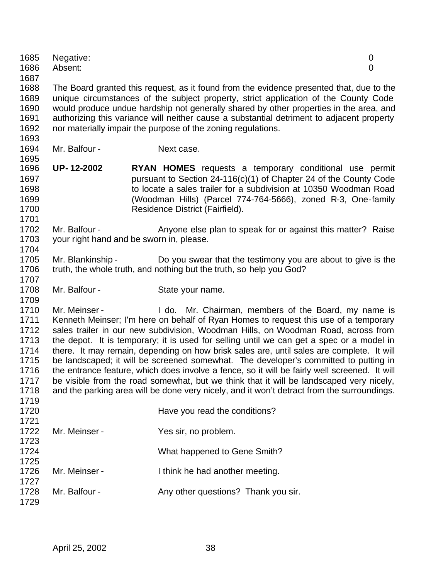| 1687         |                                                                                                                                                                                     |                                                                                                                                                                                          |  |  |
|--------------|-------------------------------------------------------------------------------------------------------------------------------------------------------------------------------------|------------------------------------------------------------------------------------------------------------------------------------------------------------------------------------------|--|--|
| 1688<br>1689 | The Board granted this request, as it found from the evidence presented that, due to the<br>unique circumstances of the subject property, strict application of the County Code     |                                                                                                                                                                                          |  |  |
| 1690<br>1691 | would produce undue hardship not generally shared by other properties in the area, and<br>authorizing this variance will neither cause a substantial detriment to adjacent property |                                                                                                                                                                                          |  |  |
| 1692         |                                                                                                                                                                                     | nor materially impair the purpose of the zoning regulations.                                                                                                                             |  |  |
| 1693         |                                                                                                                                                                                     |                                                                                                                                                                                          |  |  |
| 1694<br>1695 | Mr. Balfour -                                                                                                                                                                       | Next case.                                                                                                                                                                               |  |  |
| 1696         | <b>UP-12-2002</b>                                                                                                                                                                   | <b>RYAN HOMES</b> requests a temporary conditional use permit                                                                                                                            |  |  |
| 1697         |                                                                                                                                                                                     | pursuant to Section $24-116(c)(1)$ of Chapter 24 of the County Code                                                                                                                      |  |  |
| 1698         |                                                                                                                                                                                     | to locate a sales trailer for a subdivision at 10350 Woodman Road                                                                                                                        |  |  |
| 1699<br>1700 |                                                                                                                                                                                     | (Woodman Hills) (Parcel 774-764-5666), zoned R-3, One-family<br>Residence District (Fairfield).                                                                                          |  |  |
| 1701         |                                                                                                                                                                                     |                                                                                                                                                                                          |  |  |
| 1702         | Mr. Balfour -                                                                                                                                                                       | Anyone else plan to speak for or against this matter? Raise                                                                                                                              |  |  |
| 1703         |                                                                                                                                                                                     | your right hand and be sworn in, please.                                                                                                                                                 |  |  |
| 1704<br>1705 | Mr. Blankinship -                                                                                                                                                                   | Do you swear that the testimony you are about to give is the                                                                                                                             |  |  |
| 1706         |                                                                                                                                                                                     | truth, the whole truth, and nothing but the truth, so help you God?                                                                                                                      |  |  |
| 1707         |                                                                                                                                                                                     |                                                                                                                                                                                          |  |  |
| 1708         | Mr. Balfour -                                                                                                                                                                       | State your name.                                                                                                                                                                         |  |  |
| 1709         |                                                                                                                                                                                     |                                                                                                                                                                                          |  |  |
| 1710<br>1711 | Mr. Meinser -                                                                                                                                                                       | I do. Mr. Chairman, members of the Board, my name is<br>Kenneth Meinser; I'm here on behalf of Ryan Homes to request this use of a temporary                                             |  |  |
| 1712         |                                                                                                                                                                                     | sales trailer in our new subdivision, Woodman Hills, on Woodman Road, across from                                                                                                        |  |  |
| 1713         |                                                                                                                                                                                     | the depot. It is temporary; it is used for selling until we can get a spec or a model in                                                                                                 |  |  |
| 1714         |                                                                                                                                                                                     | there. It may remain, depending on how brisk sales are, until sales are complete. It will                                                                                                |  |  |
| 1715         |                                                                                                                                                                                     | be landscaped; it will be screened somewhat. The developer's committed to putting in                                                                                                     |  |  |
| 1716<br>1717 |                                                                                                                                                                                     | the entrance feature, which does involve a fence, so it will be fairly well screened. It will<br>be visible from the road somewhat, but we think that it will be landscaped very nicely, |  |  |
| 1718         |                                                                                                                                                                                     | and the parking area will be done very nicely, and it won't detract from the surroundings.                                                                                               |  |  |
| 1719         |                                                                                                                                                                                     |                                                                                                                                                                                          |  |  |
| 1720         |                                                                                                                                                                                     | Have you read the conditions?                                                                                                                                                            |  |  |
| 1721<br>1722 | Mr. Meinser -                                                                                                                                                                       | Yes sir, no problem.                                                                                                                                                                     |  |  |
| 1723         |                                                                                                                                                                                     |                                                                                                                                                                                          |  |  |
| 1724         |                                                                                                                                                                                     | What happened to Gene Smith?                                                                                                                                                             |  |  |
| 1725         |                                                                                                                                                                                     |                                                                                                                                                                                          |  |  |
| 1726         | Mr. Meinser -                                                                                                                                                                       | I think he had another meeting.                                                                                                                                                          |  |  |
| 1727<br>1728 | Mr. Balfour -                                                                                                                                                                       | Any other questions? Thank you sir.                                                                                                                                                      |  |  |
| 1729         |                                                                                                                                                                                     |                                                                                                                                                                                          |  |  |
|              |                                                                                                                                                                                     |                                                                                                                                                                                          |  |  |
|              |                                                                                                                                                                                     |                                                                                                                                                                                          |  |  |

 Negative: 0 Absent: 0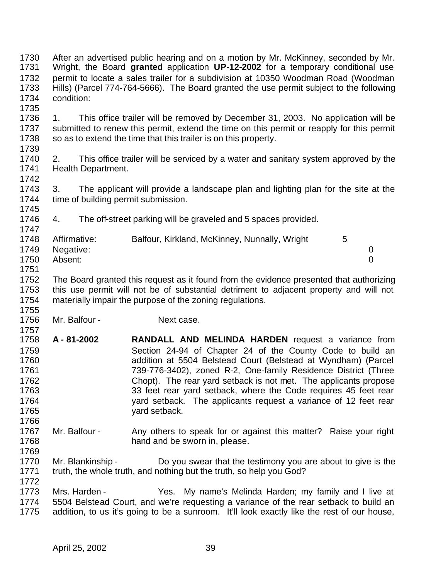After an advertised public hearing and on a motion by Mr. McKinney, seconded by Mr. Wright, the Board **granted** application **UP-12-2002** for a temporary conditional use permit to locate a sales trailer for a subdivision at 10350 Woodman Road (Woodman Hills) (Parcel 774-764-5666). The Board granted the use permit subject to the following condition: 

 1. This office trailer will be removed by December 31, 2003. No application will be submitted to renew this permit, extend the time on this permit or reapply for this permit 1738 so as to extend the time that this trailer is on this property.

 2. This office trailer will be serviced by a water and sanitary system approved by the Health Department.

 3. The applicant will provide a landscape plan and lighting plan for the site at the time of building permit submission. 

4. The off-street parking will be graveled and 5 spaces provided.

| 1748 | Affirmative:   | Balfour, Kirkland, McKinney, Nunnally, Wright |  |
|------|----------------|-----------------------------------------------|--|
|      | 1749 Negative: |                                               |  |
| 1750 | Absent:        |                                               |  |
| 1751 |                |                                               |  |

1752 The Board granted this request as it found from the evidence presented that authorizing<br>1753 this use permit will not be of substantial detriment to adiacent property and will not this use permit will not be of substantial detriment to adjacent property and will not materially impair the purpose of the zoning regulations. 

1756 Mr. Balfour - Next case.

- 1757<br>1758 **A - 81-2002 RANDALL AND MELINDA HARDEN** request a variance from Section 24-94 of Chapter 24 of the County Code to build an addition at 5504 Belstead Court (Belstead at Wyndham) (Parcel 739-776-3402), zoned R-2, One-family Residence District (Three Chopt). The rear yard setback is not met. The applicants propose 1763 1763 33 feet rear yard setback, where the Code requires 45 feet rear yard setback. The applicants request a variance of 12 feet rear yard setback.
- Mr. Balfour Any others to speak for or against this matter? Raise your right **hand and be sworn in, please.**
- Mr. Blankinship Do you swear that the testimony you are about to give is the truth, the whole truth, and nothing but the truth, so help you God?

 Mrs. Harden - Yes. My name's Melinda Harden; my family and I live at 5504 Belstead Court, and we're requesting a variance of the rear setback to build an addition, to us it's going to be a sunroom. It'll look exactly like the rest of our house,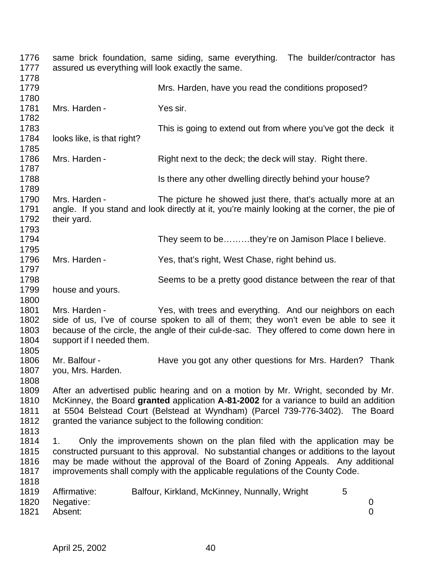| 1776<br>1777                         | assured us everything will look exactly the same. | same brick foundation, same siding, same everything. The builder/contractor has                                                                                                                                                                                                                                                           |  |
|--------------------------------------|---------------------------------------------------|-------------------------------------------------------------------------------------------------------------------------------------------------------------------------------------------------------------------------------------------------------------------------------------------------------------------------------------------|--|
| 1778<br>1779<br>1780                 |                                                   | Mrs. Harden, have you read the conditions proposed?                                                                                                                                                                                                                                                                                       |  |
| 1781<br>1782                         | Mrs. Harden -                                     | Yes sir.                                                                                                                                                                                                                                                                                                                                  |  |
| 1783<br>1784<br>1785                 | looks like, is that right?                        | This is going to extend out from where you've got the deck it                                                                                                                                                                                                                                                                             |  |
| 1786<br>1787                         | Mrs. Harden -                                     | Right next to the deck; the deck will stay. Right there.                                                                                                                                                                                                                                                                                  |  |
| 1788<br>1789                         |                                                   | Is there any other dwelling directly behind your house?                                                                                                                                                                                                                                                                                   |  |
| 1790<br>1791<br>1792<br>1793         | Mrs. Harden -<br>their yard.                      | The picture he showed just there, that's actually more at an<br>angle. If you stand and look directly at it, you're mainly looking at the corner, the pie of                                                                                                                                                                              |  |
| 1794<br>1795                         |                                                   | They seem to bethey're on Jamison Place I believe.                                                                                                                                                                                                                                                                                        |  |
| 1796<br>1797                         | Mrs. Harden -                                     | Yes, that's right, West Chase, right behind us.                                                                                                                                                                                                                                                                                           |  |
| 1798<br>1799<br>1800                 | house and yours.                                  | Seems to be a pretty good distance between the rear of that                                                                                                                                                                                                                                                                               |  |
| 1801<br>1802<br>1803<br>1804<br>1805 | Mrs. Harden -<br>support if I needed them.        | Yes, with trees and everything. And our neighbors on each<br>side of us, I've of course spoken to all of them; they won't even be able to see it<br>because of the circle, the angle of their cul-de-sac. They offered to come down here in                                                                                               |  |
| 1806<br>1807<br>1808                 | Mr. Balfour -<br>you, Mrs. Harden.                | Have you got any other questions for Mrs. Harden? Thank                                                                                                                                                                                                                                                                                   |  |
| 1809<br>1810<br>1811<br>1812<br>1813 |                                                   | After an advertised public hearing and on a motion by Mr. Wright, seconded by Mr.<br>McKinney, the Board granted application A-81-2002 for a variance to build an addition<br>at 5504 Belstead Court (Belstead at Wyndham) (Parcel 739-776-3402). The Board<br>granted the variance subject to the following condition:                   |  |
| 1814<br>1815<br>1816<br>1817<br>1818 | 1.                                                | Only the improvements shown on the plan filed with the application may be<br>constructed pursuant to this approval. No substantial changes or additions to the layout<br>may be made without the approval of the Board of Zoning Appeals. Any additional<br>improvements shall comply with the applicable regulations of the County Code. |  |
| 1819<br>1820<br>1821                 | Affirmative:<br>Negative:<br>Absent:              | 5<br>Balfour, Kirkland, McKinney, Nunnally, Wright<br>0<br>$\overline{0}$                                                                                                                                                                                                                                                                 |  |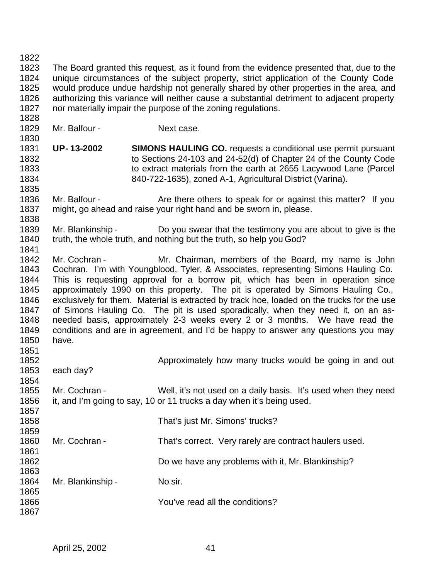The Board granted this request, as it found from the evidence presented that, due to the unique circumstances of the subject property, strict application of the County Code would produce undue hardship not generally shared by other properties in the area, and authorizing this variance will neither cause a substantial detriment to adjacent property nor materially impair the purpose of the zoning regulations. 

- 1829 Mr. Balfour Next case.
- **UP- 13-2002 SIMONS HAULING CO.** requests a conditional use permit pursuant to Sections 24-103 and 24-52(d) of Chapter 24 of the County Code to extract materials from the earth at 2655 Lacywood Lane (Parcel 840-722-1635), zoned A-1, Agricultural District (Varina).
- 1836 Mr. Balfour Are there others to speak for or against this matter? If you might, go ahead and raise your right hand and be sworn in, please.
- Mr. Blankinship Do you swear that the testimony you are about to give is the 1840 truth, the whole truth, and nothing but the truth, so help you God?
- 1842 Mr. Cochran Mr. Chairman, members of the Board, my name is John Cochran. I'm with Youngblood, Tyler, & Associates, representing Simons Hauling Co. 1844 This is requesting approval for a borrow pit, which has been in operation since<br>1845 approximately 1990 on this property. The pit is operated by Simons Hauling Co.. approximately 1990 on this property. The pit is operated by Simons Hauling Co., exclusively for them. Material is extracted by track hoe, loaded on the trucks for the use of Simons Hauling Co. The pit is used sporadically, when they need it, on an as- needed basis, approximately 2-3 weeks every 2 or 3 months. We have read the conditions and are in agreement, and I'd be happy to answer any questions you may have.
- 
- 1852 each day? Approximately how many trucks would be going in and out 1853 each day?
- 
- 

 Mr. Cochran - Well, it's not used on a daily basis. It's used when they need it, and I'm going to say, 10 or 11 trucks a day when it's being used.

 That's just Mr. Simons' trucks?

- 1860 Mr. Cochran That's correct. Very rarely are contract haulers used.
- Do we have any problems with it, Mr. Blankinship?
- 1864 Mr. Blankinship - No sir.
- You've read all the conditions?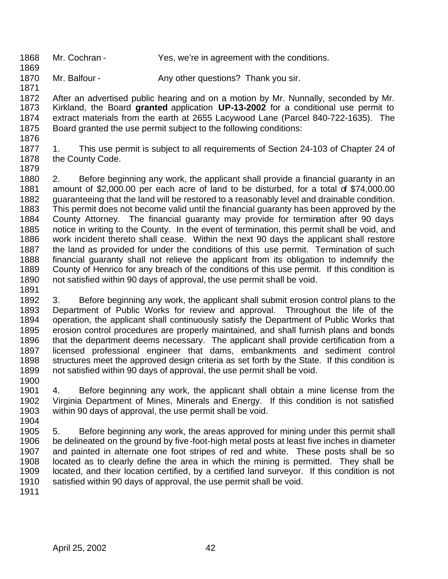Mr. Cochran - Yes, we're in agreement with the conditions.

1870 Mr. Balfour - Any other questions? Thank you sir.

1872 After an advertised public hearing and on a motion by Mr. Nunnally, seconded by Mr.<br>1873 Kirkland, the Board **granted** application UP-13-2002 for a conditional use permit to Kirkland, the Board granted application UP-13-2002 for a conditional use permit to extract materials from the earth at 2655 Lacywood Lane (Parcel 840-722-1635). The Board granted the use permit subject to the following conditions:

 1. This use permit is subject to all requirements of Section 24-103 of Chapter 24 of 1878 the County Code. 

 2. Before beginning any work, the applicant shall provide a financial guaranty in an amount of \$2,000.00 per each acre of land to be disturbed, for a total of \$74,000.00 guaranteeing that the land will be restored to a reasonably level and drainable condition. This permit does not become valid until the financial guaranty has been approved by the County Attorney. The financial guaranty may provide for termination after 90 days notice in writing to the County. In the event of termination, this permit shall be void, and work incident thereto shall cease. Within the next 90 days the applicant shall restore the land as provided for under the conditions of this use permit. Termination of such financial guaranty shall not relieve the applicant from its obligation to indemnify the County of Henrico for any breach of the conditions of this use permit. If this condition is not satisfied within 90 days of approval, the use permit shall be void.

 3. Before beginning any work, the applicant shall submit erosion control plans to the Department of Public Works for review and approval. Throughout the life of the operation, the applicant shall continuously satisfy the Department of Public Works that erosion control procedures are properly maintained, and shall furnish plans and bonds that the department deems necessary. The applicant shall provide certification from a licensed professional engineer that dams, embankments and sediment control 1898 structures meet the approved design criteria as set forth by the State. If this condition is 1899 not satisfied within 90 days of approval, the use permit shall be void. not satisfied within 90 days of approval, the use permit shall be void. 

 4. Before beginning any work, the applicant shall obtain a mine license from the Virginia Department of Mines, Minerals and Energy. If this condition is not satisfied within 90 days of approval, the use permit shall be void. 

 5. Before beginning any work, the areas approved for mining under this permit shall be delineated on the ground by five-foot-high metal posts at least five inches in diameter and painted in alternate one foot stripes of red and white. These posts shall be so located as to clearly define the area in which the mining is permitted. They shall be located, and their location certified, by a certified land surveyor. If this condition is not satisfied within 90 days of approval, the use permit shall be void.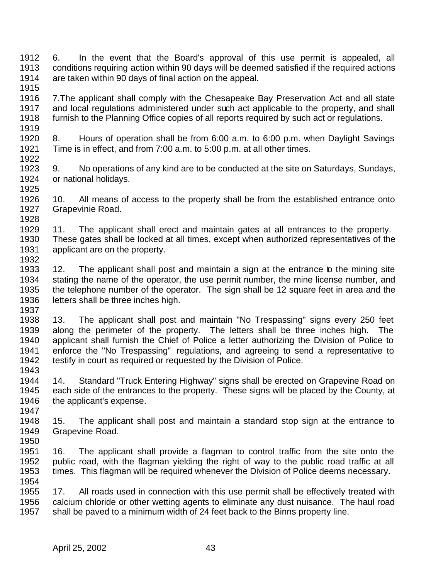6. In the event that the Board's approval of this use permit is appealed, all conditions requiring action within 90 days will be deemed satisfied if the required actions are taken within 90 days of final action on the appeal. 

 7.The applicant shall comply with the Chesapeake Bay Preservation Act and all state and local regulations administered under such act applicable to the property, and shall furnish to the Planning Office copies of all reports required by such act or regulations. 

 8. Hours of operation shall be from 6:00 a.m. to 6:00 p.m. when Daylight Savings Time is in effect, and from 7:00 a.m. to 5:00 p.m. at all other times. 

 9. No operations of any kind are to be conducted at the site on Saturdays, Sundays, or national holidays. 

 10. All means of access to the property shall be from the established entrance onto Grapevinie Road. 

 11. The applicant shall erect and maintain gates at all entrances to the property. These gates shall be locked at all times, except when authorized representatives of the applicant are on the property. 

 12. The applicant shall post and maintain a sign at the entrance to the mining site 1934 stating the name of the operator, the use permit number, the mine license number, and<br>1935 the telephone number of the operator. The sign shall be 12 square feet in area and the the telephone number of the operator. The sign shall be 12 square feet in area and the letters shall be three inches high.

 13. The applicant shall post and maintain "No Trespassing" signs every 250 feet along the perimeter of the property. The letters shall be three inches high. The applicant shall furnish the Chief of Police a letter authorizing the Division of Police to enforce the "No Trespassing" regulations, and agreeing to send a representative to testify in court as required or requested by the Division of Police. 

 14. Standard "Truck Entering Highway" signs shall be erected on Grapevine Road on each side of the entrances to the property. These signs will be placed by the County, at 1946 the applicant's expense.

 15. The applicant shall post and maintain a standard stop sign at the entrance to Grapevine Road.

 16. The applicant shall provide a flagman to control traffic from the site onto the public road, with the flagman yielding the right of way to the public road traffic at all times. This flagman will be required whenever the Division of Police deems necessary.

 17. All roads used in connection with this use permit shall be effectively treated with calcium chloride or other wetting agents to eliminate any dust nuisance. The haul road shall be paved to a minimum width of 24 feet back to the Binns property line.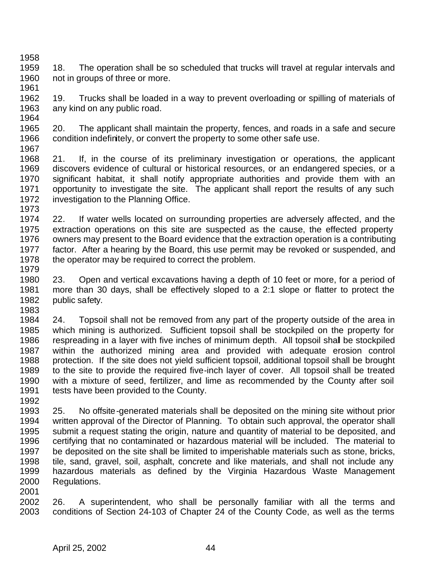- 1959 18. The operation shall be so scheduled that trucks will travel at regular intervals and 1960 not in groups of three or more.
- 19. Trucks shall be loaded in a way to prevent overloading or spilling of materials of any kind on any public road.
- 20. The applicant shall maintain the property, fences, and roads in a safe and secure condition indefinitely, or convert the property to some other safe use.
- 21. If, in the course of its preliminary investigation or operations, the applicant discovers evidence of cultural or historical resources, or an endangered species, or a significant habitat, it shall notify appropriate authorities and provide them with an opportunity to investigate the site. The applicant shall report the results of any such 1972 investigation to the Planning Office.
- 22. If water wells located on surrounding properties are adversely affected, and the 1975 extraction operations on this site are suspected as the cause, the effected property<br>1976 owners may present to the Board evidence that the extraction operation is a contributing owners may present to the Board evidence that the extraction operation is a contributing factor. After a hearing by the Board, this use permit may be revoked or suspended, and 1978 the operator may be required to correct the problem.
- 23. Open and vertical excavations having a depth of 10 feet or more, for a period of more than 30 days, shall be effectively sloped to a 2:1 slope or flatter to protect the public safety.
- 24. Topsoil shall not be removed from any part of the property outside of the area in which mining is authorized. Sufficient topsoil shall be stockpiled on the property for respreading in a layer with five inches of minimum depth. All topsoil shall be stockpiled within the authorized mining area and provided with adequate erosion control protection. If the site does not yield sufficient topsoil, additional topsoil shall be brought to the site to provide the required five-inch layer of cover. All topsoil shall be treated with a mixture of seed, fertilizer, and lime as recommended by the County after soil tests have been provided to the County.
- 1992<br>1993 25. No offsite-generated materials shall be deposited on the mining site without prior written approval of the Director of Planning. To obtain such approval, the operator shall submit a request stating the origin, nature and quantity of material to be deposited, and certifying that no contaminated or hazardous material will be included. The material to be deposited on the site shall be limited to imperishable materials such as stone, bricks, tile, sand, gravel, soil, asphalt, concrete and like materials, and shall not include any hazardous materials as defined by the Virginia Hazardous Waste Management Regulations.
- 
- 26. A superintendent, who shall be personally familiar with all the terms and conditions of Section 24-103 of Chapter 24 of the County Code, as well as the terms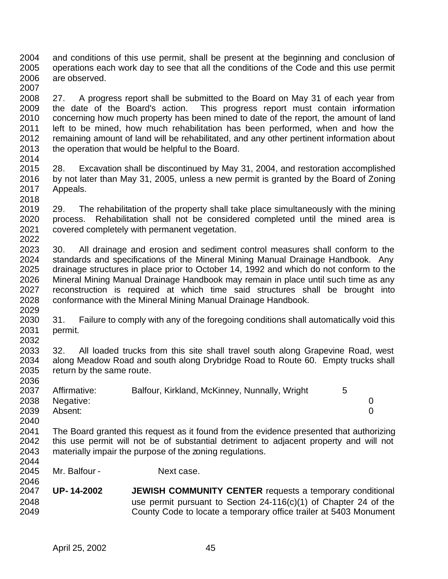and conditions of this use permit, shall be present at the beginning and conclusion of operations each work day to see that all the conditions of the Code and this use permit are observed. 

2008 27. A progress report shall be submitted to the Board on May 31 of each year from<br>2009 the date of the Board's action. This progress report must contain information the date of the Board's action. This progress report must contain information concerning how much property has been mined to date of the report, the amount of land left to be mined, how much rehabilitation has been performed, when and how the remaining amount of land will be rehabilitated, and any other pertinent information about the operation that would be helpful to the Board.

 28. Excavation shall be discontinued by May 31, 2004, and restoration accomplished by not later than May 31, 2005, unless a new permit is granted by the Board of Zoning Appeals.

2018<br>2019 29. The rehabilitation of the property shall take place simultaneously with the mining process. Rehabilitation shall not be considered completed until the mined area is covered completely with permanent vegetation. 

 30. All drainage and erosion and sediment control measures shall conform to the standards and specifications of the Mineral Mining Manual Drainage Handbook. Any drainage structures in place prior to October 14, 1992 and which do not conform to the 2026 Mineral Mining Manual Drainage Handbook may remain in place until such time as any<br>2027 Freconstruction is required at which time said structures shall be brought into reconstruction is required at which time said structures shall be brought into conformance with the Mineral Mining Manual Drainage Handbook. 

 31. Failure to comply with any of the foregoing conditions shall automatically void this permit. 

 32. All loaded trucks from this site shall travel south along Grapevine Road, west 2034 along Meadow Road and south along Drybridge Road to Route 60. Empty trucks shall 2035 return by the same route. return by the same route. 

| 2037 | Affirmative: | Balfour, Kirkland, McKinney, Nunnally, Wright |  |
|------|--------------|-----------------------------------------------|--|
| 2038 | Negative:    |                                               |  |
| 2039 | Absent:      |                                               |  |
| 2040 |              |                                               |  |

 The Board granted this request as it found from the evidence presented that authorizing this use permit will not be of substantial detriment to adjacent property and will not materially impair the purpose of the zoning regulations. 

2045 Mr. Balfour - Next case.

2046<br>2047 **UP- 14-2002 JEWISH COMMUNITY CENTER** requests a temporary conditional use permit pursuant to Section 24-116(c)(1) of Chapter 24 of the County Code to locate a temporary office trailer at 5403 Monument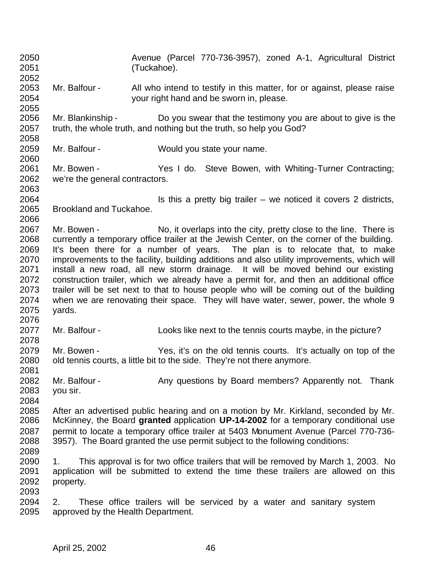Avenue (Parcel 770-736-3957), zoned A-1, Agricultural District (Tuckahoe). Mr. Balfour - All who intend to testify in this matter, for or against, please raise your right hand and be sworn in, please. Mr. Blankinship - Do you swear that the testimony you are about to give is the truth, the whole truth, and nothing but the truth, so help you God? Mr. Balfour - Would you state your name. 2061 Mr. Bowen - Yes I do. Steve Bowen, with Whiting-Turner Contracting; we're the general contractors. **IS this a pretty big trailer** – we noticed it covers 2 districts, Brookland and Tuckahoe. 2067 Mr. Bowen - No, it overlaps into the city, pretty close to the line. There is currently a temporary office trailer at the Jewish Center, on the corner of the building. It's been there for a number of years. The plan is to relocate that, to make improvements to the facility, building additions and also utility improvements, which will install a new road, all new storm drainage. It will be moved behind our existing 2072 construction trailer, which we already have a permit for, and then an additional office<br>2073 trailer will be set next to that to house people who will be coming out of the building trailer will be set next to that to house people who will be coming out of the building 2074 when we are renovating their space. They will have water, sewer, power, the whole 9<br>2075 vards. yards. Mr. Balfour - Looks like next to the tennis courts maybe, in the picture? Mr. Bowen - Yes, it's on the old tennis courts. It's actually on top of the old tennis courts, a little bit to the side. They're not there anymore. 2082 Mr. Balfour - Any questions by Board members? Apparently not. Thank you sir. 2085 After an advertised public hearing and on a motion by Mr. Kirkland, seconded by Mr.<br>2086 McKinney, the Board **granted** application **UP-14-2002** for a temporary conditional use McKinney, the Board **granted** application **UP-14-2002** for a temporary conditional use permit to locate a temporary office trailer at 5403 Monument Avenue (Parcel 770-736- 3957). The Board granted the use permit subject to the following conditions: 1. This approval is for two office trailers that will be removed by March 1, 2003. No application will be submitted to extend the time these trailers are allowed on this property. 2. These office trailers will be serviced by a water and sanitary system approved by the Health Department.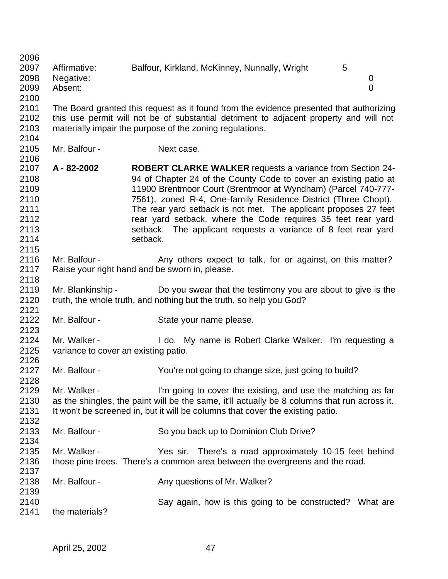2097 Affirmative: Balfour, Kirkland, McKinney, Nunnally, Wright 5 Negative: 0 Absent: 0 The Board granted this request as it found from the evidence presented that authorizing this use permit will not be of substantial detriment to adjacent property and will not materially impair the purpose of the zoning regulations. 2105 Mr. Balfour - Next case. **A - 82-2002 ROBERT CLARKE WALKER** requests a variance from Section 24- 94 of Chapter 24 of the County Code to cover an existing patio at 11900 Brentmoor Court (Brentmoor at Wyndham) (Parcel 740-777- 7561), zoned R-4, One-family Residence District (Three Chopt). The rear yard setback is not met. The applicant proposes 27 feet rear yard setback, where the Code requires 35 feet rear yard **Setback.** The applicant requests a variance of 8 feet rear yard 2114 setback. 2116 Mr. Balfour - Any others expect to talk, for or against, on this matter? Raise your right hand and be sworn in, please. 2118<br>2119 Mr. Blankinship - Do you swear that the testimony you are about to give is the truth, the whole truth, and nothing but the truth, so help you God? Mr. Balfour - State your name please. 2123<br>2124 Mr. Walker - The Multimum of the My name is Robert Clarke Walker. I'm requesting a variance to cover an existing patio. 2126<br>2127 Mr. Balfour - You're not going to change size, just going to build? Mr. Walker - I'm going to cover the existing, and use the matching as far as the shingles, the paint will be the same, it'll actually be 8 columns that run across it. It won't be screened in, but it will be columns that cover the existing patio. Mr. Balfour - So you back up to Dominion Club Drive? Mr. Walker - Yes sir. There's a road approximately 10-15 feet behind those pine trees. There's a common area between the evergreens and the road. 2138 Mr. Balfour - Any questions of Mr. Walker? Say again, how is this going to be constructed? What are

the materials?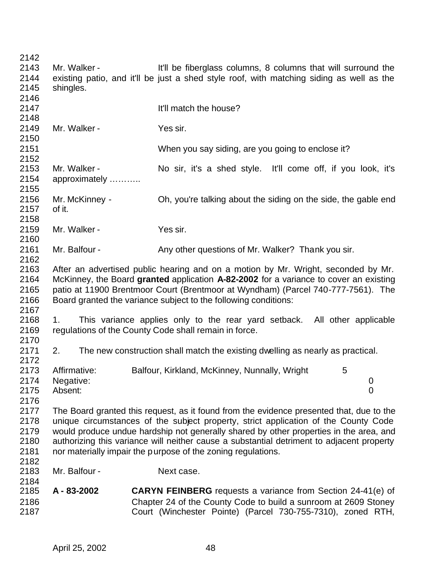| 2142 |                |                                                                                           |
|------|----------------|-------------------------------------------------------------------------------------------|
| 2143 | Mr. Walker -   | It'll be fiberglass columns, 8 columns that will surround the                             |
| 2144 |                | existing patio, and it'll be just a shed style roof, with matching siding as well as the  |
| 2145 | shingles.      |                                                                                           |
| 2146 |                |                                                                                           |
| 2147 |                | It'll match the house?                                                                    |
| 2148 |                |                                                                                           |
| 2149 | Mr. Walker -   | Yes sir.                                                                                  |
| 2150 |                |                                                                                           |
| 2151 |                |                                                                                           |
| 2152 |                | When you say siding, are you going to enclose it?                                         |
|      |                |                                                                                           |
| 2153 | Mr. Walker -   | No sir, it's a shed style. It'll come off, if you look, it's                              |
| 2154 | approximately  |                                                                                           |
| 2155 |                |                                                                                           |
| 2156 | Mr. McKinney - | Oh, you're talking about the siding on the side, the gable end                            |
| 2157 | of it.         |                                                                                           |
| 2158 |                |                                                                                           |
| 2159 | Mr. Walker -   | Yes sir.                                                                                  |
| 2160 |                |                                                                                           |
| 2161 | Mr. Balfour -  | Any other questions of Mr. Walker? Thank you sir.                                         |
| 2162 |                |                                                                                           |
| 2163 |                | After an advertised public hearing and on a motion by Mr. Wright, seconded by Mr.         |
| 2164 |                | McKinney, the Board granted application A-82-2002 for a variance to cover an existing     |
| 2165 |                | patio at 11900 Brentmoor Court (Brentmoor at Wyndham) (Parcel 740-777-7561). The          |
|      |                |                                                                                           |
| 2166 |                | Board granted the variance subject to the following conditions:                           |
| 2167 |                |                                                                                           |
| 2168 | 1.             | This variance applies only to the rear yard setback. All other applicable                 |
| 2169 |                | regulations of the County Code shall remain in force.                                     |
| 2170 |                |                                                                                           |
| 2171 | 2.             | The new construction shall match the existing dwelling as nearly as practical.            |
| 2172 |                |                                                                                           |
| 2173 | Affirmative:   | Balfour, Kirkland, McKinney, Nunnally, Wright<br>5                                        |
| 2174 | Negative:      | $\overline{0}$                                                                            |
| 2175 | Absent:        | $\overline{0}$                                                                            |
| 2176 |                |                                                                                           |
| 2177 |                | The Board granted this request, as it found from the evidence presented that, due to the  |
| 2178 |                | unique circumstances of the subject property, strict application of the County Code       |
|      |                | would produce undue hardship not generally shared by other properties in the area, and    |
| 2179 |                |                                                                                           |
| 2180 |                | authorizing this variance will neither cause a substantial detriment to adjacent property |
| 2181 |                | nor materially impair the purpose of the zoning regulations.                              |
| 2182 |                |                                                                                           |
| 2183 | Mr. Balfour -  | Next case.                                                                                |
| 2184 |                |                                                                                           |
| 2185 | A - 83-2002    | <b>CARYN FEINBERG</b> requests a variance from Section 24-41(e) of                        |
| 2186 |                | Chapter 24 of the County Code to build a sunroom at 2609 Stoney                           |
| 2187 |                | Court (Winchester Pointe) (Parcel 730-755-7310), zoned RTH,                               |
|      |                |                                                                                           |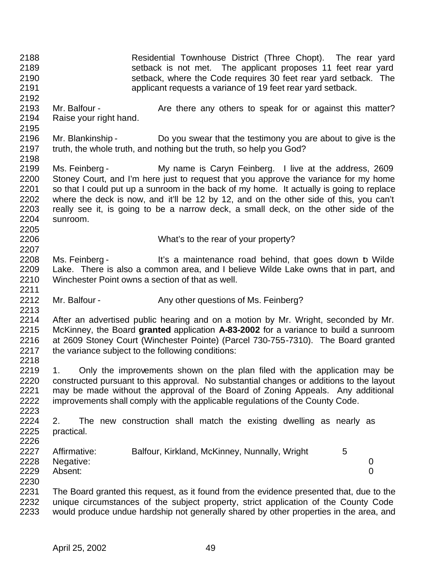Residential Townhouse District (Three Chopt). The rear yard setback is not met. The applicant proposes 11 feet rear yard setback, where the Code requires 30 feet rear yard setback. The applicant requests a variance of 19 feet rear yard setback. 2192<br>2193 Mr. Balfour - The Are there any others to speak for or against this matter? Raise your right hand. Mr. Blankinship - Do you swear that the testimony you are about to give is the truth, the whole truth, and nothing but the truth, so help you God? Ms. Feinberg - My name is Caryn Feinberg. I live at the address, 2609 Stoney Court, and I'm here just to request that you approve the variance for my home so that I could put up a sunroom in the back of my home. It actually is going to replace 2202 where the deck is now, and it'll be 12 by 12, and on the other side of this, you can't 2203 really see it, is going to be a narrow deck, a small deck, on the other side of the really see it, is going to be a narrow deck, a small deck, on the other side of the sunroom. What's to the rear of your property? 2207<br>2208 Ms. Feinberg - It's a maintenance road behind, that goes down b Wilde Lake. There is also a common area, and I believe Wilde Lake owns that in part, and Winchester Point owns a section of that as well. 2212 Mr. Balfour - Any other questions of Ms. Feinberg? After an advertised public hearing and on a motion by Mr. Wright, seconded by Mr. McKinney, the Board **granted** application **A-83-2002** for a variance to build a sunroom at 2609 Stoney Court (Winchester Pointe) (Parcel 730-755-7310). The Board granted the variance subject to the following conditions: 2218<br>2219 1. Only the improvements shown on the plan filed with the application may be constructed pursuant to this approval. No substantial changes or additions to the layout may be made without the approval of the Board of Zoning Appeals. Any additional improvements shall comply with the applicable regulations of the County Code. 2. The new construction shall match the existing dwelling as nearly as practical. 2227 Affirmative: Balfour, Kirkland, McKinney, Nunnally, Wright 5 Negative: 0 Absent: 0 The Board granted this request, as it found from the evidence presented that, due to the 2232 unique circumstances of the subject property, strict application of the County Code<br>2233 would produce undue hardship not generally shared by other properties in the area, and would produce undue hardship not generally shared by other properties in the area, and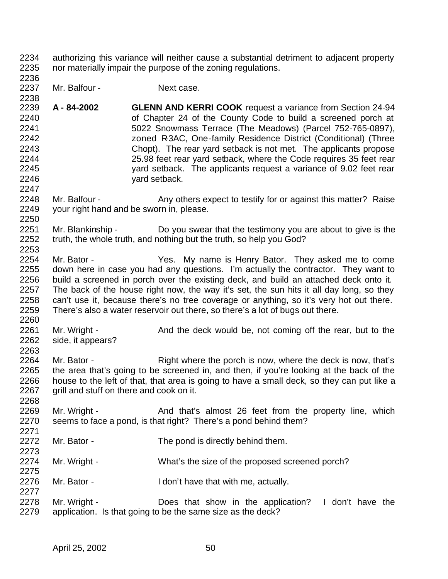- authorizing this variance will neither cause a substantial detriment to adjacent property nor materially impair the purpose of the zoning regulations.
- 2237 Mr. Balfour Next case.

- 2238<br>2239 **A - 84-2002 GLENN AND KERRI COOK** request a variance from Section 24-94 of Chapter 24 of the County Code to build a screened porch at 5022 Snowmass Terrace (The Meadows) (Parcel 752-765-0897), zoned R-3AC, One-family Residence District (Conditional) (Three 2243 Chopt). The rear yard setback is not met. The applicants propose<br>2244 25.98 feet rear vard setback, where the Code requires 35 feet rear 25.98 feet rear yard setback, where the Code requires 35 feet rear yard setback. The applicants request a variance of 9.02 feet rear yard setback.
- 2248 Mr. Balfour Any others expect to testify for or against this matter? Raise<br>2249 vour right hand and be sworn in. please. your right hand and be sworn in, please.
- Mr. Blankinship Do you swear that the testimony you are about to give is the truth, the whole truth, and nothing but the truth, so help you God?
- Mr. Bator Yes. My name is Henry Bator. They asked me to come down here in case you had any questions. I'm actually the contractor. They want to 2256 build a screened in porch over the existing deck, and build an attached deck onto it.<br>2257 The back of the house right now, the way it's set, the sun hits it all day long, so they The back of the house right now, the way it's set, the sun hits it all day long, so they can't use it, because there's no tree coverage or anything, so it's very hot out there. There's also a water reservoir out there, so there's a lot of bugs out there.
- 2261 Mr. Wright And the deck would be, not coming off the rear, but to the 2262 side it appears? side, it appears?
- 2264 Mr. Bator Right where the porch is now, where the deck is now, that's<br>2265 the area that's going to be screened in, and then, if you're looking at the back of the the area that's going to be screened in, and then, if you're looking at the back of the house to the left of that, that area is going to have a small deck, so they can put like a 2267 grill and stuff on there and cook on it.
- 2269 Mr. Wright And that's almost 26 feet from the property line, which<br>2270 seems to face a pond. is that right? There's a pond behind them? seems to face a pond, is that right? There's a pond behind them?
- 2272 Mr. Bator The pond is directly behind them.
- Mr. Wright What's the size of the proposed screened porch?
- Mr. Bator I don't have that with me, actually.
- 2278 Mr. Wright Does that show in the application? I don't have the application. Is that going to be the same size as the deck?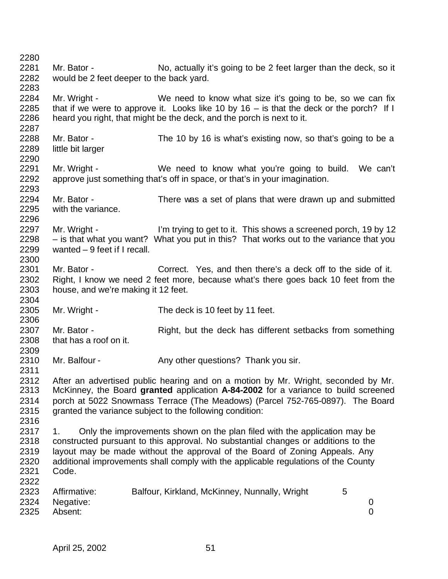2281 Mr. Bator - No, actually it's going to be 2 feet larger than the deck, so it would be 2 feet deeper to the back yard. 2284 Mr. Wright - We need to know what size it's going to be, so we can fix<br>2285 that if we were to approve it. Looks like 10 by 16 – is that the deck or the porch? If I that if we were to approve it. Looks like 10 by 16 – is that the deck or the porch? If I heard you right, that might be the deck, and the porch is next to it. Mr. Bator - The 10 by 16 is what's existing now, so that's going to be a little bit larger Mr. Wright - We need to know what you're going to build. We can't approve just something that's off in space, or that's in your imagination. Mr. Bator - There was a set of plans that were drawn up and submitted with the variance. 2297 Mr. Wright - I'm trying to get to it. This shows a screened porch, 19 by 12 – is that what you want? What you put in this? That works out to the variance that you wanted – 9 feet if I recall. Mr. Bator - Correct. Yes, and then there's a deck off to the side of it. Right, I know we need 2 feet more, because what's there goes back 10 feet from the house, and we're making it 12 feet. Mr. Wright - The deck is 10 feet by 11 feet. 2307 Mr. Bator - Right, but the deck has different setbacks from something<br>2308 that has a roof on it. that has a roof on it. 2310 Mr. Balfour - Any other questions? Thank you sir. 2312 After an advertised public hearing and on a motion by Mr. Wright, seconded by Mr.<br>2313 McKinney, the Board **granted** application A-84-2002 for a variance to build screened McKinney, the Board **granted** application **A-84-2002** for a variance to build screened porch at 5022 Snowmass Terrace (The Meadows) (Parcel 752-765-0897). The Board granted the variance subject to the following condition: 2317 1. Only the improvements shown on the plan filed with the application may be constructed pursuant to this approval. No substantial changes or additions to the layout may be made without the approval of the Board of Zoning Appeals. Any additional improvements shall comply with the applicable regulations of the County Code. 2323 Affirmative: Balfour, Kirkland, McKinney, Nunnally, Wright 5 Negative: 0 Absent: 0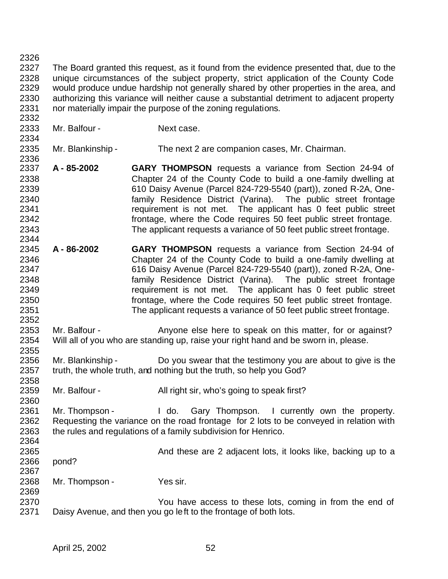The Board granted this request, as it found from the evidence presented that, due to the unique circumstances of the subject property, strict application of the County Code would produce undue hardship not generally shared by other properties in the area, and authorizing this variance will neither cause a substantial detriment to adjacent property nor materially impair the purpose of the zoning regulations.

2333 Mr. Balfour - Next case.

 Mr. Blankinship - The next 2 are companion cases, Mr. Chairman. 

- **A 85-2002 GARY THOMPSON** requests a variance from Section 24-94 of Chapter 24 of the County Code to build a one-family dwelling at 610 Daisy Avenue (Parcel 824-729-5540 (part)), zoned R-2A, One- family Residence District (Varina). The public street frontage requirement is not met. The applicant has 0 feet public street frontage, where the Code requires 50 feet public street frontage. The applicant requests a variance of 50 feet public street frontage.
- **A 86-2002 GARY THOMPSON** requests a variance from Section 24-94 of Chapter 24 of the County Code to build a one-family dwelling at 616 Daisy Avenue (Parcel 824-729-5540 (part)), zoned R-2A, One- family Residence District (Varina). The public street frontage requirement is not met. The applicant has 0 feet public street frontage, where the Code requires 50 feet public street frontage. The applicant requests a variance of 50 feet public street frontage.
- 2353 Mr. Balfour Anyone else here to speak on this matter, for or against? Will all of you who are standing up, raise your right hand and be sworn in, please.
- 2355<br>2356 2356 Mr. Blankinship - Do you swear that the testimony you are about to give is the 2357 truth, the whole truth, and nothing but the truth, so help you God? truth, the whole truth, and nothing but the truth, so help you God?
- 2358<br>2359 Mr. Balfour - All right sir, who's going to speak first?

 Mr. Thompson - I do. Gary Thompson. I currently own the property. Requesting the variance on the road frontage for 2 lots to be conveyed in relation with the rules and regulations of a family subdivision for Henrico. 

- And these are 2 adjacent lots, it looks like, backing up to a
- pond?
- Mr. Thompson Yes sir.
- You have access to these lots, coming in from the end of Daisy Avenue, and then you go left to the frontage of both lots.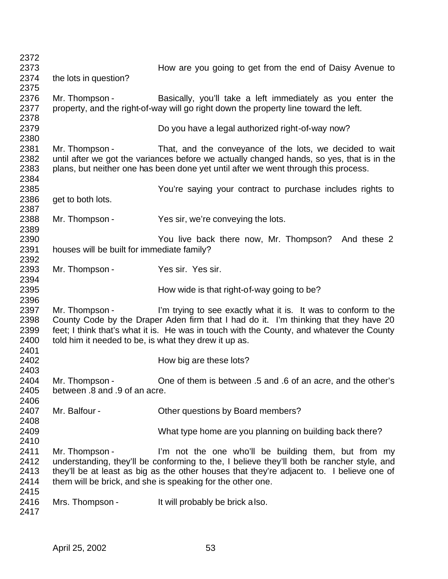| 2372                 |                                                       |                                                                                                                                                                                                                                             |
|----------------------|-------------------------------------------------------|---------------------------------------------------------------------------------------------------------------------------------------------------------------------------------------------------------------------------------------------|
| 2373                 |                                                       | How are you going to get from the end of Daisy Avenue to                                                                                                                                                                                    |
| 2374                 | the lots in question?                                 |                                                                                                                                                                                                                                             |
| 2375                 |                                                       |                                                                                                                                                                                                                                             |
| 2376<br>2377         | Mr. Thompson -                                        | Basically, you'll take a left immediately as you enter the<br>property, and the right-of-way will go right down the property line toward the left.                                                                                          |
| 2378                 |                                                       |                                                                                                                                                                                                                                             |
| 2379                 |                                                       | Do you have a legal authorized right-of-way now?                                                                                                                                                                                            |
| 2380                 |                                                       |                                                                                                                                                                                                                                             |
| 2381<br>2382<br>2383 | Mr. Thompson -                                        | That, and the conveyance of the lots, we decided to wait<br>until after we got the variances before we actually changed hands, so yes, that is in the<br>plans, but neither one has been done yet until after we went through this process. |
| 2384                 |                                                       |                                                                                                                                                                                                                                             |
| 2385                 |                                                       | You're saying your contract to purchase includes rights to                                                                                                                                                                                  |
| 2386                 | get to both lots.                                     |                                                                                                                                                                                                                                             |
| 2387                 |                                                       |                                                                                                                                                                                                                                             |
| 2388                 | Mr. Thompson -                                        | Yes sir, we're conveying the lots.                                                                                                                                                                                                          |
| 2389                 |                                                       |                                                                                                                                                                                                                                             |
| 2390                 |                                                       | You live back there now, Mr. Thompson? And these 2                                                                                                                                                                                          |
| 2391                 | houses will be built for immediate family?            |                                                                                                                                                                                                                                             |
| 2392                 |                                                       |                                                                                                                                                                                                                                             |
| 2393                 | Mr. Thompson -                                        | Yes sir. Yes sir.                                                                                                                                                                                                                           |
| 2394                 |                                                       |                                                                                                                                                                                                                                             |
| 2395                 |                                                       | How wide is that right-of-way going to be?                                                                                                                                                                                                  |
| 2396                 |                                                       |                                                                                                                                                                                                                                             |
| 2397<br>2398         | Mr. Thompson -                                        | I'm trying to see exactly what it is. It was to conform to the<br>County Code by the Draper Aden firm that I had do it. I'm thinking that they have 20                                                                                      |
| 2399<br>2400         | told him it needed to be, is what they drew it up as. | feet; I think that's what it is. He was in touch with the County, and whatever the County                                                                                                                                                   |
| 2401                 |                                                       |                                                                                                                                                                                                                                             |
| 2402                 |                                                       | How big are these lots?                                                                                                                                                                                                                     |
| 2403                 |                                                       |                                                                                                                                                                                                                                             |
| 2404                 | Mr. Thompson -                                        | One of them is between .5 and .6 of an acre, and the other's                                                                                                                                                                                |
| 2405                 | between .8 and .9 of an acre.                         |                                                                                                                                                                                                                                             |
| 2406                 |                                                       |                                                                                                                                                                                                                                             |
| 2407                 | Mr. Balfour -                                         | Other questions by Board members?                                                                                                                                                                                                           |
| 2408                 |                                                       |                                                                                                                                                                                                                                             |
| 2409                 |                                                       | What type home are you planning on building back there?                                                                                                                                                                                     |
| 2410                 |                                                       |                                                                                                                                                                                                                                             |
| 2411                 | Mr. Thompson -                                        | I'm not the one who'll be building them, but from my                                                                                                                                                                                        |
| 2412                 |                                                       | understanding, they'll be conforming to the, I believe they'll both be rancher style, and                                                                                                                                                   |
| 2413                 |                                                       | they'll be at least as big as the other houses that they're adjacent to. I believe one of                                                                                                                                                   |
| 2414                 |                                                       | them will be brick, and she is speaking for the other one.                                                                                                                                                                                  |
| 2415                 |                                                       |                                                                                                                                                                                                                                             |
|                      |                                                       |                                                                                                                                                                                                                                             |
| 2416                 | Mrs. Thompson -                                       | It will probably be brick a lso.                                                                                                                                                                                                            |
| 2417                 |                                                       |                                                                                                                                                                                                                                             |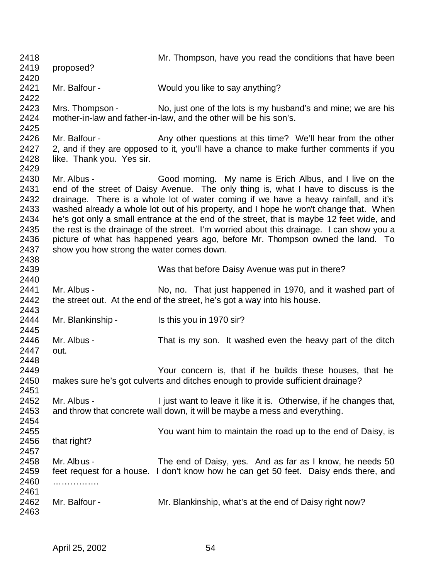| 2418<br>2419                                                 | proposed?                                  | Mr. Thompson, have you read the conditions that have been                                                                                                                                                                                                                                                                                                                                                                                                                                                                                                                                                  |
|--------------------------------------------------------------|--------------------------------------------|------------------------------------------------------------------------------------------------------------------------------------------------------------------------------------------------------------------------------------------------------------------------------------------------------------------------------------------------------------------------------------------------------------------------------------------------------------------------------------------------------------------------------------------------------------------------------------------------------------|
| 2420                                                         |                                            |                                                                                                                                                                                                                                                                                                                                                                                                                                                                                                                                                                                                            |
| 2421<br>2422                                                 | Mr. Balfour -                              | Would you like to say anything?                                                                                                                                                                                                                                                                                                                                                                                                                                                                                                                                                                            |
| 2423<br>2424<br>2425                                         | Mrs. Thompson -                            | No, just one of the lots is my husband's and mine; we are his<br>mother-in-law and father-in-law, and the other will be his son's.                                                                                                                                                                                                                                                                                                                                                                                                                                                                         |
| 2426<br>2427<br>2428                                         | Mr. Balfour -<br>like. Thank you. Yes sir. | Any other questions at this time? We'll hear from the other<br>2, and if they are opposed to it, you'll have a chance to make further comments if you                                                                                                                                                                                                                                                                                                                                                                                                                                                      |
| 2429<br>2430<br>2431<br>2432<br>2433<br>2434<br>2435<br>2436 | Mr. Albus -                                | Good morning. My name is Erich Albus, and I live on the<br>end of the street of Daisy Avenue. The only thing is, what I have to discuss is the<br>drainage. There is a whole lot of water coming if we have a heavy rainfall, and it's<br>washed already a whole lot out of his property, and I hope he won't change that. When<br>he's got only a small entrance at the end of the street, that is maybe 12 feet wide, and<br>the rest is the drainage of the street. I'm worried about this drainage. I can show you a<br>picture of what has happened years ago, before Mr. Thompson owned the land. To |
| 2437<br>2438                                                 | show you how strong the water comes down.  |                                                                                                                                                                                                                                                                                                                                                                                                                                                                                                                                                                                                            |
| 2439<br>2440                                                 |                                            | Was that before Daisy Avenue was put in there?                                                                                                                                                                                                                                                                                                                                                                                                                                                                                                                                                             |
| 2441<br>2442                                                 | Mr. Albus -                                | No, no. That just happened in 1970, and it washed part of<br>the street out. At the end of the street, he's got a way into his house.                                                                                                                                                                                                                                                                                                                                                                                                                                                                      |
| 2443<br>2444<br>2445                                         | Mr. Blankinship -                          | Is this you in 1970 sir?                                                                                                                                                                                                                                                                                                                                                                                                                                                                                                                                                                                   |
| 2446<br>2447<br>2448                                         | Mr. Albus -<br>out.                        | That is my son. It washed even the heavy part of the ditch                                                                                                                                                                                                                                                                                                                                                                                                                                                                                                                                                 |
| 2449<br>2450<br>2451                                         |                                            | Your concern is, that if he builds these houses, that he<br>makes sure he's got culverts and ditches enough to provide sufficient drainage?                                                                                                                                                                                                                                                                                                                                                                                                                                                                |
| 2452<br>2453<br>2454                                         | Mr. Albus -                                | I just want to leave it like it is. Otherwise, if he changes that,<br>and throw that concrete wall down, it will be maybe a mess and everything.                                                                                                                                                                                                                                                                                                                                                                                                                                                           |
| 2455<br>2456<br>2457                                         | that right?                                | You want him to maintain the road up to the end of Daisy, is                                                                                                                                                                                                                                                                                                                                                                                                                                                                                                                                               |
| 2458<br>2459<br>2460                                         | Mr. Albus -<br>.                           | The end of Daisy, yes. And as far as I know, he needs 50<br>feet request for a house. I don't know how he can get 50 feet. Daisy ends there, and                                                                                                                                                                                                                                                                                                                                                                                                                                                           |
| 2461<br>2462<br>2463                                         | Mr. Balfour -                              | Mr. Blankinship, what's at the end of Daisy right now?                                                                                                                                                                                                                                                                                                                                                                                                                                                                                                                                                     |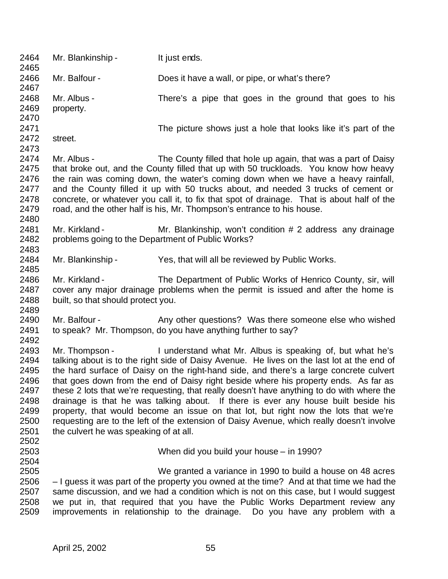| 2464<br>2465                                                                 | Mr. Blankinship -                                                   | It just ends.                                                                                                                                                                                                                                                                                                                                                                                                                                                                                                                                                                                                                                                                                                                    |
|------------------------------------------------------------------------------|---------------------------------------------------------------------|----------------------------------------------------------------------------------------------------------------------------------------------------------------------------------------------------------------------------------------------------------------------------------------------------------------------------------------------------------------------------------------------------------------------------------------------------------------------------------------------------------------------------------------------------------------------------------------------------------------------------------------------------------------------------------------------------------------------------------|
| 2466<br>2467                                                                 | Mr. Balfour -                                                       | Does it have a wall, or pipe, or what's there?                                                                                                                                                                                                                                                                                                                                                                                                                                                                                                                                                                                                                                                                                   |
| 2468<br>2469<br>2470                                                         | Mr. Albus -<br>property.                                            | There's a pipe that goes in the ground that goes to his                                                                                                                                                                                                                                                                                                                                                                                                                                                                                                                                                                                                                                                                          |
| 2471<br>2472<br>2473                                                         | street.                                                             | The picture shows just a hole that looks like it's part of the                                                                                                                                                                                                                                                                                                                                                                                                                                                                                                                                                                                                                                                                   |
| 2474<br>2475<br>2476<br>2477<br>2478<br>2479<br>2480                         | Mr. Albus -                                                         | The County filled that hole up again, that was a part of Daisy<br>that broke out, and the County filled that up with 50 truckloads. You know how heavy<br>the rain was coming down, the water's coming down when we have a heavy rainfall,<br>and the County filled it up with 50 trucks about, and needed 3 trucks of cement or<br>concrete, or whatever you call it, to fix that spot of drainage. That is about half of the<br>road, and the other half is his, Mr. Thompson's entrance to his house.                                                                                                                                                                                                                         |
| 2481<br>2482<br>2483                                                         | Mr. Kirkland -<br>problems going to the Department of Public Works? | Mr. Blankinship, won't condition # 2 address any drainage                                                                                                                                                                                                                                                                                                                                                                                                                                                                                                                                                                                                                                                                        |
| 2484<br>2485                                                                 | Mr. Blankinship -                                                   | Yes, that will all be reviewed by Public Works.                                                                                                                                                                                                                                                                                                                                                                                                                                                                                                                                                                                                                                                                                  |
| 2486<br>2487<br>2488<br>2489                                                 | Mr. Kirkland -<br>built, so that should protect you.                | The Department of Public Works of Henrico County, sir, will<br>cover any major drainage problems when the permit is issued and after the home is                                                                                                                                                                                                                                                                                                                                                                                                                                                                                                                                                                                 |
| 2490<br>2491<br>2492                                                         | Mr. Balfour -                                                       | Any other questions? Was there someone else who wished<br>to speak? Mr. Thompson, do you have anything further to say?                                                                                                                                                                                                                                                                                                                                                                                                                                                                                                                                                                                                           |
| 2493<br>2494<br>2495<br>2496<br>2497<br>2498<br>2499<br>2500<br>2501<br>2502 | the culvert he was speaking of at all.                              | Mr. Thompson - I understand what Mr. Albus is speaking of, but what he's<br>talking about is to the right side of Daisy Avenue. He lives on the last lot at the end of<br>the hard surface of Daisy on the right-hand side, and there's a large concrete culvert<br>that goes down from the end of Daisy right beside where his property ends. As far as<br>these 2 lots that we're requesting, that really doesn't have anything to do with where the<br>drainage is that he was talking about. If there is ever any house built beside his<br>property, that would become an issue on that lot, but right now the lots that we're<br>requesting are to the left of the extension of Daisy Avenue, which really doesn't involve |
| 2503<br>2504                                                                 |                                                                     | When did you build your house – in 1990?                                                                                                                                                                                                                                                                                                                                                                                                                                                                                                                                                                                                                                                                                         |
| 2505<br>2506<br>2507<br>2508<br>2509                                         | improvements in relationship to the drainage.                       | We granted a variance in 1990 to build a house on 48 acres<br>- I guess it was part of the property you owned at the time? And at that time we had the<br>same discussion, and we had a condition which is not on this case, but I would suggest<br>we put in, that required that you have the Public Works Department review any<br>Do you have any problem with a                                                                                                                                                                                                                                                                                                                                                              |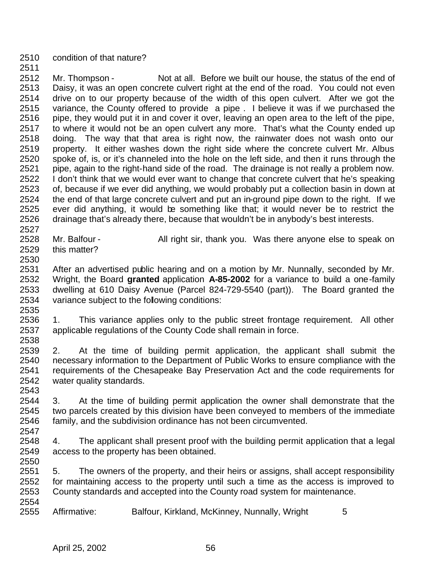condition of that nature?

 Mr. Thompson - Not at all. Before we built our house, the status of the end of Daisy, it was an open concrete culvert right at the end of the road. You could not even drive on to our property because of the width of this open culvert. After we got the variance, the County offered to provide a pipe . I believe it was if we purchased the 2516 pipe, they would put it in and cover it over, leaving an open area to the left of the pipe, to where it would not be an open culvert any more. That's what the County ended up doing. The way that that area is right now, the rainwater does not wash onto our property. It either washes down the right side where the concrete culvert Mr. Albus spoke of, is, or it's channeled into the hole on the left side, and then it runs through the pipe, again to the right-hand side of the road. The drainage is not really a problem now. 2522 I don't think that we would ever want to change that concrete culvert that he's speaking of, because if we ever did anything, we would probably put a collection basin in down at the end of that large concrete culvert and put an in-ground pipe down to the right. If we ever did anything, it would be something like that; it would never be to restrict the drainage that's already there, because that wouldn't be in anybody's best interests.

- 2527<br>2528 Mr. Balfour - All right sir, thank you. Was there anyone else to speak on this matter?
- 

 After an advertised public hearing and on a motion by Mr. Nunnally, seconded by Mr. Wright, the Board **granted** application **A-85-2002** for a variance to build a one-family dwelling at 610 Daisy Avenue (Parcel 824-729-5540 (part)). The Board granted the variance subject to the following conditions: 

 1. This variance applies only to the public street frontage requirement. All other applicable regulations of the County Code shall remain in force. 

 2. At the time of building permit application, the applicant shall submit the 2540 necessary information to the Department of Public Works to ensure compliance with the 2541 requirements of the Chesapeake Bay Preservation Act and the code requirements for requirements of the Chesapeake Bay Preservation Act and the code requirements for water quality standards.

 3. At the time of building permit application the owner shall demonstrate that the 2545 two parcels created by this division have been conveyed to members of the immediate 2546 family, and the subdivision ordinance has not been circumvented. family, and the subdivision ordinance has not been circumvented. 

 4. The applicant shall present proof with the building permit application that a legal access to the property has been obtained.

2550<br>2551 5. The owners of the property, and their heirs or assigns, shall accept responsibility for maintaining access to the property until such a time as the access is improved to County standards and accepted into the County road system for maintenance.

2554<br>2555 Affirmative: Balfour, Kirkland, McKinney, Nunnally, Wright 5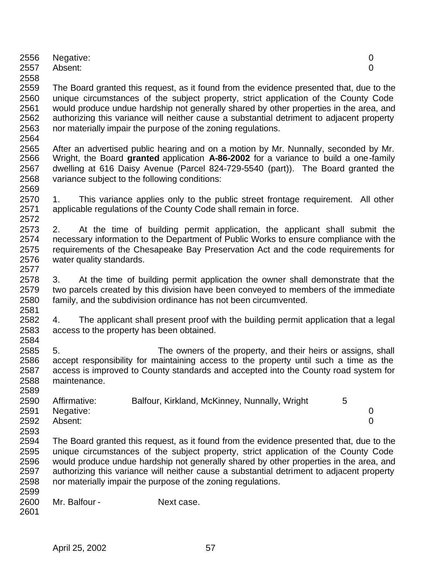|      | 2556 Negative:<br>2557 Absent: |  |
|------|--------------------------------|--|
| 2558 |                                |  |

 The Board granted this request, as it found from the evidence presented that, due to the unique circumstances of the subject property, strict application of the County Code would produce undue hardship not generally shared by other properties in the area, and authorizing this variance will neither cause a substantial detriment to adjacent property nor materially impair the purpose of the zoning regulations.

- 2565 After an advertised public hearing and on a motion by Mr. Nunnally, seconded by Mr.<br>2566 Wright, the Board **granted** application A-86-2002 for a variance to build a one-family Wright, the Board **granted** application **A-86-2002** for a variance to build a one-family dwelling at 616 Daisy Avenue (Parcel 824-729-5540 (part)). The Board granted the variance subject to the following conditions:
- 1. This variance applies only to the public street frontage requirement. All other applicable regulations of the County Code shall remain in force.

2573 2. At the time of building permit application, the applicant shall submit the 2574 necessary information to the Department of Public Works to ensure compliance with the necessary information to the Department of Public Works to ensure compliance with the 2575 requirements of the Chesapeake Bay Preservation Act and the code requirements for 2576 water quality standards. water quality standards. 

- 2578 3. At the time of building permit application the owner shall demonstrate that the 2579 two parcels created by this division have been conveved to members of the immediate two parcels created by this division have been conveyed to members of the immediate family, and the subdivision ordinance has not been circumvented.
- 4. The applicant shall present proof with the building permit application that a legal access to the property has been obtained.
- 5. The owners of the property, and their heirs or assigns, shall accept responsibility for maintaining access to the property until such a time as the access is improved to County standards and accepted into the County road system for maintenance.

| 2590 | Affirmative: | Balfour, Kirkland, McKinney, Nunnally, Wright |  |
|------|--------------|-----------------------------------------------|--|
| 2591 | Negative:    |                                               |  |
| 2592 | Absent:      |                                               |  |

- The Board granted this request, as it found from the evidence presented that, due to the unique circumstances of the subject property, strict application of the County Code would produce undue hardship not generally shared by other properties in the area, and authorizing this variance will neither cause a substantial detriment to adjacent property nor materially impair the purpose of the zoning regulations.
- Mr. Balfour - Next case.
-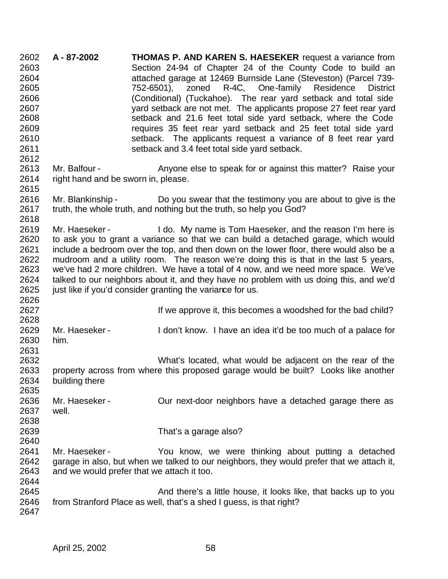**A - 87-2002 THOMAS P. AND KAREN S. HAESEKER** request a variance from Section 24-94 of Chapter 24 of the County Code to build an attached garage at 12469 Burnside Lane (Steveston) (Parcel 739- 752-6501), zoned R-4C, One-family Residence District (Conditional) (Tuckahoe). The rear yard setback and total side yard setback are not met. The applicants propose 27 feet rear yard setback and 21.6 feet total side yard setback, where the Code requires 35 feet rear yard setback and 25 feet total side yard setback. The applicants request a variance of 8 feet rear yard setback and 3.4 feet total side yard setback. 2613 Mr. Balfour - Anyone else to speak for or against this matter? Raise your right hand and be sworn in, please. Mr. Blankinship - Do you swear that the testimony you are about to give is the 2617 truth, the whole truth, and nothing but the truth, so help you God? Mr. Haeseker - I do. My name is Tom Haeseker, and the reason I'm here is to ask you to grant a variance so that we can build a detached garage, which would include a bedroom over the top, and then down on the lower floor, there would also be a mudroom and a utility room. The reason we're doing this is that in the last 5 years, we've had 2 more children. We have a total of 4 now, and we need more space. We've 2624 talked to our neighbors about it, and they have no problem with us doing this, and we'd 2625 iust like if vou'd consider granting the variance for us. just like if you'd consider granting the variance for us. **If we approve it, this becomes a woodshed for the bad child?**  Mr. Haeseker - I don't know. I have an idea it'd be too much of a palace for him. What's located, what would be adjacent on the rear of the property across from where this proposed garage would be built? Looks like another building there Mr. Haeseker - Our next-door neighbors have a detached garage there as well. That's a garage also? Mr. Haeseker - You know, we were thinking about putting a detached garage in also, but when we talked to our neighbors, they would prefer that we attach it, and we would prefer that we attach it too. And there's a little house, it looks like, that backs up to you 2646 from Stranford Place as well, that's a shed I guess, is that right?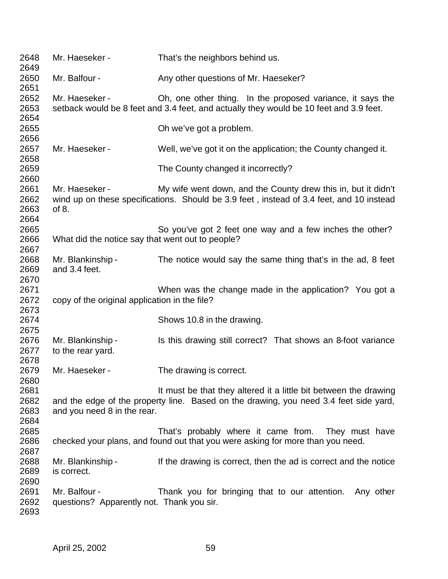| 2648<br>2649                 | Mr. Haeseker -                                             | That's the neighbors behind us.                                                                                                                           |
|------------------------------|------------------------------------------------------------|-----------------------------------------------------------------------------------------------------------------------------------------------------------|
| 2650<br>2651                 | Mr. Balfour -                                              | Any other questions of Mr. Haeseker?                                                                                                                      |
| 2652<br>2653<br>2654         | Mr. Haeseker -                                             | Oh, one other thing. In the proposed variance, it says the<br>setback would be 8 feet and 3.4 feet, and actually they would be 10 feet and 3.9 feet.      |
| 2655<br>2656                 |                                                            | Oh we've got a problem.                                                                                                                                   |
| 2657<br>2658                 | Mr. Haeseker -                                             | Well, we've got it on the application; the County changed it.                                                                                             |
| 2659<br>2660                 |                                                            | The County changed it incorrectly?                                                                                                                        |
| 2661<br>2662<br>2663<br>2664 | Mr. Haeseker -<br>of $8.$                                  | My wife went down, and the County drew this in, but it didn't<br>wind up on these specifications. Should be 3.9 feet, instead of 3.4 feet, and 10 instead |
| 2665<br>2666                 | What did the notice say that went out to people?           | So you've got 2 feet one way and a few inches the other?                                                                                                  |
| 2667<br>2668<br>2669<br>2670 | Mr. Blankinship -<br>and 3.4 feet.                         | The notice would say the same thing that's in the ad, 8 feet                                                                                              |
| 2671<br>2672<br>2673         | copy of the original application in the file?              | When was the change made in the application? You got a                                                                                                    |
| 2674<br>2675                 |                                                            | Shows 10.8 in the drawing.                                                                                                                                |
| 2676<br>2677<br>2678         | Mr. Blankinship -<br>to the rear yard.                     | Is this drawing still correct? That shows an 8-foot variance                                                                                              |
| 2679<br>2680                 | Mr. Haeseker -                                             | The drawing is correct.                                                                                                                                   |
| 2681<br>2682<br>2683<br>2684 | and you need 8 in the rear.                                | It must be that they altered it a little bit between the drawing<br>and the edge of the property line. Based on the drawing, you need 3.4 feet side yard, |
| 2685<br>2686<br>2687         |                                                            | That's probably where it came from.<br>They must have<br>checked your plans, and found out that you were asking for more than you need.                   |
| 2688<br>2689<br>2690         | Mr. Blankinship -<br>is correct.                           | If the drawing is correct, then the ad is correct and the notice                                                                                          |
| 2691<br>2692<br>2693         | Mr. Balfour -<br>questions? Apparently not. Thank you sir. | Thank you for bringing that to our attention.<br>Any other                                                                                                |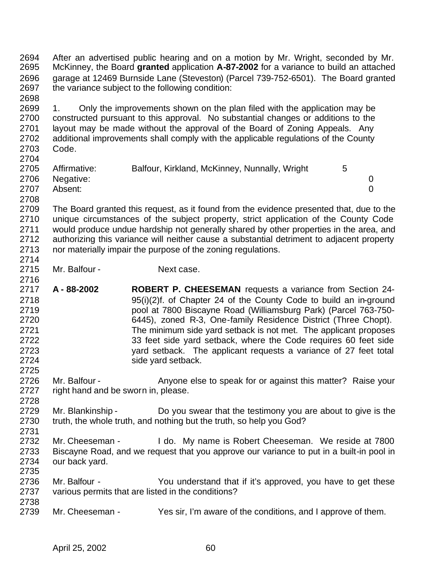2694 After an advertised public hearing and on a motion by Mr. Wright, seconded by Mr.<br>2695 McKinney, the Board **granted** application A-87-2002 for a variance to build an attached McKinney, the Board **granted** application **A-87-2002** for a variance to build an attached garage at 12469 Burnside Lane (Steveston) (Parcel 739-752-6501). The Board granted the variance subject to the following condition:

 1. Only the improvements shown on the plan filed with the application may be constructed pursuant to this approval. No substantial changes or additions to the layout may be made without the approval of the Board of Zoning Appeals. Any additional improvements shall comply with the applicable regulations of the County Code. 

| <u>_ , v , i</u> |              |                                               |   |  |
|------------------|--------------|-----------------------------------------------|---|--|
| 2705             | Affirmative: | Balfour, Kirkland, McKinney, Nunnally, Wright | 5 |  |
| 2706             | Negative:    |                                               |   |  |
| 2707             | Absent:      |                                               |   |  |
| 2708             |              |                                               |   |  |

 The Board granted this request, as it found from the evidence presented that, due to the unique circumstances of the subject property, strict application of the County Code would produce undue hardship not generally shared by other properties in the area, and authorizing this variance will neither cause a substantial detriment to adjacent property nor materially impair the purpose of the zoning regulations. 

2715 Mr. Balfour - Next case.

2716<br>2717 **A - 88-2002 ROBERT P. CHEESEMAN** requests a variance from Section 24- 95(i)(2)f. of Chapter 24 of the County Code to build an in-ground pool at 7800 Biscayne Road (Williamsburg Park) (Parcel 763-750- 6445), zoned R-3, One-family Residence District (Three Chopt). The minimum side yard setback is not met. The applicant proposes 33 feet side yard setback, where the Code requires 60 feet side yard setback. The applicant requests a variance of 27 feet total side yard setback. 

 Mr. Balfour - Anyone else to speak for or against this matter? Raise your right hand and be sworn in, please.

- Mr. Blankinship Do you swear that the testimony you are about to give is the truth, the whole truth, and nothing but the truth, so help you God?
- Mr. Cheeseman I do. My name is Robert Cheeseman. We reside at 7800 Biscayne Road, and we request that you approve our variance to put in a built-in pool in our back yard.
- Mr. Balfour You understand that if it's approved, you have to get these various permits that are listed in the conditions?
- Mr. Cheeseman Yes sir, I'm aware of the conditions, and I approve of them.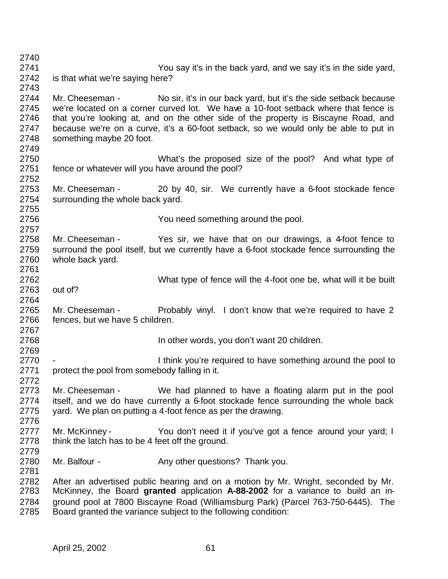You say it's in the back yard, and we say it's in the side yard, is that what we're saying here? Mr. Cheeseman - No sir, it's in our back yard, but it's the side setback because we're located on a corner curved lot. We have a 10-foot setback where that fence is that you're looking at, and on the other side of the property is Biscayne Road, and because we're on a curve, it's a 60-foot setback, so we would only be able to put in something maybe 20 foot. What's the proposed size of the pool? And what type of fence or whatever will you have around the pool? Mr. Cheeseman - 20 by 40, sir. We currently have a 6-foot stockade fence surrounding the whole back yard. You need something around the pool. 2757<br>2758 Mr. Cheeseman - Yes sir, we have that on our drawings, a 4-foot fence to surround the pool itself, but we currently have a 6-foot stockade fence surrounding the whole back yard. What type of fence will the 4-foot one be, what will it be built out of? Mr. Cheeseman - Probably vinyl. I don't know that we're required to have 2 fences, but we have 5 children. In other words, you don't want 20 children. 2770 - I think you're required to have something around the pool to<br>2771 protect the pool from somebody falling in it. protect the pool from somebody falling in it. Mr. Cheeseman - We had planned to have a floating alarm put in the pool itself, and we do have currently a 6-foot stockade fence surrounding the whole back yard. We plan on putting a 4-foot fence as per the drawing. 2777 Mr. McKinney - You don't need it if you've got a fence around your yard; I 2778 think the latch has to be 4 feet off the ground. 2780 Mr. Balfour - Any other questions? Thank you. 2782 After an advertised public hearing and on a motion by Mr. Wright, seconded by Mr.<br>2783 McKinney, the Board **granted** application **A-88-2002** for a variance to build an in- McKinney, the Board **granted** application **A-88-2002** for a variance to build an in- ground pool at 7800 Biscayne Road (Williamsburg Park) (Parcel 763-750-6445). The Board granted the variance subject to the following condition: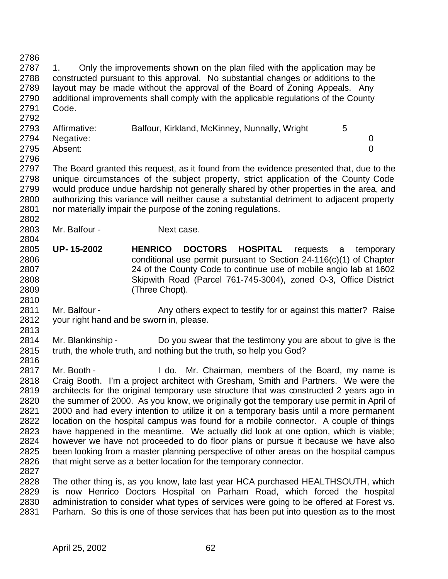2787 1. Only the improvements shown on the plan filed with the application may be constructed pursuant to this approval. No substantial changes or additions to the layout may be made without the approval of the Board of Zoning Appeals. Any additional improvements shall comply with the applicable regulations of the County Code. 2793 Affirmative: Balfour, Kirkland, McKinney, Nunnally, Wright 5 Negative: 0 Absent: 0 The Board granted this request, as it found from the evidence presented that, due to the unique circumstances of the subject property, strict application of the County Code would produce undue hardship not generally shared by other properties in the area, and authorizing this variance will neither cause a substantial detriment to adjacent property nor materially impair the purpose of the zoning regulations. 2803 Mr. Balfour - Next case. **UP- 15-2002 HENRICO DOCTORS HOSPITAL** requests a temporary conditional use permit pursuant to Section 24-116(c)(1) of Chapter 24 of the County Code to continue use of mobile angio lab at 1602 Skipwith Road (Parcel 761-745-3004), zoned O-3, Office District (Three Chopt). 2811 Mr. Balfour - Any others expect to testify for or against this matter? Raise your right hand and be sworn in, please. 2813<br>2814 Mr. Blankinship - Do you swear that the testimony you are about to give is the truth, the whole truth, and nothing but the truth, so help you God? 2816<br>2817 Mr. Booth - The I do. Mr. Chairman, members of the Board, my name is Craig Booth. I'm a project architect with Gresham, Smith and Partners. We were the architects for the original temporary use structure that was constructed 2 years ago in the summer of 2000. As you know, we originally got the temporary use permit in April of 2000 and had every intention to utilize it on a temporary basis until a more permanent location on the hospital campus was found for a mobile connector. A couple of things have happened in the meantime. We actually did look at one option, which is viable; however we have not proceeded to do floor plans or pursue it because we have also been looking from a master planning perspective of other areas on the hospital campus 2826 that might serve as a better location for the temporary connector. The other thing is, as you know, late last year HCA purchased HEALTHSOUTH, which is now Henrico Doctors Hospital on Parham Road, which forced the hospital administration to consider what types of services were going to be offered at Forest vs.

Parham. So this is one of those services that has been put into question as to the most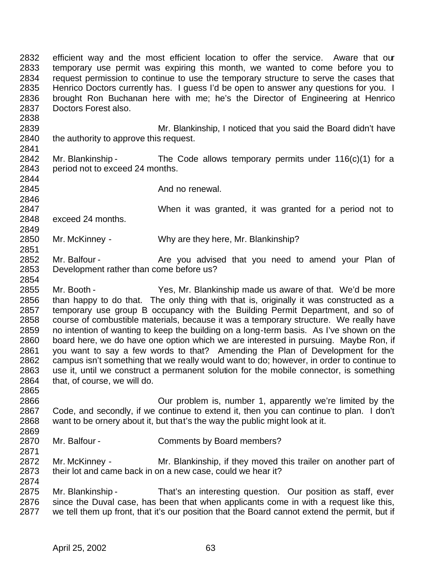efficient way and the most efficient location to offer the service. Aware that our temporary use permit was expiring this month, we wanted to come before you to request permission to continue to use the temporary structure to serve the cases that Henrico Doctors currently has. I guess I'd be open to answer any questions for you. I brought Ron Buchanan here with me; he's the Director of Engineering at Henrico Doctors Forest also. Mr. Blankinship, I noticed that you said the Board didn't have 2840 the authority to approve this request. 2842 Mr. Blankinship - The Code allows temporary permits under 116(c)(1) for a period not to exceed 24 months. **And no renewal.**  When it was granted, it was granted for a period not to exceed 24 months. Mr. McKinney - Why are they here, Mr. Blankinship? 2852 Mr. Balfour - Are you advised that you need to amend your Plan of Development rather than come before us? 2854<br>2855 Mr. Booth - Yes, Mr. Blankinship made us aware of that. We'd be more than happy to do that. The only thing with that is, originally it was constructed as a temporary use group B occupancy with the Building Permit Department, and so of course of combustible materials, because it was a temporary structure. We really have 2859 no intention of wanting to keep the building on a long-term basis. As I've shown on the 2860 board here, we do have one option which we are interested in pursuing. Maybe Ron, if board here, we do have one option which we are interested in pursuing. Maybe Ron, if you want to say a few words to that? Amending the Plan of Development for the 2862 campus isn't something that we really would want to do; however, in order to continue to 2863 use it, until we construct a permanent solution for the mobile connector, is something use it, until we construct a permanent solution for the mobile connector, is something that, of course, we will do. Our problem is, number 1, apparently we're limited by the Code, and secondly, if we continue to extend it, then you can continue to plan. I don't want to be ornery about it, but that's the way the public might look at it. Mr. Balfour - Comments by Board members? 2872 Mr. McKinney - Mr. Blankinship, if they moved this trailer on another part of their lot and came back in on a new case, could we hear it? Mr. Blankinship - That's an interesting question. Our position as staff, ever since the Duval case, has been that when applicants come in with a request like this, we tell them up front, that it's our position that the Board cannot extend the permit, but if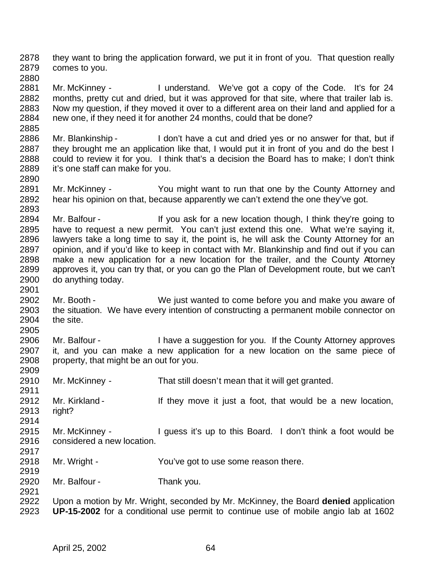they want to bring the application forward, we put it in front of you. That question really comes to you.

 Mr. McKinney - I understand. We've got a copy of the Code. It's for 24 months, pretty cut and dried, but it was approved for that site, where that trailer lab is. Now my question, if they moved it over to a different area on their land and applied for a new one, if they need it for another 24 months, could that be done?

- Mr. Blankinship I don't have a cut and dried yes or no answer for that, but if 2887 they brought me an application like that, I would put it in front of you and do the best I could to review it for you. I think that's a decision the Board has to make; I don't think it's one staff can make for you.
- Mr. McKinney You might want to run that one by the County Attorney and hear his opinion on that, because apparently we can't extend the one they've got.
- 2894 Mr. Balfour If you ask for a new location though, I think they're going to have to request a new permit. You can't just extend this one. What we're saying it, lawyers take a long time to say it, the point is, he will ask the County Attorney for an opinion, and if you'd like to keep in contact with Mr. Blankinship and find out if you can make a new application for a new location for the trailer, and the County Attorney approves it, you can try that, or you can go the Plan of Development route, but we can't do anything today.
- Mr. Booth We just wanted to come before you and make you aware of the situation. We have every intention of constructing a permanent mobile connector on the site.
- 2905<br>2906 Mr. Balfour - Thave a suggestion for you. If the County Attorney approves it, and you can make a new application for a new location on the same piece of property, that might be an out for you.
- Mr. McKinney That still doesn't mean that it will get granted.
- 2912 Mr. Kirkland If they move it just a foot, that would be a new location, 2913 right? right?
- 2915 Mr. McKinney I guess it's up to this Board. I don't think a foot would be considered a new location.
- Mr. Wright You've got to use some reason there.
- Mr. Balfour Thank you.
- Upon a motion by Mr. Wright, seconded by Mr. McKinney, the Board **denied** application **UP-15-2002** for a conditional use permit to continue use of mobile angio lab at 1602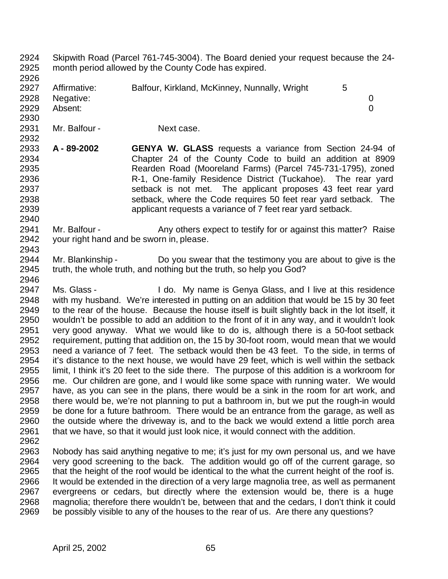Skipwith Road (Parcel 761-745-3004). The Board denied your request because the 24- month period allowed by the County Code has expired. 2927 Affirmative: Balfour, Kirkland, McKinney, Nunnally, Wright 5 Negative: 0 Absent: 0 2931 Mr. Balfour - Next case. **A - 89-2002 GENYA W. GLASS** requests a variance from Section 24-94 of Chapter 24 of the County Code to build an addition at 8909 Rearden Road (Mooreland Farms) (Parcel 745-731-1795), zoned R-1, One-family Residence District (Tuckahoe). The rear yard setback is not met. The applicant proposes 43 feet rear yard setback, where the Code requires 50 feet rear yard setback. The applicant requests a variance of 7 feet rear yard setback. 2941 Mr. Balfour - Any others expect to testify for or against this matter? Raise your right hand and be sworn in, please. Mr. Blankinship - Do you swear that the testimony you are about to give is the truth, the whole truth, and nothing but the truth, so help you God? 2946<br>2947 Ms. Glass - I do. My name is Genya Glass, and I live at this residence with my husband. We're interested in putting on an addition that would be 15 by 30 feet to the rear of the house. Because the house itself is built slightly back in the lot itself, it wouldn't be possible to add an addition to the front of it in any way, and it wouldn't look 2951 very good anyway. What we would like to do is, although there is a 50-foot setback<br>2952 requirement, putting that addition on, the 15 by 30-foot room, would mean that we would requirement, putting that addition on, the 15 by 30-foot room, would mean that we would need a variance of 7 feet. The setback would then be 43 feet. To the side, in terms of it's distance to the next house, we would have 29 feet, which is well within the setback limit, I think it's 20 feet to the side there. The purpose of this addition is a workroom for me. Our children are gone, and I would like some space with running water. We would have, as you can see in the plans, there would be a sink in the room for art work, and there would be, we're not planning to put a bathroom in, but we put the rough-in would 2959 be done for a future bathroom. There would be an entrance from the garage, as well as 2960 the outside where the driveway is, and to the back we would extend a little porch area the outside where the driveway is, and to the back we would extend a little porch area 2961 that we have, so that it would just look nice, it would connect with the addition. Nobody has said anything negative to me; it's just for my own personal us, and we have very good screening to the back. The addition would go off of the current garage, so that the height of the roof would be identical to the what the current height of the roof is. It would be extended in the direction of a very large magnolia tree, as well as permanent evergreens or cedars, but directly where the extension would be, there is a huge magnolia; therefore there wouldn't be, between that and the cedars, I don't think it could be possibly visible to any of the houses to the rear of us. Are there any questions?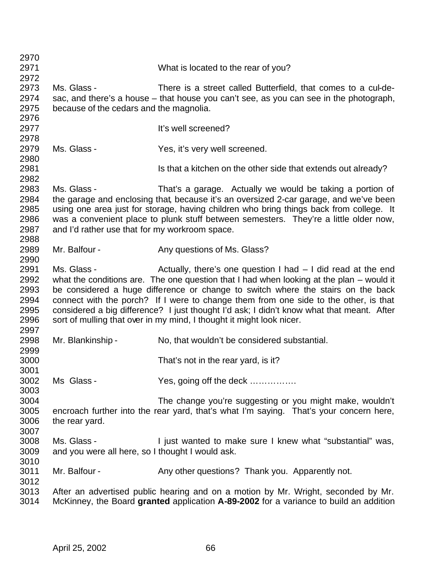| 2970 |                                                  |                                                                                           |
|------|--------------------------------------------------|-------------------------------------------------------------------------------------------|
| 2971 |                                                  | What is located to the rear of you?                                                       |
| 2972 |                                                  |                                                                                           |
| 2973 | Ms. Glass -                                      | There is a street called Butterfield, that comes to a cul-de-                             |
| 2974 |                                                  | sac, and there's a house – that house you can't see, as you can see in the photograph,    |
| 2975 | because of the cedars and the magnolia.          |                                                                                           |
| 2976 |                                                  |                                                                                           |
| 2977 |                                                  | It's well screened?                                                                       |
| 2978 |                                                  |                                                                                           |
| 2979 | Ms. Glass -                                      | Yes, it's very well screened.                                                             |
| 2980 |                                                  |                                                                                           |
| 2981 |                                                  | Is that a kitchen on the other side that extends out already?                             |
| 2982 |                                                  |                                                                                           |
| 2983 | Ms. Glass -                                      | That's a garage. Actually we would be taking a portion of                                 |
| 2984 |                                                  | the garage and enclosing that, because it's an oversized 2-car garage, and we've been     |
| 2985 |                                                  | using one area just for storage, having children who bring things back from college. It   |
| 2986 |                                                  | was a convenient place to plunk stuff between semesters. They're a little older now,      |
| 2987 | and I'd rather use that for my workroom space.   |                                                                                           |
| 2988 |                                                  |                                                                                           |
| 2989 | Mr. Balfour -                                    | Any questions of Ms. Glass?                                                               |
| 2990 |                                                  |                                                                                           |
| 2991 | Ms. Glass -                                      | Actually, there's one question $I$ had $-I$ did read at the end                           |
| 2992 |                                                  | what the conditions are. The one question that I had when looking at the plan - would it  |
| 2993 |                                                  | be considered a huge difference or change to switch where the stairs on the back          |
| 2994 |                                                  | connect with the porch? If I were to change them from one side to the other, is that      |
| 2995 |                                                  | considered a big difference? I just thought I'd ask; I didn't know what that meant. After |
| 2996 |                                                  | sort of mulling that over in my mind, I thought it might look nicer.                      |
| 2997 |                                                  |                                                                                           |
| 2998 | Mr. Blankinship -                                | No, that wouldn't be considered substantial.                                              |
| 2999 |                                                  |                                                                                           |
| 3000 |                                                  | That's not in the rear yard, is it?                                                       |
| 3001 |                                                  |                                                                                           |
| 3002 | Ms Glass-                                        | Yes, going off the deck                                                                   |
| 3003 |                                                  |                                                                                           |
| 3004 |                                                  | The change you're suggesting or you might make, wouldn't                                  |
| 3005 |                                                  | encroach further into the rear yard, that's what I'm saying. That's your concern here,    |
| 3006 | the rear yard.                                   |                                                                                           |
| 3007 |                                                  |                                                                                           |
| 3008 | Ms. Glass -                                      | I just wanted to make sure I knew what "substantial" was,                                 |
| 3009 | and you were all here, so I thought I would ask. |                                                                                           |
| 3010 |                                                  |                                                                                           |
| 3011 | Mr. Balfour -                                    | Any other questions? Thank you. Apparently not.                                           |
| 3012 |                                                  |                                                                                           |
| 3013 |                                                  | After an advertised public hearing and on a motion by Mr. Wright, seconded by Mr.         |
| 3014 |                                                  | McKinney, the Board granted application A-89-2002 for a variance to build an addition     |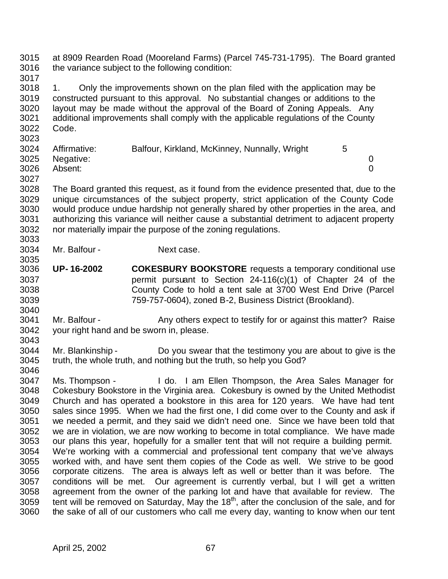at 8909 Rearden Road (Mooreland Farms) (Parcel 745-731-1795). The Board granted the variance subject to the following condition: 

 1. Only the improvements shown on the plan filed with the application may be 3019 constructed pursuant to this approval. No substantial changes or additions to the 3020 lavout may be made without the approval of the Board of Zoning Appeals. Any layout may be made without the approval of the Board of Zoning Appeals. Any additional improvements shall comply with the applicable regulations of the County Code. 

| 3024 | Affirmative:   | Balfour, Kirkland, McKinney, Nunnally, Wright |  |
|------|----------------|-----------------------------------------------|--|
|      | 3025 Negative: |                                               |  |
| 3026 | Absent:        |                                               |  |

 The Board granted this request, as it found from the evidence presented that, due to the unique circumstances of the subject property, strict application of the County Code would produce undue hardship not generally shared by other properties in the area, and authorizing this variance will neither cause a substantial detriment to adjacent property nor materially impair the purpose of the zoning regulations. 

 Mr. Balfour - Next case. 

 **UP- 16-2002 COKESBURY BOOKSTORE** requests a temporary conditional use permit pursuant to Section 24-116(c)(1) of Chapter 24 of the County Code to hold a tent sale at 3700 West End Drive (Parcel 759-757-0604), zoned B-2, Business District (Brookland).

3041 Mr. Balfour - Any others expect to testify for or against this matter? Raise your right hand and be sworn in, please. 

 Mr. Blankinship - Do you swear that the testimony you are about to give is the truth, the whole truth, and nothing but the truth, so help you God? 

 Ms. Thompson - I do. I am Ellen Thompson, the Area Sales Manager for Cokesbury Bookstore in the Virginia area. Cokesbury is owned by the United Methodist Church and has operated a bookstore in this area for 120 years. We have had tent sales since 1995. When we had the first one, I did come over to the County and ask if we needed a permit, and they said we didn't need one. Since we have been told that we are in violation, we are now working to become in total compliance. We have made our plans this year, hopefully for a smaller tent that will not require a building permit. We're working with a commercial and professional tent company that we've always worked with, and have sent them copies of the Code as well. We strive to be good corporate citizens. The area is always left as well or better than it was before. The conditions will be met. Our agreement is currently verbal, but I will get a written agreement from the owner of the parking lot and have that available for review. The 3059 tent will be removed on Saturday, May the  $18<sup>th</sup>$ , after the conclusion of the sale, and for the sake of all of our customers who call me every day, wanting to know when our tent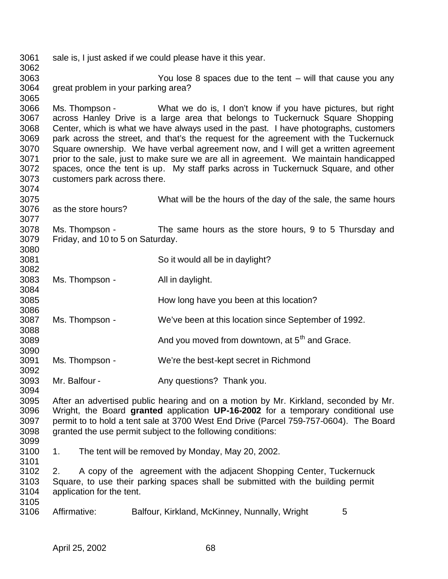sale is, I just asked if we could please have it this year. You lose 8 spaces due to the tent – will that cause you any great problem in your parking area? Ms. Thompson - What we do is, I don't know if you have pictures, but right across Hanley Drive is a large area that belongs to Tuckernuck Square Shopping Center, which is what we have always used in the past. I have photographs, customers park across the street, and that's the request for the agreement with the Tuckernuck 3070 Square ownership. We have verbal agreement now, and I will get a written agreement 3071 prior to the sale, just to make sure we are all in agreement. We maintain handicapped prior to the sale, just to make sure we are all in agreement. We maintain handicapped spaces, once the tent is up. My staff parks across in Tuckernuck Square, and other customers park across there. What will be the hours of the day of the sale, the same hours as the store hours? Ms. Thompson - The same hours as the store hours, 9 to 5 Thursday and Friday, and 10 to 5 on Saturday. So it would all be in daylight? Ms. Thompson - All in daylight. How long have you been at this location? Ms. Thompson - We've been at this location since September of 1992. and you moved from downtown, at  $5<sup>th</sup>$  and Grace. Ms. Thompson - We're the best-kept secret in Richmond Mr. Balfour - Any questions? Thank you. 3095 After an advertised public hearing and on a motion by Mr. Kirkland, seconded by Mr.<br>3096 Wright, the Board **granted** application UP-16-2002 for a temporary conditional use Wright, the Board **granted** application **UP-16-2002** for a temporary conditional use permit to to hold a tent sale at 3700 West End Drive (Parcel 759-757-0604). The Board granted the use permit subject to the following conditions: 1. The tent will be removed by Monday, May 20, 2002. 2. A copy of the agreement with the adjacent Shopping Center, Tuckernuck Square, to use their parking spaces shall be submitted with the building permit application for the tent. 3105<br>3106 Affirmative: Balfour, Kirkland, McKinney, Nunnally, Wright 5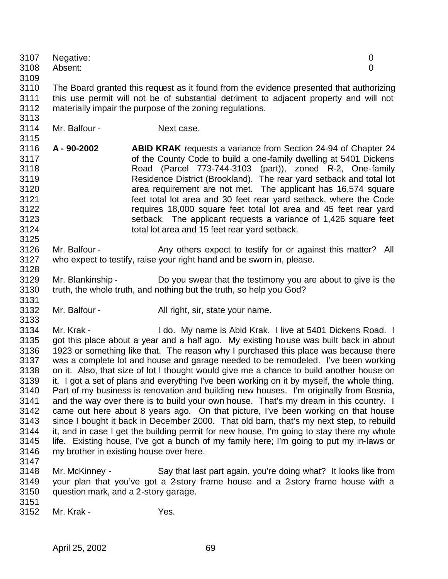| 3107<br>3108<br>3109                                                                                                 | Negative:<br>Absent:                                                                                                                                                                                                                                                                                                                                                                                                                                                                                                                                                                                                                                                                                                                                                                                                                                                                                                                                                                                                                                                                                                                             |                                                                                                                                                                                                                                                                                                                                                                                                                                                                                                                                                                                                             | 0<br>0 |
|----------------------------------------------------------------------------------------------------------------------|--------------------------------------------------------------------------------------------------------------------------------------------------------------------------------------------------------------------------------------------------------------------------------------------------------------------------------------------------------------------------------------------------------------------------------------------------------------------------------------------------------------------------------------------------------------------------------------------------------------------------------------------------------------------------------------------------------------------------------------------------------------------------------------------------------------------------------------------------------------------------------------------------------------------------------------------------------------------------------------------------------------------------------------------------------------------------------------------------------------------------------------------------|-------------------------------------------------------------------------------------------------------------------------------------------------------------------------------------------------------------------------------------------------------------------------------------------------------------------------------------------------------------------------------------------------------------------------------------------------------------------------------------------------------------------------------------------------------------------------------------------------------------|--------|
| 3110<br>3111<br>3112<br>3113                                                                                         |                                                                                                                                                                                                                                                                                                                                                                                                                                                                                                                                                                                                                                                                                                                                                                                                                                                                                                                                                                                                                                                                                                                                                  | The Board granted this request as it found from the evidence presented that authorizing<br>this use permit will not be of substantial detriment to adjacent property and will not<br>materially impair the purpose of the zoning regulations.                                                                                                                                                                                                                                                                                                                                                               |        |
| 3114<br>3115                                                                                                         | Mr. Balfour -                                                                                                                                                                                                                                                                                                                                                                                                                                                                                                                                                                                                                                                                                                                                                                                                                                                                                                                                                                                                                                                                                                                                    | Next case.                                                                                                                                                                                                                                                                                                                                                                                                                                                                                                                                                                                                  |        |
| 3116<br>3117<br>3118<br>3119<br>3120<br>3121<br>3122<br>3123<br>3124<br>3125                                         | A-90-2002                                                                                                                                                                                                                                                                                                                                                                                                                                                                                                                                                                                                                                                                                                                                                                                                                                                                                                                                                                                                                                                                                                                                        | <b>ABID KRAK</b> requests a variance from Section 24-94 of Chapter 24<br>of the County Code to build a one-family dwelling at 5401 Dickens<br>Road (Parcel 773-744-3103 (part)), zoned R-2, One-family<br>Residence District (Brookland). The rear yard setback and total lot<br>area requirement are not met. The applicant has 16,574 square<br>feet total lot area and 30 feet rear yard setback, where the Code<br>requires 18,000 square feet total lot area and 45 feet rear yard<br>setback. The applicant requests a variance of 1,426 square feet<br>total lot area and 15 feet rear yard setback. |        |
| 3126<br>3127<br>3128                                                                                                 | Mr. Balfour -                                                                                                                                                                                                                                                                                                                                                                                                                                                                                                                                                                                                                                                                                                                                                                                                                                                                                                                                                                                                                                                                                                                                    | Any others expect to testify for or against this matter? All<br>who expect to testify, raise your right hand and be sworn in, please.                                                                                                                                                                                                                                                                                                                                                                                                                                                                       |        |
| 3129<br>3130<br>3131                                                                                                 | Mr. Blankinship -                                                                                                                                                                                                                                                                                                                                                                                                                                                                                                                                                                                                                                                                                                                                                                                                                                                                                                                                                                                                                                                                                                                                | Do you swear that the testimony you are about to give is the<br>truth, the whole truth, and nothing but the truth, so help you God?                                                                                                                                                                                                                                                                                                                                                                                                                                                                         |        |
| 3132<br>3133                                                                                                         | Mr. Balfour -                                                                                                                                                                                                                                                                                                                                                                                                                                                                                                                                                                                                                                                                                                                                                                                                                                                                                                                                                                                                                                                                                                                                    | All right, sir, state your name.                                                                                                                                                                                                                                                                                                                                                                                                                                                                                                                                                                            |        |
| 3134<br>3135<br>3136<br>3137<br>3138<br>3139<br>3140<br>3141<br>3142<br>3143<br>3144<br>3145<br>3146<br>3147<br>3148 | Mr. Krak -<br>I do. My name is Abid Krak. I live at 5401 Dickens Road. I<br>got this place about a year and a half ago. My existing house was built back in about<br>1923 or something like that. The reason why I purchased this place was because there<br>was a complete lot and house and garage needed to be remodeled. I've been working<br>on it. Also, that size of lot I thought would give me a chance to build another house on<br>it. I got a set of plans and everything I've been working on it by myself, the whole thing.<br>Part of my business is renovation and building new houses. I'm originally from Bosnia,<br>and the way over there is to build your own house. That's my dream in this country. I<br>came out here about 8 years ago. On that picture, I've been working on that house<br>since I bought it back in December 2000. That old barn, that's my next step, to rebuild<br>it, and in case I get the building permit for new house, I'm going to stay there my whole<br>life. Existing house, I've got a bunch of my family here; I'm going to put my in-laws or<br>my brother in existing house over here. |                                                                                                                                                                                                                                                                                                                                                                                                                                                                                                                                                                                                             |        |
| 3149<br>3150                                                                                                         | Mr. McKinney -<br>question mark, and a 2-story garage.                                                                                                                                                                                                                                                                                                                                                                                                                                                                                                                                                                                                                                                                                                                                                                                                                                                                                                                                                                                                                                                                                           | Say that last part again, you're doing what? It looks like from<br>your plan that you've got a 2-story frame house and a 2-story frame house with a                                                                                                                                                                                                                                                                                                                                                                                                                                                         |        |
| 3151<br>3152                                                                                                         | Mr. Krak -                                                                                                                                                                                                                                                                                                                                                                                                                                                                                                                                                                                                                                                                                                                                                                                                                                                                                                                                                                                                                                                                                                                                       | Yes.                                                                                                                                                                                                                                                                                                                                                                                                                                                                                                                                                                                                        |        |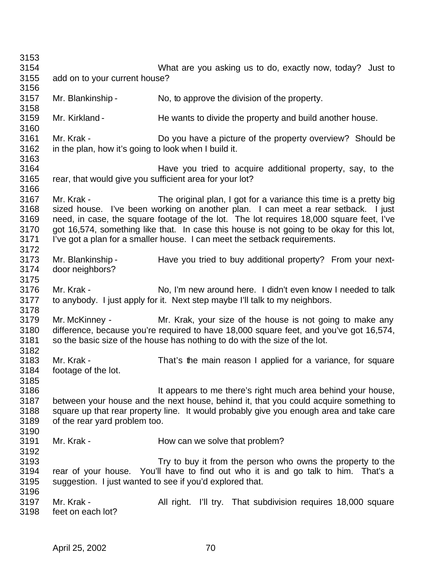| 3153                                         |                                                                    |                                                                                                                                                                                                                                                                                                                                                                                                                                |  |
|----------------------------------------------|--------------------------------------------------------------------|--------------------------------------------------------------------------------------------------------------------------------------------------------------------------------------------------------------------------------------------------------------------------------------------------------------------------------------------------------------------------------------------------------------------------------|--|
| 3154                                         |                                                                    | What are you asking us to do, exactly now, today? Just to                                                                                                                                                                                                                                                                                                                                                                      |  |
| 3155<br>3156                                 | add on to your current house?                                      |                                                                                                                                                                                                                                                                                                                                                                                                                                |  |
| 3157<br>3158                                 | Mr. Blankinship -                                                  | No, to approve the division of the property.                                                                                                                                                                                                                                                                                                                                                                                   |  |
| 3159<br>3160                                 | Mr. Kirkland -                                                     | He wants to divide the property and build another house.                                                                                                                                                                                                                                                                                                                                                                       |  |
| 3161<br>3162<br>3163                         | Mr. Krak -<br>in the plan, how it's going to look when I build it. | Do you have a picture of the property overview? Should be                                                                                                                                                                                                                                                                                                                                                                      |  |
| 3164<br>3165<br>3166                         | rear, that would give you sufficient area for your lot?            | Have you tried to acquire additional property, say, to the                                                                                                                                                                                                                                                                                                                                                                     |  |
| 3167<br>3168<br>3169<br>3170<br>3171<br>3172 | Mr. Krak -                                                         | The original plan, I got for a variance this time is a pretty big<br>sized house. I've been working on another plan. I can meet a rear setback.<br>l just<br>need, in case, the square footage of the lot. The lot requires 18,000 square feet, I've<br>got 16,574, something like that. In case this house is not going to be okay for this lot,<br>I've got a plan for a smaller house. I can meet the setback requirements. |  |
| 3173<br>3174<br>3175                         | Mr. Blankinship -<br>door neighbors?                               | Have you tried to buy additional property? From your next-                                                                                                                                                                                                                                                                                                                                                                     |  |
| 3176<br>3177<br>3178                         | Mr. Krak -                                                         | No, I'm new around here. I didn't even know I needed to talk<br>to anybody. I just apply for it. Next step maybe I'll talk to my neighbors.                                                                                                                                                                                                                                                                                    |  |
| 3179<br>3180<br>3181<br>3182                 | Mr. McKinney -                                                     | Mr. Krak, your size of the house is not going to make any<br>difference, because you're required to have 18,000 square feet, and you've got 16,574,<br>so the basic size of the house has nothing to do with the size of the lot.                                                                                                                                                                                              |  |
| 3183<br>3184<br>3185                         | Mr. Krak -<br>footage of the lot.                                  | That's the main reason I applied for a variance, for square                                                                                                                                                                                                                                                                                                                                                                    |  |
| 3186<br>3187<br>3188<br>3189                 | of the rear yard problem too.                                      | It appears to me there's right much area behind your house,<br>between your house and the next house, behind it, that you could acquire something to<br>square up that rear property line. It would probably give you enough area and take care                                                                                                                                                                                |  |
| 3190<br>3191<br>3192                         | Mr. Krak -                                                         | How can we solve that problem?                                                                                                                                                                                                                                                                                                                                                                                                 |  |
| 3193<br>3194<br>3195<br>3196                 |                                                                    | Try to buy it from the person who owns the property to the<br>rear of your house. You'll have to find out who it is and go talk to him. That's a<br>suggestion. I just wanted to see if you'd explored that.                                                                                                                                                                                                                   |  |
| 3197<br>3198                                 | Mr. Krak -<br>feet on each lot?                                    | All right. I'll try. That subdivision requires 18,000 square                                                                                                                                                                                                                                                                                                                                                                   |  |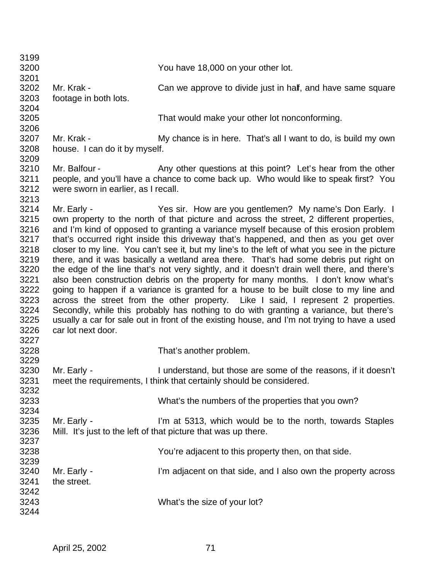| 3199 |                                     |                                                                                               |
|------|-------------------------------------|-----------------------------------------------------------------------------------------------|
| 3200 |                                     | You have 18,000 on your other lot.                                                            |
| 3201 |                                     |                                                                                               |
| 3202 | Mr. Krak -                          | Can we approve to divide just in half, and have same square                                   |
| 3203 | footage in both lots.               |                                                                                               |
| 3204 |                                     |                                                                                               |
| 3205 |                                     | That would make your other lot nonconforming.                                                 |
| 3206 |                                     |                                                                                               |
| 3207 | Mr. Krak -                          | My chance is in here. That's all I want to do, is build my own                                |
| 3208 | house. I can do it by myself.       |                                                                                               |
| 3209 |                                     |                                                                                               |
| 3210 | Mr. Balfour -                       | Any other questions at this point? Let's hear from the other                                  |
| 3211 |                                     | people, and you'll have a chance to come back up. Who would like to speak first? You          |
| 3212 | were sworn in earlier, as I recall. |                                                                                               |
| 3213 |                                     |                                                                                               |
| 3214 | Mr. Early -                         | Yes sir. How are you gentlemen? My name's Don Early. I                                        |
| 3215 |                                     | own property to the north of that picture and across the street, 2 different properties,      |
| 3216 |                                     | and I'm kind of opposed to granting a variance myself because of this erosion problem         |
| 3217 |                                     | that's occurred right inside this driveway that's happened, and then as you get over          |
|      |                                     |                                                                                               |
| 3218 |                                     | closer to my line. You can't see it, but my line's to the left of what you see in the picture |
| 3219 |                                     | there, and it was basically a wetland area there. That's had some debris put right on         |
| 3220 |                                     | the edge of the line that's not very sightly, and it doesn't drain well there, and there's    |
| 3221 |                                     | also been construction debris on the property for many months. I don't know what's            |
| 3222 |                                     | going to happen if a variance is granted for a house to be built close to my line and         |
| 3223 |                                     | across the street from the other property. Like I said, I represent 2 properties.             |
| 3224 |                                     | Secondly, while this probably has nothing to do with granting a variance, but there's         |
| 3225 |                                     | usually a car for sale out in front of the existing house, and I'm not trying to have a used  |
| 3226 | car lot next door.                  |                                                                                               |
| 3227 |                                     |                                                                                               |
| 3228 |                                     | That's another problem.                                                                       |
| 3229 |                                     |                                                                                               |
| 3230 | Mr. Early -                         | I understand, but those are some of the reasons, if it doesn't                                |
| 3231 |                                     | meet the requirements, I think that certainly should be considered.                           |
|      |                                     |                                                                                               |
| 3232 |                                     |                                                                                               |
| 3233 |                                     | What's the numbers of the properties that you own?                                            |
| 3234 |                                     |                                                                                               |
| 3235 | Mr. Early -                         | I'm at 5313, which would be to the north, towards Staples                                     |
| 3236 |                                     | Mill. It's just to the left of that picture that was up there.                                |
| 3237 |                                     |                                                                                               |
| 3238 |                                     | You're adjacent to this property then, on that side.                                          |
| 3239 |                                     |                                                                                               |
| 3240 | Mr. Early -                         | I'm adjacent on that side, and I also own the property across                                 |
| 3241 | the street.                         |                                                                                               |
| 3242 |                                     |                                                                                               |
| 3243 |                                     |                                                                                               |
|      |                                     | What's the size of your lot?                                                                  |
| 3244 |                                     |                                                                                               |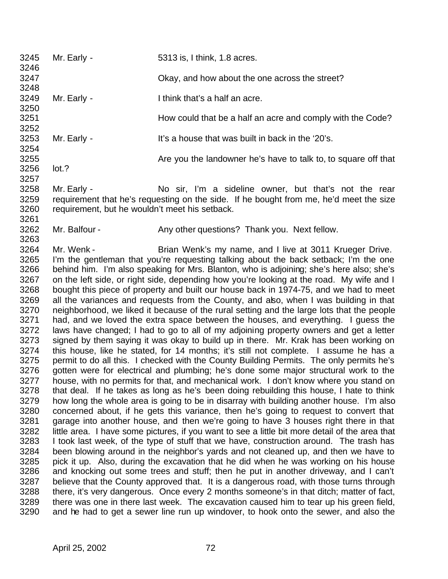| 3245<br>3246 | Mr. Early -                                                                                                                              | 5313 is, I think, 1.8 acres.                                                                  |  |
|--------------|------------------------------------------------------------------------------------------------------------------------------------------|-----------------------------------------------------------------------------------------------|--|
| 3247         |                                                                                                                                          | Okay, and how about the one across the street?                                                |  |
| 3248         |                                                                                                                                          |                                                                                               |  |
| 3249         | Mr. Early -                                                                                                                              | I think that's a half an acre.                                                                |  |
| 3250         |                                                                                                                                          |                                                                                               |  |
| 3251         |                                                                                                                                          | How could that be a half an acre and comply with the Code?                                    |  |
| 3252         |                                                                                                                                          |                                                                                               |  |
| 3253         | Mr. Early -                                                                                                                              | It's a house that was built in back in the '20's.                                             |  |
| 3254         |                                                                                                                                          |                                                                                               |  |
| 3255         |                                                                                                                                          | Are you the landowner he's have to talk to, to square off that                                |  |
| 3256         | lot.?                                                                                                                                    |                                                                                               |  |
| 3257         |                                                                                                                                          |                                                                                               |  |
| 3258         | Mr. Early -                                                                                                                              | No sir, I'm a sideline owner, but that's not the rear                                         |  |
| 3259<br>3260 | requirement that he's requesting on the side. If he bought from me, he'd meet the size<br>requirement, but he wouldn't meet his setback. |                                                                                               |  |
| 3261         |                                                                                                                                          |                                                                                               |  |
| 3262         | Mr. Balfour -                                                                                                                            | Any other questions? Thank you. Next fellow.                                                  |  |
| 3263         |                                                                                                                                          |                                                                                               |  |
| 3264         | Mr. Wenk -                                                                                                                               | Brian Wenk's my name, and I live at 3011 Krueger Drive.                                       |  |
| 3265         |                                                                                                                                          | I'm the gentleman that you're requesting talking about the back setback; I'm the one          |  |
| 3266         |                                                                                                                                          | behind him. I'm also speaking for Mrs. Blanton, who is adjoining; she's here also; she's      |  |
| 3267         |                                                                                                                                          | on the left side, or right side, depending how you're looking at the road. My wife and I      |  |
| 3268         |                                                                                                                                          | bought this piece of property and built our house back in 1974-75, and we had to meet         |  |
| 3269         |                                                                                                                                          | all the variances and requests from the County, and also, when I was building in that         |  |
| 3270         |                                                                                                                                          | neighborhood, we liked it because of the rural setting and the large lots that the people     |  |
| 3271         | had, and we loved the extra space between the houses, and everything. I guess the                                                        |                                                                                               |  |
| 3272         | laws have changed; I had to go to all of my adjoining property owners and get a letter                                                   |                                                                                               |  |
| 3273         | signed by them saying it was okay to build up in there. Mr. Krak has been working on                                                     |                                                                                               |  |
| 3274         | this house, like he stated, for 14 months; it's still not complete. I assume he has a                                                    |                                                                                               |  |
| 3275         | permit to do all this. I checked with the County Building Permits. The only permits he's                                                 |                                                                                               |  |
| 3276         | gotten were for electrical and plumbing; he's done some major structural work to the                                                     |                                                                                               |  |
| 3277         | house, with no permits for that, and mechanical work. I don't know where you stand on                                                    |                                                                                               |  |
| 3278         |                                                                                                                                          | that deal. If he takes as long as he's been doing rebuilding this house, I hate to think      |  |
| 3279         |                                                                                                                                          | how long the whole area is going to be in disarray with building another house. I'm also      |  |
| 3280         |                                                                                                                                          | concerned about, if he gets this variance, then he's going to request to convert that         |  |
| 3281         |                                                                                                                                          | garage into another house, and then we're going to have 3 houses right there in that          |  |
| 3282         |                                                                                                                                          | little area I have some pictures if you want to see a little bit more detail of the area that |  |

area. I have some pictures, if you want to see a little bit more detail of the area that I took last week, of the type of stuff that we have, construction around. The trash has been blowing around in the neighbor's yards and not cleaned up, and then we have to pick it up. Also, during the excavation that he did when he was working on his house and knocking out some trees and stuff; then he put in another driveway, and I can't believe that the County approved that. It is a dangerous road, with those turns through there, it's very dangerous. Once every 2 months someone's in that ditch; matter of fact, there was one in there last week. The excavation caused him to tear up his green field, and he had to get a sewer line run up windover, to hook onto the sewer, and also the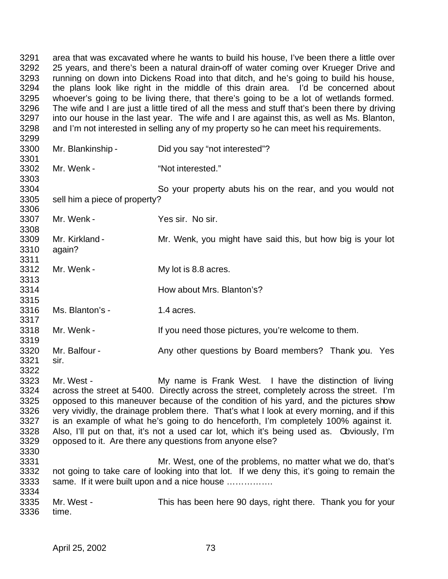area that was excavated where he wants to build his house, I've been there a little over 25 years, and there's been a natural drain-off of water coming over Krueger Drive and running on down into Dickens Road into that ditch, and he's going to build his house, the plans look like right in the middle of this drain area. I'd be concerned about whoever's going to be living there, that there's going to be a lot of wetlands formed. The wife and I are just a little tired of all the mess and stuff that's been there by driving into our house in the last year. The wife and I are against this, as well as Ms. Blanton, and I'm not interested in selling any of my property so he can meet his requirements. Mr. Blankinship - Did you say "not interested"? Mr. Wenk - "Not interested." So your property abuts his on the rear, and you would not sell him a piece of property? Mr. Wenk - Yes sir. No sir. Mr. Kirkland - Mr. Wenk, you might have said this, but how big is your lot again? 3312 Mr. Wenk - My lot is 8.8 acres. 3313<br>3314 How about Mrs. Blanton's? Ms. Blanton's - 1.4 acres. Mr. Wenk - If you need those pictures, you're welcome to them. 3320 Mr. Balfour - Any other questions by Board members? Thank you. Yes sir. Mr. West - My name is Frank West. I have the distinction of living across the street at 5400. Directly across the street, completely across the street. I'm 3325 opposed to this maneuver because of the condition of his yard, and the pictures show<br>3326 very vividly, the drainage problem there. That's what I look at every morning, and if this 3326 very vividly, the drainage problem there. That's what I look at every morning, and if this 3327 is an example of what he's going to do henceforth. I'm completely 100% against it. is an example of what he's going to do henceforth, I'm completely 100% against it. Also, I'll put on that, it's not a used car lot, which it's being used as. Obviously, I'm opposed to it. Are there any questions from anyone else? Mr. West, one of the problems, no matter what we do, that's not going to take care of looking into that lot. If we deny this, it's going to remain the same. If it were built upon and a nice house ……………. Mr. West - This has been here 90 days, right there. Thank you for your time.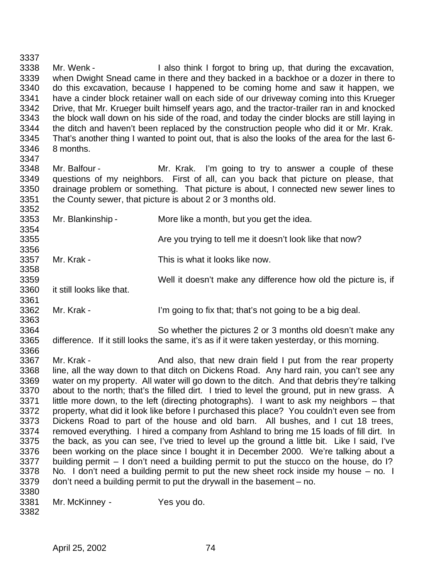Mr. Wenk - I also think I forgot to bring up, that during the excavation, when Dwight Snead came in there and they backed in a backhoe or a dozer in there to do this excavation, because I happened to be coming home and saw it happen, we 3341 have a cinder block retainer wall on each side of our driveway coming into this Krueger<br>3342 Drive, that Mr. Krueger built himself vears ago, and the tractor-trailer ran in and knocked Drive, that Mr. Krueger built himself years ago, and the tractor-trailer ran in and knocked the block wall down on his side of the road, and today the cinder blocks are still laying in 3344 the ditch and haven't been replaced by the construction people who did it or Mr. Krak.<br>3345 That's another thing I wanted to point out, that is also the looks of the area for the last 6-That's another thing I wanted to point out, that is also the looks of the area for the last 6- 8 months. Mr. Balfour - Mr. Krak. I'm going to try to answer a couple of these questions of my neighbors. First of all, can you back that picture on please, that drainage problem or something. That picture is about, I connected new sewer lines to the County sewer, that picture is about 2 or 3 months old. Mr. Blankinship - More like a month, but you get the idea. 

**Are you trying to tell me it doesn't look like that now?** 

3356<br>3357 Mr. Krak - This is what it looks like now. 

Well it doesn't make any difference how old the picture is, if

 it still looks like that. 

 Mr. Krak - I'm going to fix that; that's not going to be a big deal. 

 So whether the pictures 2 or 3 months old doesn't make any difference. If it still looks the same, it's as if it were taken yesterday, or this morning. 

3367 Mr. Krak - And also, that new drain field I put from the rear property line, all the way down to that ditch on Dickens Road. Any hard rain, you can't see any water on my property. All water will go down to the ditch. And that debris they're talking about to the north; that's the filled dirt. I tried to level the ground, put in new grass. A 3371 little more down, to the left (directing photographs). I want to ask my neighbors – that 3372 property, what did it look like before I purchased this place? You couldn't even see from property, what did it look like before I purchased this place? You couldn't even see from Dickens Road to part of the house and old barn. All bushes, and I cut 18 trees, removed everything. I hired a company from Ashland to bring me 15 loads of fill dirt. In the back, as you can see, I've tried to level up the ground a little bit. Like I said, I've been working on the place since I bought it in December 2000. We're talking about a building permit – I don't need a building permit to put the stucco on the house, do I? No. I don't need a building permit to put the new sheet rock inside my house – no. I don't need a building permit to put the drywall in the basement – no. 

Mr. McKinney - Yes you do.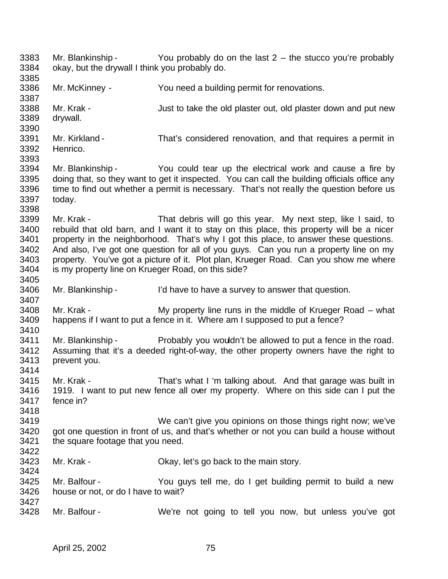Mr. Blankinship - You probably do on the last 2 – the stucco you're probably okay, but the drywall I think you probably do. Mr. McKinney - You need a building permit for renovations. Mr. Krak - Just to take the old plaster out, old plaster down and put new drywall. Mr. Kirkland - That's considered renovation, and that requires a permit in Henrico. Mr. Blankinship - You could tear up the electrical work and cause a fire by doing that, so they want to get it inspected. You can call the building officials office any time to find out whether a permit is necessary. That's not really the question before us today. Mr. Krak - That debris will go this year. My next step, like I said, to rebuild that old barn, and I want it to stay on this place, this property will be a nicer property in the neighborhood. That's why I got this place, to answer these questions. And also, I've got one question for all of you guys. Can you run a property line on my property. You've got a picture of it. Plot plan, Krueger Road. Can you show me where is my property line on Krueger Road, on this side? Mr. Blankinship - I'd have to have a survey to answer that question. Mr. Krak - My property line runs in the middle of Krueger Road – what happens if I want to put a fence in it. Where am I supposed to put a fence? 3411 Mr. Blankinship - Probably you wouldn't be allowed to put a fence in the road. Assuming that it's a deeded right-of-way, the other property owners have the right to prevent you. Mr. Krak - That's what I 'm talking about. And that garage was built in 1919. I want to put new fence all over my property. Where on this side can I put the fence in? We can't give you opinions on those things right now; we've got one question in front of us, and that's whether or not you can build a house without the square footage that you need. Mr. Krak - Okay, let's go back to the main story. Mr. Balfour - You guys tell me, do I get building permit to build a new house or not, or do I have to wait? Mr. Balfour - We're not going to tell you now, but unless you've got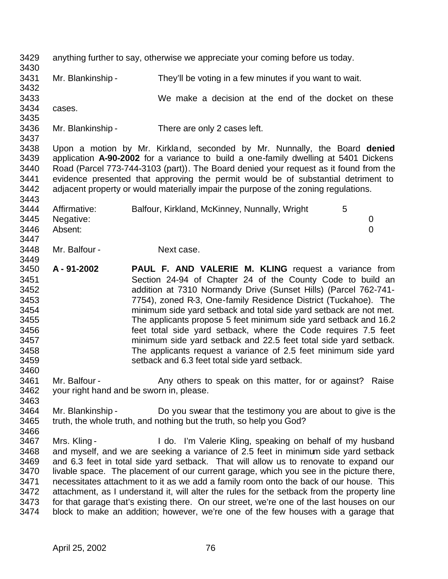anything further to say, otherwise we appreciate your coming before us today. Mr. Blankinship - They'll be voting in a few minutes if you want to wait. We make a decision at the end of the docket on these cases. Mr. Blankinship - There are only 2 cases left. Upon a motion by Mr. Kirkland, seconded by Mr. Nunnally, the Board **denied** application **A-90-2002** for a variance to build a one-family dwelling at 5401 Dickens Road (Parcel 773-744-3103 (part)). The Board denied your request as it found from the evidence presented that approving the permit would be of substantial detriment to adjacent property or would materially impair the purpose of the zoning regulations. 3443<br>3444 Affirmative: Balfour, Kirkland, McKinney, Nunnally, Wright 5 Negative: 0 Absent: 0 Mr. Balfour - Next case. **A - 91-2002 PAUL F. AND VALERIE M. KLING** request a variance from Section 24-94 of Chapter 24 of the County Code to build an addition at 7310 Normandy Drive (Sunset Hills) (Parcel 762-741- 7754), zoned R-3, One-family Residence District (Tuckahoe). The minimum side yard setback and total side yard setback are not met. The applicants propose 5 feet minimum side yard setback and 16.2 feet total side yard setback, where the Code requires 7.5 feet minimum side yard setback and 22.5 feet total side yard setback. The applicants request a variance of 2.5 feet minimum side yard setback and 6.3 feet total side yard setback. 3461 Mr. Balfour - Any others to speak on this matter, for or against? Raise your right hand and be sworn in, please. 3464 Mr. Blankinship - Do you swear that the testimony you are about to give is the 3465 truth, the whole truth, and nothing but the truth, so help you God? truth, the whole truth, and nothing but the truth, so help you God? Mrs. Kling - I do. I'm Valerie Kling, speaking on behalf of my husband and myself, and we are seeking a variance of 2.5 feet in minimum side yard setback and 6.3 feet in total side yard setback. That will allow us to renovate to expand our 3470 livable space. The placement of our current garage, which you see in the picture there, necessitates attachment to it as we add a family room onto the back of our house. This attachment, as I understand it, will alter the rules for the setback from the property line 3473 for that garage that's existing there. On our street, we're one of the last houses on our 3474 block to make an addition: however, we're one of the few houses with a garage that block to make an addition; however, we're one of the few houses with a garage that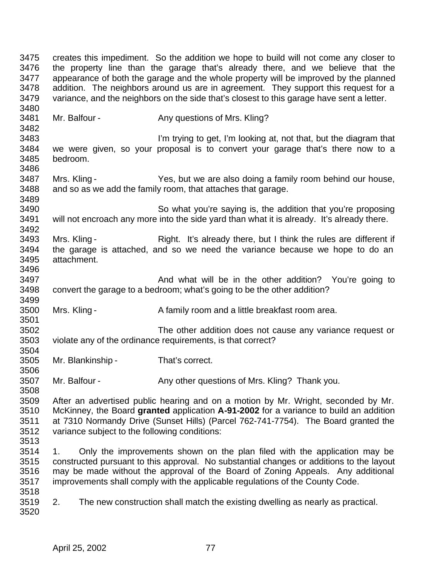creates this impediment. So the addition we hope to build will not come any closer to the property line than the garage that's already there, and we believe that the appearance of both the garage and the whole property will be improved by the planned addition. The neighbors around us are in agreement. They support this request for a variance, and the neighbors on the side that's closest to this garage have sent a letter. 3481 Mr. Balfour - Any questions of Mrs. Kling? I'm trying to get, I'm looking at, not that, but the diagram that we were given, so your proposal is to convert your garage that's there now to a bedroom. Mrs. Kling - Yes, but we are also doing a family room behind our house, and so as we add the family room, that attaches that garage. So what you're saying is, the addition that you're proposing will not encroach any more into the side yard than what it is already. It's already there. Mrs. Kling - Right. It's already there, but I think the rules are different if the garage is attached, and so we need the variance because we hope to do an attachment. **And what will be in the other addition?** You're going to convert the garage to a bedroom; what's going to be the other addition? Mrs. Kling - A family room and a little breakfast room area. The other addition does not cause any variance request or violate any of the ordinance requirements, is that correct? Mr. Blankinship - That's correct. 3507 Mr. Balfour - Any other questions of Mrs. Kling? Thank you. 3509 After an advertised public hearing and on a motion by Mr. Wright, seconded by Mr.<br>3510 McKinney, the Board **granted** application A-91-2002 for a variance to build an addition McKinney, the Board **granted** application **A-91-2002** for a variance to build an addition at 7310 Normandy Drive (Sunset Hills) (Parcel 762-741-7754). The Board granted the variance subject to the following conditions: 1. Only the improvements shown on the plan filed with the application may be 3515 constructed pursuant to this approval. No substantial changes or additions to the layout 3516 may be made without the approval of the Board of Zoning Appeals. Any additional may be made without the approval of the Board of Zoning Appeals. Any additional improvements shall comply with the applicable regulations of the County Code. 2. The new construction shall match the existing dwelling as nearly as practical.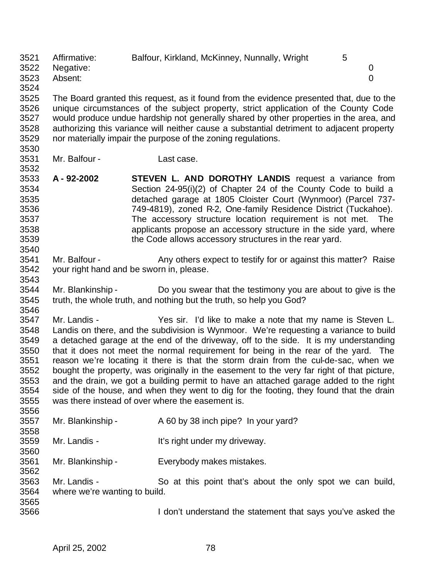Affirmative: Balfour, Kirkland, McKinney, Nunnally, Wright 5 Negative: 0 Absent: 0

3525 The Board granted this request, as it found from the evidence presented that, due to the 3526 unique circumstances of the subject property, strict application of the County Code unique circumstances of the subject property, strict application of the County Code would produce undue hardship not generally shared by other properties in the area, and 3528 authorizing this variance will neither cause a substantial detriment to adjacent property<br>3529 nor materially impair the purpose of the zoning regulations. nor materially impair the purpose of the zoning regulations.

3530<br>3531

Mr. Balfour - Last case.

 **A - 92-2002 STEVEN L. AND DOROTHY LANDIS** request a variance from Section 24-95(i)(2) of Chapter 24 of the County Code to build a detached garage at 1805 Cloister Court (Wynmoor) (Parcel 737- 749-4819), zoned R-2, One-family Residence District (Tuckahoe). The accessory structure location requirement is not met. The applicants propose an accessory structure in the side yard, where the Code allows accessory structures in the rear yard.

3541 Mr. Balfour - Any others expect to testify for or against this matter? Raise your right hand and be sworn in, please.

3543<br>3544 Mr. Blankinship - Do you swear that the testimony you are about to give is the truth, the whole truth, and nothing but the truth, so help you God? 

 Mr. Landis - Yes sir. I'd like to make a note that my name is Steven L. Landis on there, and the subdivision is Wynmoor. We're requesting a variance to build a detached garage at the end of the driveway, off to the side. It is my understanding that it does not meet the normal requirement for being in the rear of the yard. The reason we're locating it there is that the storm drain from the cul-de-sac, when we bought the property, was originally in the easement to the very far right of that picture, and the drain, we got a building permit to have an attached garage added to the right side of the house, and when they went to dig for the footing, they found that the drain was there instead of over where the easement is. 

| ບບບບ |                               |                                                             |
|------|-------------------------------|-------------------------------------------------------------|
| 3557 | Mr. Blankinship -             | A 60 by 38 inch pipe? In your yard?                         |
| 3558 |                               |                                                             |
| 3559 | Mr. Landis -                  | It's right under my driveway.                               |
| 3560 |                               |                                                             |
| 3561 | Mr. Blankinship -             | Everybody makes mistakes.                                   |
| 3562 |                               |                                                             |
| 3563 | Mr. Landis -                  | So at this point that's about the only spot we can build,   |
| 3564 | where we're wanting to build. |                                                             |
| 3565 |                               |                                                             |
| 3566 |                               | I don't understand the statement that says you've asked the |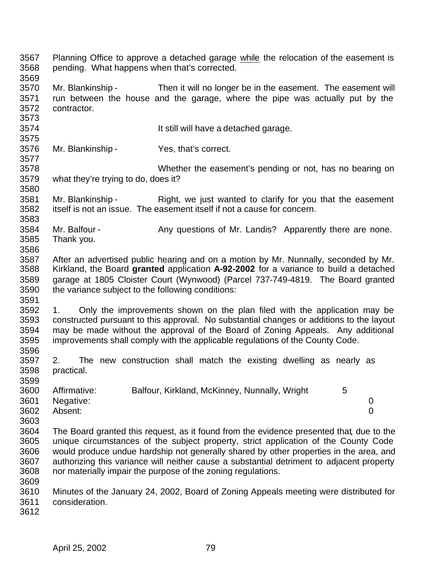| 3567<br>3568<br>3569                         | pending. What happens when that's corrected.                                                                                                                                                                                                                                                                                                                                                                                           | Planning Office to approve a detached garage while the relocation of the easement is                                                                                                                                                                                                                                                      |                                    |
|----------------------------------------------|----------------------------------------------------------------------------------------------------------------------------------------------------------------------------------------------------------------------------------------------------------------------------------------------------------------------------------------------------------------------------------------------------------------------------------------|-------------------------------------------------------------------------------------------------------------------------------------------------------------------------------------------------------------------------------------------------------------------------------------------------------------------------------------------|------------------------------------|
| 3570<br>3571<br>3572<br>3573                 | Mr. Blankinship -<br>contractor.                                                                                                                                                                                                                                                                                                                                                                                                       | Then it will no longer be in the easement. The easement will<br>run between the house and the garage, where the pipe was actually put by the                                                                                                                                                                                              |                                    |
| 3574<br>3575                                 |                                                                                                                                                                                                                                                                                                                                                                                                                                        | It still will have a detached garage.                                                                                                                                                                                                                                                                                                     |                                    |
| 3576<br>3577                                 | Mr. Blankinship -                                                                                                                                                                                                                                                                                                                                                                                                                      | Yes, that's correct.                                                                                                                                                                                                                                                                                                                      |                                    |
| 3578<br>3579                                 | what they're trying to do, does it?                                                                                                                                                                                                                                                                                                                                                                                                    | Whether the easement's pending or not, has no bearing on                                                                                                                                                                                                                                                                                  |                                    |
| 3580<br>3581<br>3582<br>3583                 | Mr. Blankinship -                                                                                                                                                                                                                                                                                                                                                                                                                      | Right, we just wanted to clarify for you that the easement<br>itself is not an issue. The easement itself if not a cause for concern.                                                                                                                                                                                                     |                                    |
| 3584<br>3585                                 | Mr. Balfour -<br>Thank you.                                                                                                                                                                                                                                                                                                                                                                                                            | Any questions of Mr. Landis? Apparently there are none.                                                                                                                                                                                                                                                                                   |                                    |
| 3586<br>3587<br>3588<br>3589<br>3590<br>3591 | the variance subject to the following conditions:                                                                                                                                                                                                                                                                                                                                                                                      | After an advertised public hearing and on a motion by Mr. Nunnally, seconded by Mr.<br>Kirkland, the Board granted application A-92-2002 for a variance to build a detached<br>garage at 1805 Cloister Court (Wynwood) (Parcel 737-749-4819. The Board granted                                                                            |                                    |
| 3592<br>3593<br>3594<br>3595<br>3596         | 1.                                                                                                                                                                                                                                                                                                                                                                                                                                     | Only the improvements shown on the plan filed with the application may be<br>constructed pursuant to this approval. No substantial changes or additions to the layout<br>may be made without the approval of the Board of Zoning Appeals. Any additional<br>improvements shall comply with the applicable regulations of the County Code. |                                    |
| 3597<br>3598<br>3599                         | 2.<br>practical.                                                                                                                                                                                                                                                                                                                                                                                                                       | The new construction shall match the existing dwelling as nearly as                                                                                                                                                                                                                                                                       |                                    |
| 3600<br>3601<br>3602<br>3603                 | Affirmative:<br>Negative:<br>Absent:                                                                                                                                                                                                                                                                                                                                                                                                   | Balfour, Kirkland, McKinney, Nunnally, Wright<br>5                                                                                                                                                                                                                                                                                        | $\boldsymbol{0}$<br>$\overline{0}$ |
| 3604<br>3605<br>3606<br>3607<br>3608<br>3609 | The Board granted this request, as it found from the evidence presented that, due to the<br>unique circumstances of the subject property, strict application of the County Code<br>would produce undue hardship not generally shared by other properties in the area, and<br>authorizing this variance will neither cause a substantial detriment to adjacent property<br>nor materially impair the purpose of the zoning regulations. |                                                                                                                                                                                                                                                                                                                                           |                                    |
| 3610<br>3611<br>3612                         | consideration.                                                                                                                                                                                                                                                                                                                                                                                                                         | Minutes of the January 24, 2002, Board of Zoning Appeals meeting were distributed for                                                                                                                                                                                                                                                     |                                    |